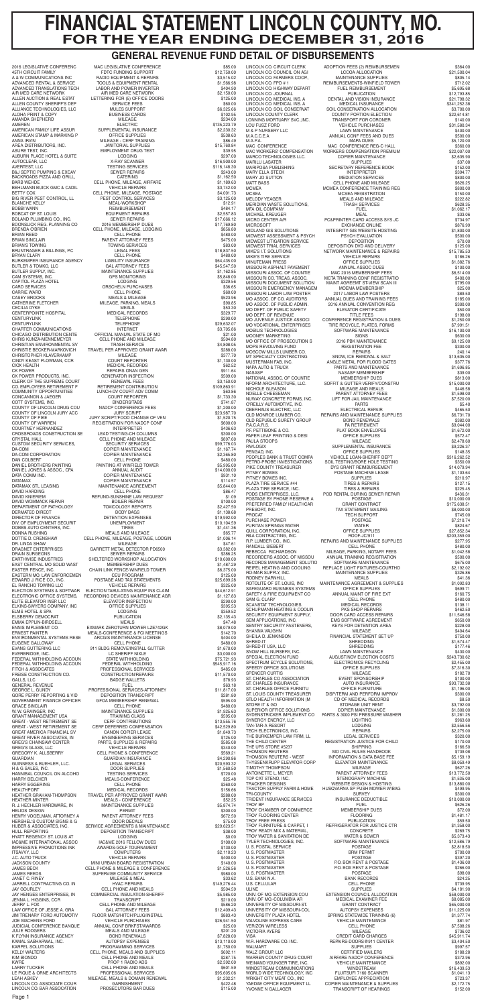2016 LEGISLATIVE CONFERENC MAC LEGISLATIVE CONFERENCE \$85.00<br>45TH CIRCUIT FAMILY MAC LEGISLATIVE CONFERENCE \$12.750.00 45TH CIRCUIT FAMILY FDTC FUNDING SUPPORT \$12,750.00 A & W COMMUNICATIONS INC RADIO EQUIPMENT & REPAIRS \$3,515.02 ADVANCED RENTAL & SERVICE TOOLS & EQUIPMENT RENTAL \$1,566.98 ADVANCED TRANSLATIONS TECH LABOR AND POWER INVERTER \$404.90<br>AIR MED CARE NETWORK \$2,150.00<br>ALLEN AUCTION & REAL ESTAT LETTERING FOR (5) OFFICE DOORS \$125.00 AIR MED CARE NETWORK AIR MED CARE NETWORK \$2,150.00 ALLEN AUCTION & REAL ESTAT LETTERING FOR (5) OFFICE DOORS \$125.00 ALLEN COUNTY SHERIFF'S DEP SERVICE FEES SERVICE FEES ALLIANCE TECHNOLOGIES, LLC MULES SUPPORT \$6,325.66 ALOHA PRINT & COPY BUSINESS CARDS \$102.95 AMANDA SHEPHERD \$234.00<br>AMEREN \$135,223.79 AMEREN \$135,223.79 ELECTRIC<br>SUPPLEMENTAL INSURANCE \$2,230.32 AMERICAN FAMILY LIFE ASSUR SUPPLEMENTAL INSURANCE<br>AMERICAN STAMP & MARKING P OFFICE SUPPLIES ONE SUSS \$538.63 AMERICAN STAMP & MARKING P OFFICE SUPPLIES \$538.63 ANNA IRVIN MILEAGE - CERF TRAINING **1990 - SEAR AND 1990 - SEAR IRAINING**<br>AREA DISTRIBUTORS, INC. 49 MANITORIAL SUPPLIES \$15,760.84 AREA DISTRIBUTORS, INC. JANITORIAL SUPPLIES \$15,760.84 ASURE TEST, INC. EMPLOYMENT DRUG TEST \$39.95 AUBURN PLACE HOTEL & SUITE LODGING LODGING \$297.00<br>AUTOCLEAR, LLC \$297.00 AVERTEST, LLC TESTING SERVICES \$116,148.30 B&J SEPTIC PUMPING & EXCAV SEWER REPAIRS \$243.00 BACKROADS PIZZA AND GRILL,<br>
BACKROADS PIZZA AND GRILL,<br>
CELL PHONE, MILEAGE, AIRFARE \$1,169.63<br>
\$1,189.63 CELL PHONE, MILEAGE, AIRFARE<br>VEHICLE REPAIRS BEHLMANN BUICK GMC & CADIL VEHICLE REPAIRS \$3,742.00<br>BETTY COX CELL PHONE, MILEAGE, POSTAGE \$4,001.73 CELL PHONE, MILEAGE, POSTAGE  $$4,001.73$ <br>PEST CONTROL SERVICES \$4,125.00 BLANCHE KELLY MEAL-WORKSHOP \$12.91 BOBBI WAS CONSUMED TO SABARY SABARY SABARY SABARY SABBIT EQUIPMENT REPAIRS BOBCAT OF ST. LOUIS EQUIPMENT REPAIRS \$2,557.83 BOLAND PLUMBING CO., INC. SEWER REPAIRS \$17,666.12 BOONSLICK REG. PLANNING CO 2016 MEMBERSHIP DUES \$17,769.80 BRENDA O'BRIEN CELL PHONE, MILEAGE, LODGING \$856.80<br>BRIAN REED CELL PHONE CELL PHONE \$480.00 BRIAN SINCLAIR PARENT ATTORNEY FEES \$475.00 BRIAN'S TOWING TOWING SERVICES \$83.00 BRUNTRAGER & BILLINGS, P.C LEGAL FEES \$18,837.50 BRYAN CLARY CELL PHONE \$480.00 BURKEMPER INSURANCE AGENCY LIABILITY INSURANCE \$64,435.00 BUTLER & TOMKO, LLC<br>BUTLER SUPPLY, INC. COMMUNISHING MAINTENANCE SUPPLIES \$45,547.50<br>\$1,162.85 MAINTENANCE SUPPLIES CAM SYSTEMS, INC. GPS MONITORING \$5,848.00 CAPITOL PLAZA HOTEL LODGING LODGING AND LODGING S329.56<br>CARD SERVICES 656.65 CARRIE WARD CELL PHONE \$60.00 CASEY BROOKS MEALS & MILEAGE \$523.96 CATHERINE FLETCHER MILEAGE, PARKING, MEALS<br>CECILIA DYKE MEALS MEALS MEALS \$53.30<br>CENTERPOINTE HOSPITAL MEDICAL RECORDS \$529.77 CECILIA DYKE MEALS \$53.30 CENTERPOINTE HOSPITAL MEDICAL RECORDS \$329.77 CENTURYLINK SERIES IN THE CONTRACT CONTRACT CONTRACT CONTRACT SERIES AND TRIEPHONE SERIES AND SERIES ON THE CONTRACT SERIES ON THE CONTRACT SERIES ON THE CONTRACT OF THE CONTRACT ON THE CONTRACT OF THE CONTRACT OF THE CONT CHARTER COMMUNICATIONS INTERNET<br>
CHARTER COMMUNICATIONS SANCE STATE OF MOSS 31.00 CHARTER COMMUNICATIONS<br>CHICAGO DISTRIBUTION CENTE OFFICIAL MANUAL STATE OF MO<br>CHRIS KUNZA-MENNEMEYER CELL PHONE AND MILEAGE \$504.80<br>\$504.80 CHRISTIAN ENVIRONMENTAL SV TRASH SERVICE \$4,808.05 CHRISTIE BECKER-MARKOVICH TRAVEL PER APPROVED GRANT AWAR \$288.00 CHRISTOPHER KLAVERKAMP MILEAGE \$377.70 CINDY KEAST PLOWMAN, CCR COURT REPORTER \$1,130.00 MEDICAL RECORDS \$62.52 CK POWER SOLUCTS, INC. THE REPAIRS ONAN GEN THE SOLUCTS AND REPAIRS ONAN GEN<br>CK POWER PRODUCTS, INC. GENERATOR INSPECTION \$509.00 CK POWER PRODUCTS, INC. GENERATOR INSPECTION \$509.00 CO. EMPLOYEES RETIREMENT F RETIREMENT CONTRIBUTION \$109,863.91 COMMUNITY OPPORTUNITIES LUNCH-DV COURT ADV COMM \$63.86 CONCANNON & JAEGER COURT REPORTER \$1,733.30 COTT SYSTEMS, INC. **BINDERS/TABS BINDERS/TABS** \$741.87 COUNTY OF LINCOLN DRUG COU NADCP CONFERENCE FEES \$1,200.00 COUNTY OF LINCOLN JURY ACC JURY SCRIPT \$23,987.70 COUNTY OF PIKE<br>
COUNTY OF WARREN BEGISTRATION FOR NADCP CONF \$1,520.75<br>
COUNTY OF WARREN BEGISTRATION FOR NADCP CONF \$600.00 REGISTRATION FOR NADCP CONF \$600.00<br>INTERPRETER \$436.63 COURTNEY HERNANDEZ<br>
CROSSROADS CONSTRUCTION SE LEAD TESTING-CH COLUMNS \$436.63<br>
\$300.00 CROSSROADS CONSTRUCTION SE LEAD TESTING-CH COLUMNS \$300.00 CELL PHONE AND MILEAGE CUSTOM SECURITY SERVICES, SECURITY SERVICES 699,776.03<br>DA-COM 61,167.74 SECURITY SERVICES<br>
COPIER MAINTENANCE<br>
COPIER MAINTENANCE<br>
S2,365.80 DA-COM CORPORATION COPIER MAINTENANCE<br>DAN COLBERT S480.00 PAINTING AT WINFIELD TOWER \$5,995.00<br>ANNUAL AUDIT \$14,000.00 COPIER MAINTENANCE \$931.10 DATAMAX COPIER MAINTENANCE \$114.57 DATAMAX STL LEASING MAINTENANCE AGREEMENT \$5,844.00 DAVID HARDING CELL PHONE \$86.47 REFUND-SUNSHINE LAW REQUEST **\$1.09**<br>BOILER REPAIR \$100.00 DAVID KNIERIEM REPAIR REFUND-SUNSHINE LAW REQUEST 51.09 DAVID WOMMACK REPAIR BOILER REPAIR BOILER REPAIR \$100.00<br>DEPARTMENT OF PATHOLOGY TOXICOLOGY REPORTS \$2,427.50 DEPARTMENT OF PATHOLOGY TOXICOLOGY REPORTS \$2,427.50 DETENTION EXPENSES \$19,992.00<br>UNEMPLOYMENT \$10,104.59 DIV. OF EMPLOYMENT SECURIT<br>DIV. OF EMPLOYMENT SECURIT DOBBS AUTO CENTERS, INC. TIRES TIRES \$10,104.59 DOBBS AUTO CENTERS, INC. TIRES \$1,441.36 DONNA RUSHING \$65.77 DOTTIE D. CRENSHAW CELL PHONE, MILEAGE, POSTAGE, LODGIN \$1,006.14 DR. LINDA SHAW MILEAGE \$47.61 GARRETT METAL DETECTOR PD6500 DRAIN SURGEONS SEWER REPAIRS \$386.25 SHELTERED WORKSHOP ALLOCATION \$10,600.00<br>MEMBERSHIP DUES \$1,487.29 EAST CENTRAL MO SOLID WAST MEMBERSHIP DUES<br>FASTER FENCE INC. CHAIN LINK FENCE-WINEIELD TOWER \$6,375.00 CHAIN LINK FENCE-WINFIELD TOWER<br>CEU PROGRAM EASTERN MO. LAW ENFORCEMEN<br>
EDUPROGRAM CEU PROGRAM STATEMENTS \$125.00<br>
EDWARD J. RICE CO., INC. POSTAGE AND TAX STATEMENTS \$25,699.28 EDWARD J. RICE CO., INC. POSTAGE AND TAX STATEMENTS \$25,699.28 EL RANCHO TOWING LLC VEHICLE REPAIRS \$325.00 ELECTION SYSTEMS & SOFTWAR ELECTION TABULATING EQUIP INS CLAIM \$44,612.91 ELECTRONIC OFFICE SYSTEMS, RECORDING DEVICES MAINTENANCE AGR \$1,127.83 ELITE ELEVATOR INSP. LLC ELEVATOR INSP. LLC<br>
ELEVATOR INSPECTION ELEVATOR INSPECTION \$290.00<br>
ELKINS-SWYERS COMPANY. INC OFFICE SUPPLIES \$395.53 ELKINS-SWYERS COMPANY, INC OFFICE SUPPLIES \$395.53 ELMS HOTEL & SPA LODGING AND LODGING THE STATE AS \$359.52 ELSBERRY DEMOCRAT PUBLICATION \$2,135.43<br>EMMA EPPLIN-BIRDSELL MEALS MEALS MEALS \$47.48 ENNIS IMPLEMENT CO. EXMARK ZEROTURN MOWER LZE742GK \$8,079.00 ERNEST PAINTER MEALS-CONFERENCE & FCI MEETINGS \$142.70 ENVIRONMENTAL SYSTEMS RESE ARCGIS MAINTENANCE LICENSE \$404.00 EUGENE GALLOWAY CELL PHONE \$480.00 EVANS GUTTERING LLC 911 BLDG REMOVE/INSTALL GUTTER \$1,670.00 EVERBRIDGE, INC. LO SHERIFF NIXLE COMPANY AND STATE OF THE SECOND STATE OF THE SALE SALES AND SALE SALE SALES<br>
FEDERAL WITHHOLDING ACCOUN STATE WITHHOLDING \$75,721.93 FEDERAL WITHHOLDING ACCOUN FEDERAL WITHHOLDING \$545,917.16 FITCH & ASSOCATES PROFESSIONAL SERVICES \$485.00 FREISE CONSTRUCTION CO. CONSTRUCTION/REPAIRS \$11,570.00<br>GALLS, LLC 6ADGE WALLETS \$78.93 GALLS, LLC BADGE WALLETS \$78.93 GENERAL REVENUE FUEL \$63.18 GEORGE L. GUNDY FROFESSIONAL SERVICES-ATTORNEY<br>GORE PERRY REPORTING & VID DEPOSITION TRANSCRIPT \$281.80<br>GOVERNMENT FINANCE OFFICER GFOA MEMBERSHIP RENEWAL \$595.00 GOVERNMENT FINANCE OFFICER GFOA MEMBERSHIP RENEWAL \$595.00 GRACE SINCLAIR CELL PHONE \$480.00 W. W. GRAINGER, INC MAINTENANCE SUPPLIES \$1,925.63 GREAT - WEST RETIREMENT SE CERF CONTRIBUTIONS \$13,555.76 GREAT - WEST RETIREMENT SE CERF DEFERRED COMPENSATION \$42,529.80 GREAT AMERICA FINANCIAL SV CANON COPIER LEASE \$1,849.73 GREAT RIVER ASSOCIATES, IN ENGINEERING SERVICES \$125.00 GREG'S CHAINSAW CENTER PARTS, SUPPLIES & REPAIRS \$585.08 GREG'S GLASS, LLC VEHICLE REPAIRS \$340.00 **CELL PHONE & CONFERENCE** GUARDIAN INSURANCE GUARDIAN INSURANCE \$4,290.86<br>GUINNESS & BUEHLER, LLC. LEGAL SERVICES 520,593.32 GUINNESS & BUEHLER, LLC. LEGAL SERVICES \$20,593.32 H & G SALES, INC. DOOR SUPPLIES \$1,560.50 HANNIBAL COUNCIL ON ALCOHO TESTING SERVICES \$720.00 HARRY BELCHER MEALS-CONFERENCE \$25.48 HARRY EGGERING GELL PHONE CELL PHONE S360.00<br>
HEALTHPORT \$156.66 SECUL PHONE SAND MEDICAL RECORDS HEATHER GRAHAM-THOMPSON TRAVEL PER APPROVED GRANT AWAR \$288.00 HEATHER MINTER MEALS - CONFERENCE \$52.25 R. J. HECHLER HARDWARE, IN MAINTENANCE SUPPLIES \$5,874.74 HENRY VOGELMAN, ATTORNEY A PARENT ATTORNEY FEES \$672.50<br>
HERSHEL'S CUSTOM SIGNS & G DOOR DECALS HERSHEL'S CUSTOM SIGNS & G DOOR DECALS<br>
HUBER & ASSOCIATES, INC. SERVICE AGREEMENTS & MAINTENANCE \$29,623.51 SERVICE AGREEMENTS & MAINTENANCE HULL REPORTING DEPOSITION TRANSCRIPT \$38.00 HYATT REGENCY ST. LOUIS AT LODGING \$0.00 IAC&ME INTERNATIONAL ASSOC IAC&ME 2016 FELLOW DUES \$100.00 INCENTERNATIONAL ASSOC IACAME 2016 FELLOW DUES \$130.000<br>
IMPRESSIVE PROMOTIONS INK AWARDS-GOLF TOURNAMENT \$130.00<br>
ITSAVVY. LLC COMPUTERS \$2.110.23 ITSAVVY, LLC COMPUTERS \$2,110.23 J.C. AUTO TRUCK VEHICLE REPAIRS \$400.00 JAMES BECK CELL PHONE & MILEAGE & CONFERENCE \$1,526.56 JAMES REEDS SUPERVISE COMMUNITY SERVICE \$980.00 JANET C. RINEY MILEAGE & MEAL \$33.62 JARRELL CONTRACTING CO. IN HVAC REPAIRS \$149,276.44 JAY GOURLEY CELL PHONE AND MEALS \$504.59 JAY HENGES ENTERPRISES, IN COMMERCIAL INSULATION-SHERIFF \$5,985.00<br>JENNA L. HIGGINS, CCR TRANSCRIPT \$210.00 JERRY L. FOX CELL PHONE AND MILEAGE SERIES AND THE SERIES AND SERIES AND SERIES AND SERIES SERIES AND SERIES S<br>20.2019.43 LAW OFFICE OF JESSE A. GRA GAL ATTORNEY FEES SAIL ATTORNEY FEES LAW OFFICE OF JESSE A. GRA<br>
JIM TRENARY FORD AUTOMOTIV FLOOR MATS/HITCH/PLUG/INSTALL \$12,409.43<br>
\$883.43 \$883.43 JIM TRENARY FORD AUTOMOTIV FLOOR MATS/HITCH/PLUG/INSTALL \$883.43<br>JOE MACHENS FORD VEHICLE PURCHASES \$26,941.50<br>JUDICIAL CONFERENCE BANQUE ANNUAL CONF BRKFST/AWARDS \$25.00 \$25.00 JOE MACHENS FORD VEHICLE PURCHASES \$26,941.50 JUDICIAL CONFERENCE BANQUE ANNUAL CONF BRKFST/AWARDS \$25.00 JULIE RODGERS MEALS AND MILEAGE \$201.20<br>
K FLYNN INSURANCE AGENCY BOND RENEWALS \$7,828.00 KAMAL SABHARWAL, INC. AUTOPSY EXPENSES \$13,110.00 KARPEL SOLUTIONS PROGRAMMING SERVICES \$1,750.00 KELLY WALTERS CELL PHONE, MEALS AND SUPPLIES \$692.11 KIM BIONDO CELL PHONE AND MEALS \$287.75 KWRE PROP 1 RADIO ADS \$2,392.00 LARRY TUCKER CELL PHONE AND MEALS (SO1.59<br>LE PIQUE & ORNE ARCHITECTS PROFESSIONAL SERVICES \$95,605.06 LE PIQUE & ORNE ARCHITECTS PROFESSIONAL SERVICES \$95,605.06 LEAH ASKEY MILEAGE, MEALS & DOMAIN RENEWAL \$1,232.21 LINCOLN CO. ASSOCIATE COUR GARNISHMENT \$422.48

SOIL CONSERVATION ALLOCATION SECRETARY REFERENCE BOOK MCMEA CONFERENCE TRAINING REG MICROSOFT EXCHANGE ONLINE<br>MIDLAND GIS SOLUTIONS INTEGRITY GIS WEBSITE HO NETWORK MAINTENANCE & REPAIRS<br>VEHICLE REPAIRS MISSOURI ASPHALT PAVEMENT ANNUAL ASSOC DUES<br>MISSOURI ASSOC. OF COUNTIE MAC 2016 MEMBERSHIP FEES 2016 ANNUAL CONVENTION REG<br>ELEVATOR CERTIFICATE<br>TITLE FEES MOBILIS TECHNOLOGIES SOFTWARE MAINTENANCE \$16,100.00 MOPS REVOLVING FUND NFORM ARCHITECTURE, LLC. SOFFIT & GUTTER VERIFY/CONSTRU<br>NICHOLE GLEASON MILEAGE AND MEALS NUWAY CONCRETE FORMS, INC. LIFT FOR JAIL MAIN O'REILLY AUTOMOTIVE, INC. LIFT FOR JAIL MAINTS P.A.C.A.R.S.<br>
PLAT BOOK ENVELOINE & CO. PLAT BOOK ENVELOINE SOIL TESTING/BORE HOLE TESTING PLAZA TIRE SERVICE #44 PREFERRED FAMILY HEALTHCAR R&A CONTRACTING, INC.<br>R.P. LUMBER CO., INC. REIFEL HEATING AND COOLING REPLACE LIGHT FIXTURES-COURTHO RO-MAR SUPPLIES MAINTENANCE AGREEMENT & SUPPLIES<br>OFFICE SUPPLIES<br>ANNUAL MAINT OF FIRE EXT EMS SOFTWARE AGREEMENT SHREDDING SPECTRUM ECYCLE SOLUTIONS, REGISTRATION JUSTICE FOR CHILD TRIDENT INSURANCE SERVICES TROY FREE PRESS<br>TROY FURNITURE & CARPET, I<br>TROY READY MIX & MATERIAL, U. S. POSTMASTER<br>U. S. POSTMASTER<br>U. S. POSTMASTER BANK RECORDS UNIV. OF MO.-COLUMBIA AR MEDICAL EXAMINER FEE \$8,085.00 VISA CREDIT CARD CHARGES \$45,911.74 WRIGHT CITY MEAT CO., INC

LINCOLN CO. CIRCUIT CLERK ADOPTION FEES (2) REIMBURSEMEN \$364.00<br>I INCOLN CO. COUNCIL ON AGI CCOA ALLOCATION LINCOLN CO. COUNCIL ON AGI LCCOA ALLOCATION \$21,500.04 LINCOLN CO. FARMERS COOP., MAINTENANCE SUPPLIES \$805.14 LINCOLN CO. FPD # 1 REIMBURSEMENTS-WINFIELD TOWER \$712.02<br>LINCOLN CO. HIGHWAY DEPART FUEL REIMBURSEMENT \$5,695.68 LINCOLN CO. HIGHWAY DEPART FUEL REIMBURSEMENT \$5,695.68 LINCOLN CO. JOURNAL PUBLICATION \$12,793.85 LINCOLN CO. MEDICAL INS. A DENTAL AND VISION INSURANCE \$21,798.32 LINCOLN CO. MEDICAL INS. A MEDICAL INSURANCE (3341,252.38 AMEDICAL INSURANCE LINCOLN CO. SOIL CONSERVATION ALLOCATION (\$3,700.00 LINCOLN COUNTY CLERK COUNTY PORTION ELECTION \$22,614.81<br>CONNING MORTUARY SVC.,INC. TRANSPORT FOR CORONER \$140.00 LONNING MORTUARY SVC.,INC. TRANSPORT FOR CORONER \$140.00<br>LOU FUSZ FORD VEHICLE PURCHASES \$31,580.34 LOU FUSZ FORD VEHICLE PURCHASES \$31,580.34 M & P NURSERY LLC LAWN MAINTENANCE \$400.00 M.A.C.C.E.A CONF FEES AND DUES \$500.00<br>M.A.C.C.E.A ANNUAL CONF FEES AND DUES \$5,120.00<br>M.A.P.A. MAPA DUES \$5,120.00 M.A.P.A. STRAIGHT AND MAPA DUES<br>
MAC CONFERENCE MAC CONFERENCE REG-C HALL \$360.000<br>
\$360.00 MAC CONFERENCE REG-C HALL \$360.00<br>WORKERS COMPENSATION PREMIUM \$22,007.00 MAC WORKERS' COMPENSATION WORKERS COMPENSATION PREMIUM \$22,007.00 MARCO TECHNOLOGIES LLC. COPIER MAINTENANCE \$2,635.90 MARILU LASATER SUPPLIES \$37.08 MARY ELLA STECK \$394.77 MARY JO SUTTON GALL THE MEDIATION SERVICES THE SOLUTION SERVICES MATT BASS CELL PHONE AND MILEAGE \$626.25 MCSEA MCSEA REGISTRATION \$150.00 MELODY YEAGER MEALS AND MILEAGE \$222.82 MERIDIAN WASTE SOLUTIONS, TRASH SERVICES \$628.35 MFA OIL COMPANY FUEL \$1,062.17 MICHAEL KREUGER MEAL \$33.06 MICRO CENTER A/R PC&PRINTER CARD ACCESS SYS JC<br>MICROSOFT BXCHANGE ONLINE \$876.99 INTEGRITY GIS WEBSITE HOSTING 61,800.00<br>PSYCH EVALUATION \$500.00 MIDWEST ASSESSMENT & PSYCH PSYCH EVALUATION FOR A SUBSEX AND SECTION SERVICE PSYCH EVALUATION STOLOGY STOLOGY<br>MIDWEST LITIGATION SERVICE DEPOSITION 520.00 MIDWEST LITIGATION SERVICE DEPOSITION DEPOSITION DEPOSITION STO.00<br>MIDWEST TRIAL SERVICES DEPOSITION DVD AND DELIVERY \$125.00 MIDWEST TRIAL SERVICES DEPOSITION DVD AND DELIVERY \$125.00 MIKE'S TIRE SERVICE<br>
MIKE'S TIRE SERVICE<br>
MINUTEMAN PRESS 
WEHICLE REPAIRS 
S1,382.76 MINUTEMAN PRESS OFFICE SUPPLIES \$1,382.76 MISSOURI ASSOC. OF COUNTIE MAC 2016 MEMBERSHIP FEES \$6,514.00<br>MISSOURI CO. TREAS. ASSOC. MCTA TRAINING CONF REGISTRATIO \$400.00 MISSOURI CO. TREAS. ASSOC. MCTA TRAINING CONF REGISTRATIO **\$400.00**<br>MISSOURI DOCUMENT SOLUTION MAINT AGREEMT ST-VIEW SCAN III \$795.00 MAINT AGREEMT ST-VIEW SCAN III \$795.00<br>MOEMA MEMBERSHIP \$25.00 MISSOURI EMERGENCY MANAGEM MOEMA MEMBERSHIP \$25.00 MISSOURI LABOR LAW POSTER 2017 LABOR LAW POSTERS \$89.50 MO ASSOC. OF CO. AUDITORS ANNUAL DUES AND TRAINING FEES \$185.00<br>MO ASSOC. OF PUBLIC ADMIN. 2016 ANNUAL CONVENTION REG \$300.00 MO DEPT. OF PUBLIC SAFETY ELEVATOR CERTIFICATE \$50.00 MO DEPT. OF REVENUE TITLE FEES TITLE FEES \$198.00 MO JUVENILE JUSTICE ASSOCI CONFERENCE REGISTRATION & DUES \$1,250.00<br>MO VOCATIONAL ENTERPRISES TIRE RECYCLE, PLATES, FORMS \$7,991.51 MO VOCATIONAL ENTERPRISES TIRE RECYCLE, PLATES, FORMS \$7,991.51 MOONEY MARKETING THE SECTION STATEMENT SIGNS SESSES AND SECTION SECTION SECTION SECTION SECTION SECTION SECTION S<br>MOORETING SESSES 2016 PBK MAINTENANCE \$9,125.00 MO OFFICE OF PROSECUTION S 2016 PBK MAINTENANCE \$9,125.00 MOSCOW MILLS LUMBER CO. REPAIRS 240.14 MT SPECIALTY CONTRACTING SNOW, ICE REMOVAL & SALT \$13,635.00 MUSTERMAN FAB, INC. ANGLE METAL FOR FLOOD GATES \$377.76<br>NAPA AUTO & TRUCK PARTS AND MAINTENANCE \$1,696.85 NAPA AUTO & TRUCK CHARRY BARTS AND MAINTENANCE \$1,696.85 NASASP NASASP MEMBERSHIP \$39.00 NATIONAL ASSOC. OF COUNTIE MEMBERSHIP DUES 6613.00<br>NEORM ARCHITECTURE, LLC. SOFFIT & GUTTER VERIFY/CONSTRU \$15,000.00 NICHOLE GLEASON MILEAGE AND MEALS \$446.58 NOELLE CHEES<br>PARENT ATTORNEY FEES \$1,598.00<br>LIFT FOR JAIL MAINTENANCE \$7,520.00 O'REILLY AUTOMOTIVE, INC. THE RESERVE TO PARTS \$5.40 OBERHAUS ELECTRIC, LLC ELECTRICAL REPAIR \$465.50 OLD MONROE LUMBER CO. REPAIRS AND MAINTENANCE SUPPLIES \$6,731.70 OLD REPUBLIC SURETY GROUP BOND RENEWALS \$382.00<br>P.A.C.A.R.S. \$9,044.00 PLAT BOOK ENVELOPES \$1,672.00<br>OFFICE SUPPLIES \$572.47 PAPER LEAF PRINTING & DESI OFFICE SUPPLIES<br>PAULA STOOPS MILEAGE MILEAGE SUPPLIES \$2,478.60 PAULA STOOPS \$2,478.60<br>PAYLOGIX \$2,478.60 \$2,478.60 \$2,478.60 \$2,478.60 \$1,226.37 \$1,226.37 \$1,226.37 \$9,226.37 PAYLOGIX SUPPLEMENTAL INSURANCE \$9,226.37 PENGAD, INC. OFFICE SUPPLIES \$148.35 PEOPLES BANK & TRUST COMPA VEHICLE LOAN-SHERIFF DEPT \$316,262.52<br>PETRO-PROBE INVESTIGATIONS SOIL TESTING/BORE HOLE TESTING \$350.00 PIKE COUNTY TREASURER DYS GRANT REIMBURSEMENT (\$14,079.94<br>PITNEY BOWES \$1,103.64 POSTAGE MACHINE LEASE POSTAGE MACHINE LEASE  $$1,103.64$ <br>SUPPLIES  $$210.97$ PITNEY BOWES INC. SUPPLIES \$210.97 PLAZA TIRE SERVICE, INC. TIRES & REPAIRS \$225.45 PODS ENTERPRISES, LLC. POD RENTAL DURING SEWER REPAIR \$436.31 POSTAGE BY PHONE RESERVE A POSTAGE A POSTAGE S10,000.00<br>
PREFERRED FAMILY HEALTHCAR GRANT CONTRACT \$175,638.51 PRESORT, INC. TAX STATEMENT MAILING \$8,000.00 PROCAT TECH SUPPORT \$745.00 PURCHASE POWER<br>
PURCHASE POWER ST, 210.74<br>
PURITAN SPRINGS WATER WATER WATER S824.67 PURITAN SPRINGS WATER WATER WATER WATER SE21.67<br>GUILL CORPORATION, INC. THE SUPPLIES OUR SEARCH AND SEARCH SEARCH SEARCH SEARCH SEARCH SEARCH SEARCH SEARCH S OUTLE CORPORATION, INC.<br>
OUTLE CORPORATION, INC.<br>
R&A CONTRACTING, INC. 
OUTLE CORPORATION, INC.<br>
OUTLE CORPORATION, INC.<br>
OUTLE CORPORATION, INC. REPAIRS AND MAINTENANCE SUPPLIES \$277.95 RANDALL SIEBERT CELL PHONE \$480.00 REBECCA RICHARDSON MILEAGE, PARKING, NOTARY FEES \$1,042.58 RECORDERS ASSOC. OF MISSOU ANNUAL TRAINING REGISTRATION \$500.00<br>RECORDS MANAGEMENT SOLUTIO SOFTWARE MAINTENANCE \$675.00 RECORDS MANAGEMENT SOLUTIO SOFTWARE MAINTENANCE<br>REIFFLI HEATING AND COOLING REPLACE LIGHT FIXTURES-COURTHO MAINTENANCE SUPPLIES \$326.86 RODNEY BARNHILL MEALS \$41.36 SAFEGUARD BUSINESS SYSTEMS OFFICE SUPPLIES \$699.71 SAFETY & FIRE EQUIPMENT CO ANNUAL MAINT OF FIRE EXT \$160.75 SAM G. CLARY SABO.00<br>
SCANSTAT TECHNOLOGIES MEDICAL RECORDS SCANSTAT TECHNOLOGIES<br>
SCHUPMANN HEATING & COOLIN PKS SHOP REPAIRS STATES SHOP REPAIRS \$462.50 SCANSTAT TECHNOLOGIES MEDICAL RECORDS \$138.11 SCHUPMANN HEATING & COOLIN PKS SHOP REPAIRS FRAME ARE ASSESSED A S462.50 SECURITY EQUIPMENT SUPPLY, DOOR CARD ACCESS REPAIRS \$11,546.58<br>SEM APPLICATIONS, INC. EMS SOFTWARE AGREEMENT \$650.00 SENTRY SECURITY FASTENERS, KEYS FOR DETENTION AREA \$228.00 SHANNA VAUGHN MILEAGE \$404.64 SHEILA D. JENKINSON FINANCIAL STATEMENT SET UP \$750.00<br>SHREDDING \$1,574.47 SHRED-IT USA, LLC SHREDDING \$177.46 SNOW HILL NURSERY, INC. LAWN MAINTENANCE \$430.00 SPECIAL ELECTION FUND AUGUST/NOV ELECTION COSTS \$243,730.62<br>SPECTRUM ECYCLE SOLUTIONS, ELECTRONICS RECYCLING \$2,455.00 SPEEDY OFFICE SOLUTIONS OFFICE SUPPLIES \$7,316.30 SPENCER CURTIS MILEAGE \$182.70 ST. CHARLES CO ASSOCIATION EVENT SPONSORSHIP \$100.00 ST. CHARLES INSURANCE AUTO INSURANCE \$93,732.38 ST. CHARLES OFFICE FURNITU OFFICE FURNITURE \$1,196.00 ST. LOUIS COUNTY TREASURER DISP/TERM AND PERFORM IMPROV \$100.000<br>STLO HEALTH INFORMATION (M CD OF MEDICAL RECORDS \$8.50 STLO HEALTH INFORMATION (M CD OF MEDICAL RECORDS \$8.50<br>
STORE IT & GO STORAGE UNIT RENT \$3,792.00<br>
SUPERIOR OFFICE SOLUTIONS COPIER MAINTENANCE \$1,300.00 STORE IT & GO STORAGE UNIT RENT \$3,792.00 SUPERIOR OFFICE SOLUTIONS COPIER MAINTENANCE \$1,300.00 SYDENSTRICKER IMPLEMENT CO<br>SYDENSTRICKER IMPLEMENT CO<br>SYNERGY ENERGY, LLC LIGHTING LIGHTING STRE RESOLUTION SYNERGY ENERGY, LLC LIGHTING \$963.60 TAN-TAR-A RESORT LODGING \$2,556.56 TECH ELECTRONICS, INC. REPAIRS \$2,275.00 THE BURKEMPER LAW FIRM, LL LEGAL SERVICES (\$320.00)<br>THE CHILD CENTER REGISTRATION JUSTICE FOR CHILD \$170.00 THE UPS STORE #5237 SHIPPING SHIPPING<br>THOMSON REUTERS STORE THE MOOD MOOD MULLES HANDBOOK \$739.08 MO CIVIL RULES HANDBOOK \$739.08<br>INFORMATION & DATA BASE FEE \$5,159.19 THOMSON REUTERS - WEST INFORMATION & DATA BASE FEE \$5,159.19 THYSSENKRUPP ELEVATOR CORP ELEVATOR MAINTENANCE \$8,059.49 TIMOTHY THOMPSON SEEN THE SALE OF THE MULTIMOTHY THOMPSON SEEN THAN THE MATCHES SEEN THAN THE MATCHES STATES STATES ANTOINETTE L. MEYER PARENT ATTORNEY FEES \$13,772.50 TOP CAT STENO, INC. STENOGRAPY MACHINE \$1,535.00 TRACKER DESIGNS WEBSITE DESIGN & HOSTING \$13,880.00 TRACTOR SUPPLY FARM & HOME HUSQVARNA SP PUSH MOWER W/BAG \$499.95 TRI-COUNTY SURVEY \$300.00 TROY BP<br>TROY CHAMBER OF COMMERCE MEMBERSHIP DUES \$626.26<br>\$72.00 \$72.00 TROY CHAMBER OF COMMERCE MEMBERSHIP DUES<br>TROY FLOORING CENTER FLOORING FLOORING \$1,481.17 TROY FLOORING CENTER FLOORING FLOORING \$1,481.17<br>TROY FREE PRESS **FLOORING** PUBLICATION \$59.50 TROY FURNITURE & CARPET, I REFRIGERATOR FOR JUSTICE CTR \$1,358.00 TROY READY MIX & MATERIAL, CONCRETE \$269.75 TROY WATER & SANITATION DE WATER & SEWER<br>
THER TECHNOLOGIES, INC. SOFTWARE MAINTENANCE \$12,586.79<br>
\$12,586.79 TYLER TECHNOLOGIES, INC. SOFTWARE MAINTENANCE \$12,586.79 U. S. POSTAL SERVICE POSTAGE \$2,818.50 U. S. POSTMASTER BRM PERMIT<br>
U. S. POSTMASTER BRM PERMIT<br>
U. S. POSTMASTER S397.20 U. S. POSTMASTER P.O. BOX RENT & POSTAGE \$1,436.00 U. S. POSTMASTER P.O. BOX RENT & POSTAGE \$266.00 U. S. POSTMASTER POSTAGE POSTAGE POSTAGE S98.00<br>U.S. BANK N.A. SEARCH BANK RECORDS \$24.25 U.S. CELLULAR CELL PHONE \$739.95 ULINE \$4,181.90 UNIV. OF MO. EXTENSION COUNCIL ALLOCATION \$58,000.00<br>UNIV. OF MO.-COLUMBIA AR MEDICAL EXAMINER FEE \$8,085.00 UNIVERSITY OF MISSOURI-ST. GRANT CONTRACT \$65,000.00 UNIVERSITY OF MISSOURI-COL **AUTOPSY EXPENSES** \$11,225.00<br>UNIVERSITY PLAZA HOTEL SPRING STATEWIDE TRAINING (6) \$1,377.74 UNIVERSITY PLAZA HOTEL SPRING STATEWIDE TRAINING (6) \$1,377.74<br>VALVOLINE EXPRESS CARE VEHICLE MAINTENANCE VALVOLINE EXPRESS CARE VEHICLE MAINTENANCE \$81.97 VERIZON WIRELESS CELL PHONE \$7,508.26 VICTORIA AYERS MILEAGE \$736.02 W.R. HARDWARE CO. INC. REPAIRS-DOORS@911 CENTER \$3,404.50 WALMART SUPPLIES \$997.57 WALZ GROUP, LLC CERTIFIED MAILERS \$188.28 WARREN COUNTY DRUG COURT AIRFARE NADCP CONFERENCE \$372.96 WEINAND YOUNGER TIRE, INC. VEHICLE MAINTENANCE \$892.00 WINDSTREAM COMMUNICATIONS THE COMMUNICATIONS WINDSTREAM S16,439.53<br>WORLD WIDE TECHNOLOGY, INC FUJITSUFI 7160 SCANNER \$1,041.13 WORLD WIDE TECHNOLOGY, INC FUJITSUFI 7160 SCANNER \$1,041.13 YAEDAE OFFICE EQUIPMENT LL COPIER MAINTENANCE & SUPPLIES \$2,172.75 TRANSCRIPT OF HEARINGS \$152.00

AUTOCLEAR, LLC BIG RIVER PEST CONTROL, LL BRIAN REED<br>BRIAN SINCLAIR **EXAMPLE SHOW BRIAN SINCLAIR** CARD SERVICES ORSCHELN PURCHASES \$36.65 CENTURYLINK CHRIS KUNZA-MENNEMEYER CELL PHONE AND MILE<br>CHRISTIAN ENVIRONMENTAL SV TRASH SERVICE CLERK OF THE SUPREME COURT<br>CO. EMPLOYEES RETIREMENT F DAN COLBERT<br>DANIEL BROTHERS PAINTING DANIEL JONES & ASSOC., CPA<br>DATA COMM INC. DERMATEC DIRECT<br>DIRECTOR OF FINANCE EMMA EPPLIN-BIRDSELL<br>ENNIS IMPLEMENT CO. FEDERAL WITHHOLDING ACCOUN STATE WITHHOLDING<br>FEDERAL WITHHOLDING ACCOUN FEDERAL WITHHOLDING<br>FITCH & ASSOCATES PROFESSIONAL SERVICES GORE PERRY REPORTING & VID GRANT MANAGEMENT USA<br>GREAT - WEST RETIREMENT SE<br>GREAT - WEST RETIREMENT SE HEALTHPORT<br>HEATHER GRAHAM-THOMPSON TRAVEL PER APPROVED GRAI HELIOS DESIGN<br>HENRY VOGELMAN, ATTORNEY A PARENT ATTORNEY FEES JACKSON COUNTY MINI URBAN BOARD REGISTRATION<br>JAMES BECK CELL PHONE & MILEAGE & CONFEREN<br>JAMES REEDS SUPERVISE COMMUNITY SERVICE JENNA L. HIGGINS, CCR K FLYNN INSURANCE AGENCY<br>KAMAL SABHARWAL, INC.<br>KARPEL SOLUTIONS LINCOLN CO. BAR ASSOCATION PROSECUTORS BAR DUES \$115.00

# **FINANCIAL STATEMENT LINCOLN COUNTY, MO. FOR THE YEAR ENDING DECEMBER 31, 2016**

#### **GENERAL REVENUE FUND DETAIL OF DISBURSEMENTS**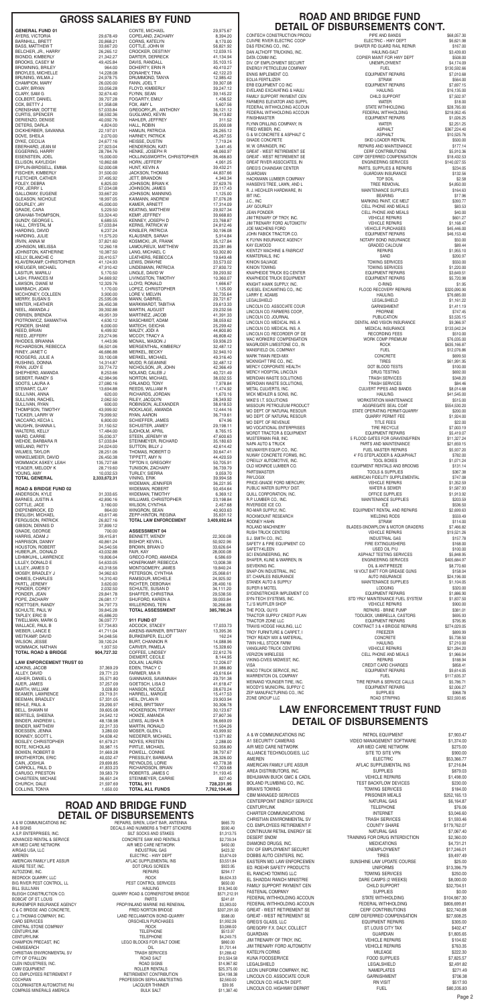A & W COMMUNICATIONS INC REPAIRS, SIREN, LIGHT BAR, ANTENNA \$665.70 BIG RIVER PEST CONTROL, LL CENTRAL STONE COMPANY CHEMSEARCH OIL<br>CHRISTIAN FNVIRONMENTAL SV CHRISTIAN TRASH SERVICES COMPASS MINERALS AMERICA

A-B SIGNS<br>A S P ENTERPRISES INC A.S.P. ENTERPRISES, INC. SILT SOCKS AND STAKES \$1,313.75 ADVANCED RENTAL & SERVICE CONCRETE SAW AND RENTALS \$2,739.34 AIR MED CARE NETWORK SASO.00<br>AIRGAS USA, LLC SASO.000 AIR MED CARE NETWORK SASO.000 AIRGAS USA, LLC AIRGAS USA, LLC INDUSTRIAL GAS \$423.32 AMEREN ELECTRIC - HWY DEPT \$3,874.09 AFLAC SUPPLEMENTAL INS ASURE TEST, INC. SALE AND THE SERVICE OF DRUG SCREEN S923.95 AUTOZONE, INC. REPAIRS \$294.17 BEDROCK QUARRY, LLC ROCK \$6,624.33 BILL SULLIVAN HAULING \$18,340.00 QUARRY ROAD & CORNERSTONE BRIDGE BOBCAT OF ST. LOUIS 6241.61 BURKEMPER INSURANCE AGENCY FROP/INLAND MARINE INS RENEWAL \$3,383.00 \$3,383.00<br>C & C BRIDGE AND CONCRETE, FRED NORTON BRIDGE \$307,291.00 C & C BRIDGE AND CONCRETE, THE CONSIDERED NORTON BRIDGE S307,291.00<br>C. J. THOMAS COMPANY, INC. C. THOMAS COMPANY, INC. C. J. THOMAS COMPANY, INC. (2008) CAND RECLAMATION BOND-QUARRY \$588.00 CARD SERVICES \$1,992.26 ORSCHELN PURCHASES \$1,992.26<br>ROCK \$3,088.00 CENTURYLINK TELEPHONE \$513.97 CENTURYLINK TELEPHONE \$4,249.75 LEGO BLOCKS FOR SALT DOME \$860.00<br>OIL \$1,701.44 CHRISTIAN ENVIRONMENTAL SV TRASH SERVICES \$1,288.42 CITY OF O'FALLON GALLON CITY OF O'FALLON SALT SALT SERIES AND SALT SERIES STO, 504.58<br>
SALT SALT STAGS STAGS STAGS STAGS STAGS STAGS STAGS STAGS STAGS STAGS STAGS STAGS STAGS STAGS STAGS STAGS STA CLEN INDUSTRIES, INC. ROAD SIGNS \$14,967.82 ROLLER RENTALS CO. EMPLOYEES RETIREMENT F FRETIREMENT CONTRIBUTION \$34,198.38<br>COCHRAN \$34,198.38 PROFESSION SERV-I ARATESTING \$2.560.00 PROFESSION SERV-LAB&TESTING \$2,560.00<br>LACQUER THINNER \$39.95 COLORMASTER AUTOMOTIVE PAI **EXECUTE AUTOMOTIVE PAI LACQUER THINNER** COLORMASTER AUTOMOTIVE PAI<br>COMPASS MINERALS AMERICA **EXECUTER THINNER** BULK SALT \$11,387.40

| <b>GENERAL FUND 01</b>                              |                         |
|-----------------------------------------------------|-------------------------|
| AYERS, VICTORIA                                     | 29,678.49               |
| <b>BARNHILL, BRETT</b>                              | 20,868.21               |
| <b>BASS, MATTHEW T</b><br>BELCHER, JR., HARRY       | 33,667.20<br>26,265.12  |
| <b>BIONDO, KIMBERLY</b>                             | 21,342.27               |
| <b>BROOKS, CASEY M</b>                              | 49,425.84               |
| <b>BROWNING, BRILEY</b>                             | 964.00                  |
| <b>BROYLES, MICHELLE</b><br>BRUNING, WILMA J        | 14,228.08<br>24,978.75  |
| CHAMPION, MARY                                      | 26,020.00               |
| CLARY, BRYAN                                        | 33,056.28               |
| CLARY, SAM G                                        | 32,674.40               |
| COLBERT, DANIEL                                     | 39,707.28               |
| COX, BETTY J<br>CRENSHAW, DOTTIE                    | 51,358.08<br>57,033.84  |
| <b>CURTIS, SPENCER</b>                              | 58,592.36               |
| DERIENZO, DENISE                                    | 40,092.76               |
| DETERS, DARLA                                       | 4,824.00                |
| DICKHERBER, SAVANNA                                 | 22,197.01               |
| DOVE, SHEILA<br>DYKE, CECILIA                       | 2,070.00<br>24,677.16   |
| EBERHARD, JEAN M                                    | 27,923.04               |
| EGGERING, HARRY                                     | 28,784.76               |
| EISENSTEIN, JOEL                                    | 15,000.00               |
| ELLISON, KAYLEIGH                                   | 10,862.68               |
| EPPLIN-BIRDSELL, EMMA<br>FISCHER, KIMBERLY          | 52,000.08<br>31,500.00  |
| FLETCHER, CATHER                                    | 37,495.92               |
| FOLEY, DEBRA                                        | 6,825.00                |
| FOX, JERRY L                                        | 57,034.08               |
| GALLOWAY, EUGENE                                    | 33,667.20<br>18,997.05  |
| <b>GLEASON, NICHOLE</b><br>GOURLEY, JAY             | 45,000.00               |
| GRADE, CARA                                         | 5,229.50                |
| GRAHAM-THOMPSON,                                    | 53,324.40               |
| GUNDY, GEORGE L                                     | 6,689.55                |
| HALL, CRYSTAL M<br>HARDING, DAVID                   | 57,033.84               |
| HARDING, JULIE                                      | 6,237.24<br>11,575.20   |
| IRVIN, ANNA M                                       | 37,821.60               |
| JOHNSON, MELISSA                                    | 12,260.18               |
| JOHNSTON, KATHERINE                                 | 10,387.50               |
| <b>KELLY, BLANCHE C</b>                             | 20,410.57               |
| KLAVERKAMP, CHRISTOPHER<br><b>KREUGER, MICHAEL</b>  | 41,124.93<br>47,910.42  |
| LASITUR, MARILU                                     | 5,170.50                |
| LASH, FRANCES M                                     | 34,669.92               |
| LAWSON, DIANE M                                     | 12,329.76               |
| MARBACH, JOAN                                       | 1,170.00                |
| MCCHONEY, COLLEEN<br><b>MERRY, SUSAN S</b>          | 3,900.00<br>25,595.06   |
| MINTER, HEATHER                                     | 26,450.38               |
| NEEL, AMANDA J                                      | 39,392.88               |
| O'BRIEN, BRENDA                                     | 49,951.39               |
| PIOTROWICZ, SAMANTHA                                | 4,630.12                |
| PONDER, SHANE<br>REED, BRIAN                        | 6,000.00<br>6,499.92    |
| REED, JEFFERY                                       | 23,274.96               |
| RHODES, BRIANNA                                     | 1,443.96                |
| RICHARDSON, REBECCA                                 | 56,501.06               |
| RINEY, JANET C                                      | 46,686.88               |
| RODGERS, JULIE A<br>RUSHING, DONNA                  | 33,100.08<br>14,314.87  |
| RYAN, JUDY E                                        | 33,774.72               |
| SHEPHERD, AMANDA                                    | 8,253.66                |
| SIEBERT, RANDY S                                    | 42,984.96               |
| SOOTS, LAURA A                                      | 27,080.16               |
| STEWART, CLAY<br>SULLIVAN, ANNA                     | 13,694.88<br>620.00     |
| SULLIVAN, RACHEL                                    | 2,062.50                |
| SULLIVAN, RYAN                                      | 600.00                  |
| THOMPSON, TIMOTHY                                   | 43,999.92               |
| <b>TUCKER, LARRY W</b>                              | 79,999.92               |
| VACCARO, KECIA L<br>VAUGHN, SHANNA L                | 6,800.00<br>31,150.52   |
| <b>WALTERS, KELLY</b>                               | 17,484.00               |
| <b>WARD, CARRIE</b>                                 | 35,030.37               |
| WEHDE, BARBARA R                                    | 57,033.84               |
| WIELAND, PATTY                                      | 24,024.00               |
| <b>WILMES, TAYLOR</b>                               | 28,251.06               |
| WINKELMEIER, DAVID<br>WOMMACK ASKEY, LEAH           | 26,450.38<br>135,727.68 |
| YEAGER, MELODY K                                    | 28,719.60               |
| YOUNG, AMY                                          | 10,032.53               |
| <b>TOTAL GENERAL</b>                                | 2,333,672.31            |
| <b>ROAD &amp; BRIDGE FUND 02</b>                    |                         |
| ANDERSON, KYLE                                      | 31,333.65               |
| <b>BARNES, JUSTIN A</b>                             | 42,890.16               |
| COTTLE, JACE                                        | 3,160.00                |
| DIEPENBROCK, ED                                     | 864.00                  |
| <b>ENGLISH, MICHAEL</b><br><b>FERGUSON, PATRICK</b> | 43,617.46               |
| GIBSON, DENNIS D                                    | 26,827.16<br>37,899.12  |
| GNADE, GEORGE                                       | 700.00                  |
| HARRIS, ADAM J                                      | 39,415.81               |
| HARRISON, DANNY                                     | 40.861.24               |
| <b>HOUSTON, ROBERT</b><br>HUBER, JR., DONALD        | 34,540.56<br>43,032.88  |
|                                                     |                         |

LEHMKUHL, LAWRENCE LILLEY, DONALD E LILLEY, JAMES D MOSBY, BRADLEY J

29,975.67 8,394.20 8,170.00 56,821.92 12,039.15 DARTER, DERRECK 41,134.94 35,103.15 40,410.27 DONAHEY, TINA 42,122.23 12,985.42 39,307.08 39,247.12 39,145.22 1,436.52  $5,607.56$ 36,121.12 36,413.82 311.52 25,000.08 26,265.12 45.267.55 7.719.24 3,441.45 48,060.97 36,466.83 4,061.25 39,432.21 44,837.66 4,340.34 37,629.76 29,117.43 1.125.00 37,076.28 17,314.09 29,927.34 39,668.83 23.768.87 24,812.46 30,196.08 5,914.84 35,127.84 23,281.86 50,302.80  $1964948$ LEWIS, DWAYNE 33,573.02 27,830.72 39.293.92 10.360.07 1,666.67 1,125.00 32,735.64 29.721.67 29,613.33 29,232.56 41,391.33 38,059.62 25,299.42  $\overline{44}$ ,800.80 46,808.42 59,936.23 32,487.12 32,940.10 49,316.40 32,487.12 42,366.49 40.721.49 38,032.55  $7,978.84$ 11,474.92 1,670.16 28,349.92 38,618.53 12,444.16  $36.719.61$ 674.96 29,198.11 8.765.15 47,600.63 35,180.63 42,614.42 30.647.41 44.420.59 50,705.91 36,739.79 9,059.70 39,994.58 36,221.95 50.454.64 6,369.12 23,198.84 2,457.68 40.903.63 35.631.12 **TOTAL LAW ENFORCEMENT 3,409,692.64**

> BENNETT, WENDY 22,300.08 50,922.96 33,626.64 28,000.08 6,586.69 13,008.38 19,840.24 25,068.61

CONTECH CONSTRUCTION PRODU PIPE AND BANDS \$68,057.30 CUIVRE RIVER ELECTRIC COOP ELECTRIC - HWY DEPT \$6,621.98 SHAFER RD GUARD RAIL REPAIR DAN ALTHOFF TRUCKING, INC. HAULING-SALT \$3,439.83 COPIER MAINT FOR HWY DEPT DIV. OF EMPLOYMENT SECURIT CONTROL CONTROL CONTROL UNEMPLOYMENT S4,174.09 ENERGY PETROLEUM COMPANY FUEL THE FUEL THE ST30,592.66 ENNIS IMPLEMENT CO. **EQUIPMENT REPAIRS** \$7,010.68 EOLIA FERTILIZER STRAW \$564.00 ERB EQUIPMENT CO INC<br>
FVEI AND FXCAVATING & HALILI FAMILY SUPPORT PAYMENT CEN **EXAMILY SUPPORT SUPPORT** \$7,502.97 FARMERS ELEVATOR AND SUPPL **Example 20 and State 1 and State 318.00** water and the state  $\frac{1}{2}$  \$18.00 FEDERAL WITHHOLDING ACCOUN STATE WITHHOLDING \$28,785.00 FEDERAL WITHHOLDING ACCOUN FEDERAL WITHHOLDING \$218,952.45 EQUIPMENT REPAIRS \$1,026.25 FLYNN DRILLING COMPANY, IN GALACTER WATER \$2,251.25<br>FRED WEBER, INC. COMPANY, IN GALACTER ASPHALT \$367,224.40 FRED WEBER, INC. ASPHALT \$367,224.40 SKID LOADER RENTAL \$500.00 W. W. GRAINGER, INC STATES AND MAINTENANCE STATES AND MAINTENANCE STATES AND MAINTENANCE GREAT - WEST RETIREMENT SE CERF CONTRIBUTIONS \$5,910.36<br>GREAT - WEST RETIREMENT SE CERE DEFERED COMPENSATION \$18,432.53 GREAT - WEST RETIREMENT SE<br>GREAT RIVER ASSOCIATES IN FORD FOR THE REPORT OF STATISTICS STATISTICS STATISTICS GREAT RIVER ASSOCIATES, IN FOR THE SERVICES SERVICES (STAD, 027.55 SHAD, 027.55<br>GREG'S CHAINSAW CENTER FOR THE SERVICES SERVICES & REPAIRS \$234.05 PARTS, SUPPLIES & REPAIRS GUARDIAN GUARDIAN GUARDIAN INSURANCE \$132.56<br>HACKMANN LUMBER COMPANY TOP SOIL TOP SOIL \$2.58 HACKMANN LUMBER COMPANY **TOP SOIL TOP SOIL** \$2.58 HANSEN'S TREE, LAWN, AND L<br>
R. I. HECHI FR HARDWARF IN TREE REMOVAL BUPPLIES \$164.63 IBT INC. BEARING \$17.96 J.C., INC MARKING PAINT, ICE MELT \$393.77 JAY GOURLEY CELL PHONE AND MEALS \$83.53 CELL PHONE AND MEALS JIM TRENARY OF TROY, INC. VEHICLE REPAIRS \$601.27 JIM TRENARY FORD AUTOMOTIV **AUTOMOTIC CONSUMING A SUMPLIFY ASSAULT** VEHICLE REPAIRS \$1,168.47 JOE MACHENS FORD VEHICLE PURCHASES \$45,446.00 JOHN FABICK TRACTOR CO. THE SECOND METHOD SASSET AND REPAIRS \$46,153.40 K FLYNN INSURANCE AGENCY NOTARY BOND INSURANCE \$50.00 KAY ELWOOD GRADED CALCIUM \$89.44 KIMATERIALS, INC SAND \$200.97 TOWING SERVICES \$550.00 KINION TOWING \$1,220.00 TOWING SERVICES \$1,220.00 KNAPHEIDE TRUCK EQ CENTER **EXECUTER EQUIPMENT REPAIRS** \$3.649.51 KNAPHEIDE TRUCK EQUIPMENT **EQUIPMENT REPAIRS** \$5,720.98 KNIGHT HAWK SUPPLY, INC. O-RING \$1.95 KUESEL EXCAVATING CO., INC FLOOD RECOVERY REPAIRS \$320,090.90 LARRY E. ADAMS HAULING \$76,685.00 LINCOLN CO. ASSOCIATE COUR GARNISHMENT \$1,411.19 LINCOLN CO. FARMERS COOP.  $\blacksquare$ LINCOLN CO. JOURNAL NOTE AND THE RELATION PUBLICATION \$3,535.15 PUBLICATION \$3,535.15<br>PENTAL AND VISION INSIRANCE \$9,366.97 DENTAL AND VISION INSURANCE \$9,366.97<br>MEDICAL INSURANCE \$133,042.24 LINCOLN CO. MEDICAL INS. A MEDICAL INSURANCE \$133,042.24<br>
LINCOLN CO. RECORDER OF DE RECORDING FEES \$510.00 LINCOLN CO. RECORDER OF DE RECORDING FEES \$510.00 MAC WORKERS' COMPENSATION WORK COMP PREMIUM \$76,035.00 MAGRUDER LIMESTONE CO., IN GRAVIT CONSISTED A ROCK \$635,166.87 MANSFIELD OIL COMPANY **FUEL** FUEL \$12,076.86 MARK TWAIN REDI-MIX GONCRETE SERVICES AND THE SERVICE ONCRETE MCKNIGHT TIRE CO., INC. [1991.95] TIRES THE SALE REST STORE THE ROOL OF THE SALE REST STOLEN STOLEN STOLEN STOLEN<br>MERCY CORPORATE HEALTH STOLEN STOLEN STOLEN STOLEN STOLEN STOLEN STOLEN STOLEN STOLEN STOLEN STOLEN STOLEN S MERCY CORPORATE HEALTH DOT BLOOD TESTS \$100.00 MERCY HOSPITAL LINCOLN<br>MERIDIAN WASTE SOLUTIONS TRASH SERVICES TRASH SERVICES \$348.20 MERIDIAN WASTE SOLUTIONS, TRASH SERVICES \$84.46 CULVERT PIPES AND BANDS \$8,014.68 MICK MEHLER & SONS, INC. THE SAME SAME SAME SALE SALES AND HAULING SALES AND SALES SALES AND SALES AND SALES SO MIKE'S I.T. SOLUTIONS<br>MISSOURI PETROLEUM PRODUCT AGGREGATE SEAL COAT \$515.000 \$515.000 MO DEPT. OF NATURAL RESOUR STATE OPERATING PERMIT-QUARRY S200.00<br>MO DEPT. OF NATURAL RESOUR SALES SOUR SALES SALES SALES SALES SALES SALES SALES SALES SALES SALES SALES SALES MO DEPT. OF REVENUE TITLE FEES S22.00<br>MO VOCATIONAL ENTERPRISES STATES TIRE RECYCLE S7,003.19 MORDT TRACTOR & EQUIPMENT **EQUIPMENT REPAIRS** \$5,419.07 MUSTERMAN FAB, INC. THE STATE STATES FOR GRAVENS/FREN \$11,327.24 NAPA AUTO & TRUCK COMPUTED AND THE PARTS AND MAINTENANCE \$21,659.15<br>NEUMAYER EQUIP CO., INC. THE PARTS AND THE MASTER REPAIRS \$5,937.20 NEUMAYER EQUIP. CO., INC. FUEL MASTER REPAIRS \$5,937.20 4' FG STEPLADDER & AQUAPHALT \$782.00<br>TOOL BOXES \$1,071.24 OLD MONROE LUMBER CO. THE SECUL BROOMS TO DESCRIP AND STATE STATES AND BROOMS TOOLS AS SUPPLIES SANT SAND BROOMS POOLS & SUPPLIES \$367.38 PAYLOGIX **AMERICAN FIDELITY SUPPLEMENTAL** \$747.08 PRICE-GNADE FORD MERCURY. THE SECOND OF STATE REPAIRS THE STATE STATES AND STATES AND REPAIRS PUBLIC WATER SUPPLY DIST. THE SERVER WATER & SEWER \$1,587.93 QUILL CORPORATION, INC. OFFICE SUPPLIES \$1,913.92 MAINTENANCE SUPPLIES \$203.59 RIVERSIDE ICE CO. ICE \$536.50 EQUIPMENT RENTAL AND REPAIRS \$2,699.63 ROCKMOUNT RESEARCH **EXAMPLE 2559.49** WELDING RODS \$559.49 RODNEY HAHN STRAW \$114.00 ROLAND MACHINERY BLADES-SNOWPLOW & MOTOR GRADERS \$7,466.82 RUSH TRUCK CENTERS **THE STATE OF STATE ASSESSED ASSESSED** VEHICLE REPAIRS \$19.521.26 S.J. SMITH CO., INC. INDUSTRIAL GAS \$157.78 SAFETY & FIRE EQUIPMENT CO FIRE EXTINGUISHERS \$168.00 SSPHALT TESTING SERVICES \$5,848.95<br>FNGINEERING SERVICES \$405.684.97 SHAFER, KLINE & WARREN, IN ENGINEERING SERVICES \$405,684.97 SIEVEKING INC. OIL & ANTIFREEZE \$8,770.60 SNAP-ON INDUSTRIAL, INC 18 VOLT BATT FOR GREASE GUNS \$158.04

| OHMES, CHARLES                  | 14,310.40  | RAMSOUR, MICHELE         | 24,925.92    |
|---------------------------------|------------|--------------------------|--------------|
| PARTL, JEREMY                   | 3,620.00   | RICHTER, DEBORAH         | 28,490.16    |
| PONDER, COREY                   | 2,032.50   | SCHULTE, SUSAN D         | 34,111.20    |
| PONDER, JEAN                    | 29,841.78  | SHAFFER, CHRISTINA       | 29,538.56    |
| POPE, ZACHARY                   | 26,081.17  | SHUFORD, KAREN A         | 39,093.84    |
| ROETTGER, RANDY                 | 34,797.73  | <b>WILLERDING, TERI</b>  | 30,266.88    |
| SCHULTE, PAUL W                 | 39,845.28  | <b>TOTAL ASSESSMENT</b>  | 385,780.24   |
| TAPLEY, ERIC B                  | 45,686.20  |                          |              |
| TWELLMAN, MARK G                | 36,097.77  | 911 FUND 07              |              |
| WALLACE, PAUL B                 | 57,734.83  | ADCOCK, STACEY           | 17,033.73    |
| WEBER, LANCE E                  | 41,711.04  | AIKENS-WARNER, BRITTANY  | 13,395.36    |
| <b>WEITKAMP, DAVID</b>          | 34,048.56  | <b>BURKEMPER, ELLIOT</b> | 162.24       |
| <b>WILSON, JESSE</b>            | 39,120.24  | <b>BURT, CHANNON R</b>   | 14,088.96    |
| WOMMACK, NATHAN                 | 1,937.50   | CARVER, PAMELA           | 15,328.60    |
| <b>TOTAL ROAD &amp; BRIDGE</b>  | 904,727.32 | COFFEE, LINDSEY          | 22,612.76    |
|                                 |            | <b>DIEMERT, CECILE</b>   | 8,144.95     |
| <b>LAW ENFORCEMENT TRUST 03</b> |            | DOLAN, LAUREN            | 12,206.07    |
| ADKINS, JACOB                   | 37,369.29  | EDEN, TRACY C            | 31,986.80    |
| ALLEY, DAVID                    | 29,771.23  | FARMER, MIA R            | 43,616.64    |
| ASHER, DANIEL G                 | 35,571.80  | GIANNAKIS, SAVANNAH      | 29,791.38    |
| AUER, JAMES                     | 37,257.09  | GOETSCH, LISA D          | 41,618.47    |
| BARTH, WILLIAM                  | 3,028.80   | HANSON, NICOLE           | 28,670.24    |
| BEAMER, LAWRENCE                | 29,719.31  | HARRELL, MARGIE          | 15,417.53    |
| BEEMAN, BRADLEY                 | 57,331.05  | HEIL, DYLAN R            | 29,903.94    |
| BEHLE, PAUL A                   | 29,290.97  | <b>HEINS, BRITTANY</b>   | 30,306.78    |
| BELL, SHAWN M                   | 39,605.08  | HOCKERSON, TIFFANY       | 30,123.67    |
| BERTELS, SHEENA                 | 24,542.12  | HOWZE, AMANDA            | 27,807.36    |
| BINDER, ANDREW L                | 48,138.98  | LEWIS, ALISHA R          | 36,669.09    |
| <b>BINDER, MATTHEW</b>          | 22,317.33  | <b>MARTIN, RONALD</b>    | 11,504.26    |
| BOESSEN, JENNA                  | 3,280.00   | MOSER, GLEN L            | 43,999.92    |
| BONNEY, SCOTT L                 | 34,638.42  | NIEDERER, MICHAEL        | 13,971.82    |
| <b>BOSLEY, CHRISTOPHER</b>      | 61,679.21  | NOYES, KRISTEN           | 2,288.00     |
| BOTE, NICHOLAS                  | 30,987.15  | PIRTLE, MICHAEL          | 50,356.80    |
| <b>BOWEN, ROBERT B</b>          | 31,669.28  | POWELL, CONNIE           | 38,797.67    |
| <b>BROTHERTON, ERIC</b>         | 40,032.47  | PRESSLEY, BARBARA        | 28,326.00    |
| CAIN, JOSHUA                    | 29,699.85  | REYNOLDS, LORIE          | 40,778.38    |
| CARROLL, PAUL D                 | 41,833.23  | RICHARDSON, BRIAN        | 17,303.68    |
| CARUSO, PRESTON                 | 39,583.79  | ROBERTS, JAMES C         | 31,193.45    |
| CHASTEEN, MICHAE                | 36,651.24  | STEINMEYER, CARRIE       | 827.40       |
| CHURCH, DALE                    | 21,597.69  | <b>TOTAL 911</b>         | 728,231.95   |
| COLLINS, TONYA                  | 1,650.00   | <b>TOTAL ALL FUNDS</b>   | 7,762,104.46 |

## **ROAD AND BRIDGE FUND DETAIL OF DISBURSEMENTS**<br>A & W COMMUNICATIONS INC

|                           | CONTE, MICHAEL                          |
|---------------------------|-----------------------------------------|
| 9,678.49!<br>20,868.21    | COPELAND, ZACHARY<br>CORNS, KATELYN     |
| 13,667.20                 | COTTLE, JOHN W                          |
| 6,265.12 <u>%</u>         | CROCKER, DESTINY                        |
| 1,342.27                  | DARTER, DERRECK                         |
| 9,425.84                  | DAVIS, RANDALL                          |
| 964.00                    | DOHERTY, ERIN R                         |
| 4,228.08<br>4,978.75!     | DONAHEY, TINA<br>DRUMMOND, TANYA        |
| 6,020.00!                 | FANN, JOEL T                            |
| 13,056.28                 | FLOYD, KIMBERLY                         |
| 2,674.40                  | FLYNN, SEAN                             |
| 19,707.28                 | FOGARTY, EMILY                          |
| 1,358.08                  | FOX, AMY L                              |
| 7,033.84                  | GREGORY,JR., ANTHONY                    |
| 6,592.36<br>10,092.76     | GUGLIANO, KEVIN<br>HAHLER, JEFFREY      |
| 4,824.00                  | HALL, ROBIN                             |
| 2,197.01                  | HAMLIN, PATRICIA                        |
| 2,070.00                  | HARNEY, PATRICK                         |
| 4,677.16                  | HEISSE, DUSTIN                          |
| ?7,923.04<br>8,784.76!    | HENDERSON, KATI<br>HENKE, JOSEPH R      |
| 5,000.00                  | HOLLINGSWORTH, CHRISTOPHER              |
| 0,862.68                  | HORN, JEFFERY                           |
| 2,000.08                  | HUNT, KEVIN A                           |
| 1,500.00                  | JACKSON, THOMAS                         |
| 37,495.92                 | JETT, BRANDON                           |
| 6,825.00<br>7,034.08      | JOHNSON, BRIAN K<br>JOHNSON, JAMES      |
| 3,667.20                  | JOHNSON, MANNING                        |
| 8,997.05                  | KAIMANN, ANDREW                         |
| 5,000.00                  | KAMER, ARNETT                           |
| 5,229.50                  | KEATING, MATTHEW                        |
| 3,324.40                  | KEMP, JEFFREY                           |
| 6,689.55                  | KENNEY, JOSEPH D                        |
| 7,033.84<br>6,237.24      | KERNS, PATRICK W<br>KINSLER, PATRICIA   |
| 1,575.20                  | KLAUSNER, SARAH                         |
| 17,821.60                 | KOSMICKI, JR, FRANK                     |
| 2,260.18                  | LAMOUREUX, MATTHEW                      |
| 0,387.50                  | LANG, MICHAEL C                         |
| 0,410.57                  | LEATHERS, REBECCA                       |
| 1,124.93<br>910.42 ا      | LEWIS, DWAYNE<br>LINDEMANN, PATRICIA    |
| 5,170.50                  | LINGLE, DAVID W                         |
| 14,669.92                 | LIVINGSTON, TIMOTHY                     |
| 2,329.76                  | LLOYD, RONALD                           |
| 1,170.00                  | LOPEZ, CHRISTOPHER                      |
| 3,900.00                  | LORE V, MELVIN<br>MANN, GABRIEL         |
| 25,595.06<br>16,450.38    | MARKWARDT, TABITHA                      |
| 19,392.88                 | MARTIN, AUGUST                          |
| 19,951.39                 | MARTINEZ, JACOB                         |
| 4,630.12                  | MASCHMIDT, ADAM                         |
| 6,000.00                  | MATECH, GEICHA                          |
| 6,499.92                  | MAUZY, JODI A<br>MCCOY, TRACY A         |
| :3,274.96<br>1,443.96     | MCNAIL, MASON J                         |
| 6,501.06                  | MERGENTHAL, KIMBERLY                    |
| 6,686.88                  | MERKEL, BECKY                           |
| 83,100.08                 | MERKEL, MICHAEL                         |
| 4,314.87                  | MUDD, R.GEANINE                         |
| 13,774.72<br>8,253.66     | NICHOLSON, JR, JOHN<br>NOLAND, CALEB J  |
| 12,984.96                 | NORTON, MICHAEL                         |
| ?7,080.16                 | ORLANDO, TONY                           |
| 3,694.88                  | REEDS, WILLIAM R                        |
| 620.00                    | RICHARDS, JORDAN                        |
| 2,062.50                  | RILEY, JACQLYN                          |
| 600.00<br>13,999.92       | ROBINSON, ALEXANDER<br>ROCKLAGE, AMANDA |
| '9,999.92                 | ryan, Aaron                             |
| 6,800.00                  | SCHIEFFER, JAMES                        |
| 1,150.52                  | SCHUSTER, JAMEY                         |
| 7,484.00                  | SJOHOLM, APRIL                          |
| 15,030.37<br>7,033.84     | STEEN, JEREMY W<br>STEINMEYER, RICHARD  |
| 4,024.00!                 | SUTTON, BILLY J                         |
| 8,251.06                  | THOMAS, ROBERT D                        |
| 16,450.38                 | TIPPETT, AMY N                          |
| 15,727.68                 | TIPTON II, GREGORY                      |
| 8,719.60                  | TUNISON, ZACHARY                        |
| 0,032.53<br>3,672.31      | <b>TURLEY, SIERRA</b><br>VINING, ERIK   |
|                           | WIDEMAN, JENNIFER                       |
|                           | WIDEMAN, ROBERT                         |
| 11,333.65                 | WIDEMAN, TIMOTHY                        |
| 2,890.16                  | <b>WILLIAMS, CHRISTOPHER</b>            |
| 3,160.00                  | WILSON, CYNTHIA                         |
| 864.00<br>3,617.46        | WINGRON, SEAN<br>ZEPP-HINTON, REGINA    |
| 16,827.16                 | <b>TOTAL LAW ENFORCEMENT</b>            |
| 17,899.12                 |                                         |
| 700.00                    | <b>ASSESSMENT 04</b>                    |
| 89,415.81                 | BENNETT, WENDY                          |
| 0,861.24                  | BISHOP, KEVIN L                         |
| 14,540.56<br>3,032.88     | BROWN, BRIAN D<br>FAIR, KAY             |
| 9,806.04                  | GRECO-FORD, AMANDA                      |
| 64,633.05                 | HONERKAMP, REBECCA                      |
| ¦3,318.56                 | MONTGOMERY, JAMES                       |
| 14,962.63<br>$A$ 210 $AD$ | PETERSON, CYNTHIA                       |
|                           | RAMSOUR MICHELE                         |

## GROSS SALARIES BY FUND **ROAD AND BRIDGE FUND DETAIL OF DISBURSEMENTS CON'T.**<br>Istruction produ

EVELAND EXCAVATING & HAULI HAULING FAMILY SUPPORT PAYMENT CEN G & M CONCRETE & ASPHALT C ASPHALT C ASPHALT GNADE CONCRETE R. J. HECHLER HARDWARE. IN **MAINTENANCE SUPPLIES** KIENTZY MACHINE & FABRICAT LEGALSHIELD LEGALSHIELD \$1,161.22 MERIDIAN WASTE SOLUTIONS MISSOURI PETROLEUM PRODUCT AGGREGATE SEAL COAT MO DEPT. OF NATURAL RESOUR MO VOCATIONAL ENTERPRISES O'REILLY AUTOMOTIVE, INC. SAFETY-KLEEN USED OIL P/U \$100.00 ST. CHARLES INSURANCE STANEK AUTO & SUPPLY SUPER 8 MOTEL SYDENSTRICKER IMPLEMENT CO SYN-TECH SYSTEMS, INC.<br>TJ'S MUEELER SHOP THE POOL GUYS TRACTOR SUPPLY CREDIT PLAN TRACTOR ZONE LLC TRAVIS HODGE HAULING, LLC TROY FURNITURE & CARPET, I TROY READY MIX & MATERIAL, TWIN HILL STOCK FARM VANGUARD TRUCK CENTERS VERIZON WIRELESS VIKING-CIVES MIDWEST, INC. WACO TRUCK SERVICE, INC. WARRENTON OIL COMPANY WEINAND YOUNGER TIRE, INC. WOODY'S MUNICIPAL SUPPLY C ZEP MANUFACTURING CO., INC ZONE GROUP LLC

| ƏT. UNANLEƏ INƏUNANUE      | AUTU INSURANGE                   | <b>DZ4, 190.00</b> |
|----------------------------|----------------------------------|--------------------|
| STANEK AUTO & SUPPLY       | MAINTENANCE SUPPLIES             | \$1,104.05         |
| SUPER 8 MOTEL              | <b>LODGING</b>                   | \$320.00           |
| SYDENSTRICKER IMPLEMENT CO | EQUIPMENT REPAIRS                | \$1,886.90         |
| SYN-TECH SYSTEMS, INC.     | STD YRLY MAINTENANCE FUEL SYSTEM | \$1,837.50         |
| T.J.'S MUFFLER SHOP        | <b>VEHICLE REPAIRS</b>           | \$900.00           |
| THE POOL GUYS              | REPAIRS - BRINE PUMP             | \$381.01           |
| TRACTOR SUPPLY CREDIT PLAN | TOOLBOX, UMBRELLA, CASTORS       | \$695.93           |
| TRACTOR ZONE LLC           | <b>EQUIPMENT REPAIRS</b>         | \$795.95           |
| TRAVIS HODGE HAULING, LLC  | CONTRACT 3 & 4 BRIDGE REPAIRS    | \$274,029.05       |
| TROY FURNITURE & CARPET. I | <b>FREEZER</b>                   | \$899.99           |
| TROY READY MIX & MATERIAL, | <b>CONCRETE</b>                  | \$5,738.50         |
| TWIN HILL STOCK FARM       | <b>HAULING</b>                   | \$7,210.00         |
| VANGUARD TRUCK CENTERS     | <b>VEHICLE REPAIRS</b>           | \$21,284.20        |
| VERIZON WIRELESS           | <b>CELL PHONE AND MEALS</b>      | \$1,966.04         |
| VIKING-CIVES MIDWEST. INC. | <b>REPAIRS</b>                   | \$188.94           |
| VISA                       | CREDIT CARD CHARGES              | \$858.41           |
| WACO TRUCK SERVICE, INC.   | EQUIPMENT REPAIRS                | \$9,614.05         |
| WARRENTON OIL COMPANY      | <b>FUEL</b>                      | \$117,635.37       |
| WEINAND YOUNGER TIRE, INC. | TIRE REPAIR & SERVICE CALLS      | \$5,786.71         |
| WOODY'S MUNICIPAL SUPPLY C | <b>EQUIPMENT REPAIRS</b>         | \$2,006.27         |
| ZEP MANUFACTURING CO., INC | <b>SUPPLIES</b>                  | \$968.78           |
| ZONE GROUP LLC.            | ROAD STRIPING                    | \$22,593,65        |

### **LAW ENFORCEMENT TRUST FUND DETAIL OF DISBURSEMENTS**

A & W COMMUNICATIONS INC A1 SECURITY CAMERAS AIR MED CARE NETWORK ALLIANCE TECHNOLOGIES, LLC AMERICAN FAMILY LIFE ASSUR AREA DISTRIBUTORS, INC. BEHLMANN BUICK GMC & CADIL BOLAND PLUMBING CO., INC. BRIAN'S TOWING CBM MANAGED SERVICES CENTERPOINT ENERGY SERVICE CHARTER COMMUNICATIONS CHRISTIAN ENVIRONMENTAL SV CO. EMPLOYEES RETIREMENT F CONTINUUM RETAIL ENERGY SE DESERT SNOW DIAMOND DRUGS, INC. DIV. OF EMPLOYMENT SECURIT DOBBS AUTO CENTERS, INC. EASTERN MO. LAW ENFORCEMEN ED. ROEHR SAFETY PRODUCTS EL RANCHO TOWING LLC EL SHADDAI RANCH MINISTRIE FAMILY SUPPORT PAYMENT CEN FASTENAL COMPANY FEDERAL WITHHOLDING ACCOUN FEDERAL WITHHOLDING ACCOUN GREAT - WEST RETIREMENT SE GREAT - WEST RETIREMENT SE GREG'S GLASS, LLC GREGORY F.X. DALY, COLLECT JIM TRENARY OF TROY, INC. JIM TRENARY FORD AUTOMOTIV KATELYN CORNS KUNA FOODSERVICE LEGALSHIELD LEON UNIFORM COMPANY, INC. LINCOLN CO. ASSOCIATE COUR LINCOLN CO. HEALTH DEPT. LINCOLN CO. HIGHWAY DEPART

| A & W COMMUNICATIONS INC          | PATROL EQUIPMENT               | \$7,903.47   |
|-----------------------------------|--------------------------------|--------------|
| A1 SECURITY CAMERAS               | VIDEO MANAGEMENT SOFTWARE      | \$1,374.00   |
| AIR MED CARE NETWORK              | AIR MED CARE NETWORK           | \$275.00     |
| ALLIANCE TECHNOLOGIES, LLC        | SITE TO SITE VPN               | \$900.00     |
| AMEREN                            | <b>ELECTRIC</b>                | \$53,366.77  |
| AMERICAN FAMILY LIFE ASSUR        | AFLAC SUPPLEMENTAL INS         | \$7,216.84   |
| AREA DISTRIBUTORS, INC.           | <b>SUPPLIES</b>                | \$879.03     |
| BEHLMANN BUICK GMC & CADIL        | <b>VEHICLE REPAIRS</b>         | \$1,498.00   |
| BOLAND PLUMBING CO., INC.         | <b>TEST BACKFLOW DEVICES</b>   | \$230.00     |
| <b>BRIAN'S TOWING</b>             | <b>TOWING SERVICES</b>         | \$184.00     |
| <b>CBM MANAGED SERVICES</b>       | PRISONER MEALS                 | \$252,165.13 |
| CENTERPOINT ENERGY SERVICE        | NATURAL GAS                    | \$6,164.87   |
| CENTURYLINK                       | <b>TELEPHONE</b>               | \$76.06      |
| CHARTER COMMUNICATIONS            | <b>INTERNET</b>                | \$3,046.60   |
| CHRISTIAN ENVIRONMENTAL SV        | <b>TRASH SERVICES</b>          | \$1,593.46   |
| CO. EMPLOYEES RETIREMENT F        | <b>COUNTY SHARE</b>            | \$179,762.07 |
| CONTINUUM RETAIL ENERGY SE        | NATURAL GAS                    | \$7,067.40   |
| <b>DESERT SNOW</b>                | TRAINING FOR DRUG INTERDICTION | \$2,360.00   |
| DIAMOND DRUGS, INC.               | <b>MEDICATIONS</b>             | \$4,731.21   |
| DIV. OF EMPLOYMENT SECURIT        | <b>UNEMPLOYMENT</b>            | \$17,246.01  |
| DOBBS AUTO CENTERS, INC.          | <b>TIRES</b>                   | \$9,497.49   |
| EASTERN MO. LAW ENFORCEMEN        | SUNSHINE LAW UPDATE COURSE     | \$25.00      |
| ED. ROEHR SAFETY PRODUCTS         | <b>UNIFORMS</b>                | \$13,396.79  |
| EL RANCHO TOWING LLC              | <b>TOWING SERVICES</b>         | \$250.00     |
| EL SHADDAI RANCH MINISTRIE        | DARE CAMPS (2 WEEKS)           | \$8,000.00   |
| FAMILY SUPPORT PAYMENT CEN        | CHILD SUPPORT                  | \$32,704.51  |
| FASTENAL COMPANY                  | <b>SUPPLIES</b>                | \$0.00       |
| FEDERAL WITHHOLDING ACCOUN        | STATE WITHHOLDING              | \$104,667.30 |
| FEDERAL WITHHOLDING ACCOUN        | FEDERAL WITHHOLDING            | \$806,699.81 |
| <b>GREAT - WEST RETIREMENT SE</b> | <b>CERF CONTRIBUTIONS</b>      | \$22,740.68  |
| <b>GREAT - WEST RETIREMENT SE</b> | CERF DEFERRED COMPENSATION     | \$27,608.25  |
| GREG'S GLASS, LLC                 | <b>EQUIPMENT REPAIRS</b>       | \$305.00     |
| GREGORY F.X. DALY, COLLECT        | <b>ST. LOUIS CITY TAX</b>      | \$402.47     |
| GUARDIAN                          | <b>GUARDIAN</b>                | \$1,805.65   |
| JIM TRENARY OF TROY, INC.         | <b>VEHICLE REPAIRS</b>         | \$104.62     |
| JIM TRENARY FORD AUTOMOTIV        | <b>VEHICLE REPAIRS</b>         | \$763.35     |
| KATELYN CORNS                     | <b>MILEAGE</b>                 | \$222.30     |
| KUNA FOODSERVICE                  | <b>FOOD SUPPLIES</b>           | \$7,825.57   |
| LEGALSHIELD                       | LEGALSHIELD                    | \$2,491.82   |
| LEON UNIFORM COMPANY, INC.        | <b>NAMEPLATES</b>              | \$271.49     |
| LINCOLN CO. ASSOCIATE COUR        | GARNISHMENT                    | \$706.38     |
| LINCOLN CO. HEALTH DEPT.          | <b>RN VISIT</b>                | \$517.93     |
| LINCOLN CO. HIGHWAY DEPART        | <b>FUEL</b>                    | \$80,335.83  |
|                                   |                                |              |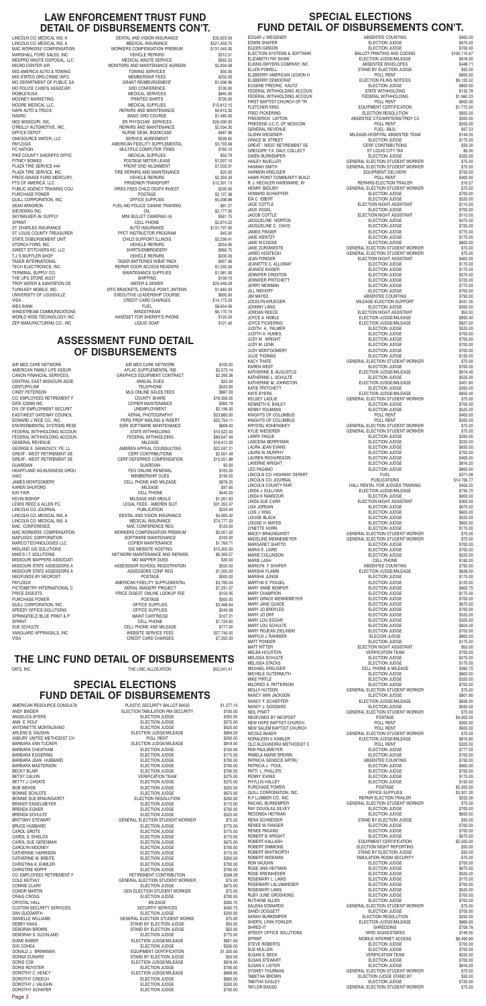#### **SPECIAL ELECTIONS FUND DETAIL OF DISBURSEMENTS**

ANGELICA BYERS<br>ANN E ROLE<br>ELECTION JUDGE BARBARA CHEATHAM CAROLYN MOONEY CO. EMPLOYEES RETIREMENT F COLE KEITHLY DAN SUDDARTH ELECTION JUDGE SAN SUDDARTH ELECTION JUDGE AND THE SUDDARTH SUDDARTH ELECTION STUDEN

AMERICAN RESOURCE CONSULTA<br>ANDY BINDER \$10.00 PLASTIC SECURITY BALLOT BAGS \$1,277.19 ANDY BINDER ELECTION TABULATION RM SECURITY \$100.00 ELECTION JUDGE \$575.00 ANTOINETTE MONTALBANO ELECTION JUDGE \$525.00 ARLENE BELECTION JUDGE/MILEAGE \$894.50<br>POLL RENT \$200.00 ASBURY UNITED METHODIST CH<br>BARBARA ANN TUCKER DESCRIPTION OF SECOND BARBARA ANN TUCKER SECONDER SECONDER SECONDER SECONDER SECONDER SECOND ELECTION JUDGE/MILEAGE \$818.00<br>ELECTION JUDGE \$150.00 BARBARA EGGERING ELECTION JUDGE \$175.00 BARBARA JEAN HUBBARD ELECTION JUDGE \$700.00 BARBARA MASTERSON ELECTION JUDGE \$700.00 BECKY BLAIR ELECTION JUDGE \$700.00 BETSY CALVIN VERIFICATION TEAM \$275.00 ELECTION JUDGE BOB WEHDE S525.00 BONNIE SCHLOTE ELECTION JUDGE \$675.00 BONNIE SUE BRAUNGARDT ELECTION RESOLUTION \$250.00 BRANDY ENGELMEYER ELECTION JUDGE \$175.00 BRENDA EGNER ELECTION JUDGE \$700.00 **ELECTION JUDGE** BRITTANY STEWART GENERAL ELECTION STUDENT WORKER \$75.00 BRUCE HUBBARD ELECTION JUDGE \$775.00 ELECTION JUDGE<br>ELECTION JUDGE \$175.00 CAROL S. SHIELDS ELECTION JUDGE \$175.00 CAROL SUE GERDIMAN ELECTION JUDGE \$675.00 CATHERINE HARRISON ELECTION JUDGE \$175.00 CATHERINE M. BREITE ELECTION JUDGE \$350.00 CHRISTINA K. EHMLER ELECTION JUDGE \$700.00 ELECTION JUDGE \$700.00<br>RETIREMENT CONTRIBUTION \$508.28 GENERAL ELECTION STUDENT WORKER \$75.00 CONNIE CLARY ELECTION JUDGE \$675.00 CONOR MARTIN GEN ELECTION STUDENT WORKER \$75.00 CRAIG CROSS ELECTION JUDGE \$700.00 CRYSTAL HALL \$260.10<br>CUSTOM SECURITY SERVICES, The SECURITY SERVICES \$492.75 CUSTOM SECURITY SERVICES, SECURTIY SERVICES (\$492.75 ELECTION JUDGE \$492.75 ELECTION JUDGE GENERAL ELECTION STUDENT WORKE \$75.00 DEBBY HAAS STAND BY ELECTION JUDGE \$50.00 STAND BY ELECTION JUDGE \$50.00<br>ELECTION JUDGE \$775.00 DEBORAH S. SUCHLAND ELECTION JUDGE \$775.00 DIANE BABER ELECTION JUDGE/MILEAGE \$821.60 ELECTION JUDGE DONALD J. BRINKMAN EQUIPMENT CERTIFICATION \$1,325.00 DONNA DUNARD STAND BY ELECTION JUDGE \$50.00 DORIS COX ELECTION JUDGE/MILEAGE \$818.00 DORIS ROYSTER ELECTION JUDGE \$700.00 DOROTHY C. HENCY SEARCH SERVICE CONSUMING ELECTION JUDGE/MILEAGE SEAR.60<br>DOROTHY CREECH SEARCH SEARCH SEARCH SEARCH SEARCH SEARCH SEARCH SEARCH SEARCH SEARCH SEARCH SEARCH SEARCH SEAR ELECTION JUDGE DOROTHY J. VAUGHN ELECTION JUDGE \$200.00 DOROTHY SCHAPER ELECTION JUDGE \$700.00

#### **THE LINC FUND DETAIL OF DISBURSEMENTS**

OATS, INC. S52,041.41

#### **ASSESSMENT FUND DETAIL OF DISBURSEMENTS**

LINCOLN CO. MEDICAL INS. A DENTAL AND VISION INSURANCE \$35,823.59 LINCOLN CO. MEDICAL INS. A MEDICAL INSURANCE \$521,459.75 MAC WORKERS' COMPENSATION WORKERS COMPENSATION FREMIUM \$131,545.00<br>MARSHALL FORD SALES. INC. THE REFAIRS FREMICLE REPAIRS \$312.51 MARSHALL FORD SALES, INC. VEHICLE REPAIRS \$312.51 MEDPRO WASTE DISPOSAL, LLC<br>MICRO CENTER A/R<br>MONITORS AND MAINTENANCE AGREEM \$2,894.58 MONITORS AND MAINTENANCE AGREEM \$2,894.58<br>TOWING SERVICES \$50.00 MID-STATES ORG.CRIME INFO. MEMBERSHIP FEES \$250.00 MO POLICE CHIEFS ASSOCIATI<br>MORILEYLISA SASSOCIATI SERVICE MEDICAL SERVICES SASSOCIATION SASSOCIATION SERVICES MEDICAL SERVICES \$845.00 MOONEY MARKETING **EXAMPLE 2018 THE SHIRTS AND ARRIT SHIRTS** \$726.00 MOORE MEDICAL LLC MEDICAL SUPPLIES \$10,812.15 NAPA AUTO & TRUCK COURSE REPAIRS AND MAINTENANCE S4,810.32<br>NASRO RASIC SRO COURSE BASIC SRO COURSE \$1,485.00 NASRO BASIC SRO COURSE \$1,485.00 ER PHYSICIAN SERVICES<br>
REPAIRS AND MAINTENANCE<br>
\$2.934.35 OFFICE DEPOT NURSE DESK, BOOKCASE \$487.96 PAYLOGIX 
BROWN AMERICAN FIDELITY SUPPLEMENTAL

S3,793.08

PRINTIPLE COMPLITER ITEMS

PRINTIPLE COMPLITER ITEMS

PRINTIPLE COMPLITER ITEMS

ARES 10 **POULTIPLE COMPUTER ITEMS** \$765.10<br>MEDICAL SUPPLIES \$50.79 PIKE COUNTY SHERIFFS OFFIC **A COUNTY SHERIFFS** OFFIC PITNEY BOWES<br>PLAZA TIRE SERVICE #44 FRONT END ALLGNMENT PLAZA TIRE SERVICE #44 PLAZA TIRE SERVICE #44 FRONT END AILGNMENT SERVICE #44 FRONT END AILGNMENT \$1,503.31<br>PLAZA TIRE SERVICE. INC. FROM SERVICE S20.00 TIRE REPAIRS AND MAINTENANCE<br>VEHICLE REPAIRS 62,359.39 PRICE-GNADE FORD MERCURY,  $\overline{P}$  vehicle repairs  $\overline{P}$  s2,359.39<br>
PTS OF AMERICA, LLC  $\overline{P}$  PRISONER TRANSPORT  $\overline{P}$  \$12,301.13 RREG FEES CHILD DEATH INVEST \$295.00<br>POSTAGE \$2,137.38 QUILL CORPORATION, INC. The contract of the contract of the contract of the contract of the contract of the contract of the contract of the contract of the contract of the contract of the contract of the contract of the co SEAN WINGRON **SEAN WINGRON FUEL-MO POLICE CANINE TRAINING** \$81.57 SIEVEKING INC. OIL \$2,177.95 SKYWALKER AV SUPPLY<br>SPRINT SPRINT SPRINT SPRINT SPRINT SPRINT SPRINT SPRINT SASS AT A SASS AT A SASS ASSESSED OF LL PHONE ST. CHARLES INSURANCE<br>ST. LOUIS COUNTY TREASURER<br>
\$45.00<br>
\$45.00 ST. LOUIS COUNTY TREASURER FROM THE PECT INSTRUCTOR PROGRAM \$45.00<br>STATE DISBURSEMENT UNIT FROM THE SCHILD SUPPORT ILLINOIS STORCH FORD, INC. VEHICLE REPAIRS \$254.95 T.J.'S MUFFLER SHOP VEHICLE REPAIRS \$200.00 TASER INTERNATIONAL TASER BATTERIES W/BAT PACK \$957.96 TECH ELECTRONICS. INC. TECHNICS INC. TECHNIC REPAIR DOOR ACCESS READERS \$1,592.50 TERMINAL SUPPLY CO. MAINTENANCE SUPPLIES \$1,081.00 THE UPS STORE #5237 SHIPPING \$109.10<br>TROY WATER & SANITATION DE TROY WATER & SEWER TROY WATER & SANITATION DE **WATER & SEWER** \$24,448.29<br>TURN-KEY MOBILE, INC. **AND SEX ALCORE MATG BRACKETS, CRADLE POINT, ANTENN** \$1,840.93 TURN-KEY MOBILE, INC.<br>THE STATE MANY COUNTERS IT AN INTERNATIONAL EXECUTIVE LEADERSHIP COURSE THE SAGE.00 EXECUTIVE LEADERSHIP COURSE VISA CREDIT CARD CHARGES \$14,173.29 WEX BANK FUEL \$8,654.06 WINDSTREAM COMMUNICATIONS<br>WORLD WIDE TECHNOLOGY INC. HANDSET FOR SHERIFE'S PHONE \$120.04 WORLD WIDE TECHNOLOGY, INC<br>
TER MANI IFACTI IRING CO. INC. THE RELEVANT CONTROL INCLUID SOAP THE RELEVANT ISSUED AT \$121.42 ZEP MANUFACTURING CO., INC **EXECUTE A SET A SET A SET A SET A SET A SET A SET A SET A SET A SET A SET A SET A SET A SET A SET A SET A SET A SET A SET A SET A SET A SET A SET A SET A SET A SET A SET A SET A SET A SET A SET** 

| AIR MED CARE NETWORK              | AIR MED CARE NETWORK                                            | \$100.00    |
|-----------------------------------|-----------------------------------------------------------------|-------------|
| AMERICAN FAMILY LIFE ASSUR        | AFLAC SUPPLEMENTAL INS                                          | \$2,573.14  |
| CANON FINANCIAL SERVICES,         | GRAPHICS EQUIPMENT CONTRACT                                     | \$2,395.36  |
| CENTRAL EAST MISSOURI ASSE        | ANNUAL DUES                                                     | \$25.00     |
| <b>CENTURYLINK</b>                | <b>TELEPHONE</b>                                                | \$520.65    |
| CINDY PETERSON                    | MLS ONLINE SALES FEES                                           | \$887.00    |
| CO. EMPLOYEES RETIREMENT F        | <b>COUNTY SHARE</b>                                             | \$18,356.05 |
| DATA COMM INC.                    | COPIER MAINTENANCE                                              | \$360.19    |
| DIV. OF EMPLOYMENT SECURIT        | <b>UNEMPLOYMENT</b>                                             | \$2,196.30  |
| EAST-WEST GATEWAY COUNCIL         | AERIAL PHOTOGRAPHY                                              | \$23,882.00 |
| EDWARD J. RICE CO., INC.          | PERS PROP MAILING & INSERT                                      | \$25,754.11 |
| ENVIRONMENTAL SYSTEMS RESE        | <b>ESRI SOFTWARE MAINTENANCE</b>                                | \$808.00    |
| FEDERAL WITHHOLDING ACCOUN        | <b>STATE WITHHOLDING</b>                                        | \$10,522.00 |
| FEDERAL WITHHOLDING ACCOUN        | FEDERAL WITHHOLDING                                             | \$89,647.49 |
| <b>GENERAL REVENUE</b>            | <b>MILEAGE</b>                                                  | \$18,412.50 |
| GEORGE E. SANSOUCY, PE, LL        | AMEREN APPEAL COUNSULTING                                       | \$22,597.21 |
| GREAT - WEST RETIREMENT SE        | <b>CERF CONTRIBUTIONS</b>                                       | \$2,561.49  |
| <b>GREAT - WEST RETIREMENT SE</b> | CERF DEFERRED COMPENSATION                                      | \$15,551.88 |
| GUARDIAN                          | <b>GUARDIAN</b>                                                 | \$0.00      |
| HEARTLAND AG-BUSINESS GROU        |                                                                 | \$105.00    |
| IAAO                              |                                                                 | \$190.00    |
| <b>JAMES MONTGOMERY</b>           | FEG ONLINE RENEWAL<br>MEMBERSHIP DUES<br>CELL PHONE AND MILEAGE | \$878.25    |
| KAREN SHUFORD                     | <b>MILEAGE</b>                                                  | \$97.65     |
| <b>KAY FAIR</b>                   | <b>CELL PHONE</b>                                               | \$440.00    |
| <b>KEVIN BISHOP</b>               | MILEAGE AND MEALS                                               | \$1,261.63  |
| LEWIS REED & ALLEN P.C.           | LEGAL FEES - AMEREN SUIT                                        | \$31,352.47 |
| LINCOLN CO. JOURNAL               | <b>PUBLICATION</b>                                              | \$224.94    |
| LINCOLN CO. MEDICAL INS. A        | DENTAL AND VISION INSURANCE                                     | \$4,900.42  |
| LINCOLN CO. MEDICAL INS. A        | <b>MEDICAL INSURANCE</b>                                        | \$74,777.33 |
| MAC CONFERENCE                    | MAC CONFERENCE REG                                              | \$120.00    |
| MAC WORKERS' COMPENSATION         | WORKERS COMPENSATION PREMIUM                                    | \$5,051.00  |
| MAPLOGIC CORPORATION              | SOFTWARE MAINTENANCE                                            | \$100.00    |
| MARCO TECHNOLOGIES LLC.           | <b>COPIER MAINTENANCE</b>                                       | \$1,769.71  |
| MIDLAND GIS SOLUTIONS             | <b>GIS WEBSITE HOSTING</b>                                      | \$15,300.00 |
| MIKE'S I.T. SOLUTIONS             | NETWORK MAINTENANCE AND REPAIRS                                 | \$6,309.27  |
| MISSOURI MAPPERS ASSOCIATI        | <b>MO MAPPER DUES</b>                                           | \$30.00     |
| MISSOURI STATE ASSESSORS A        | ASSESSSOR SCHOOL REGISTRATION                                   | \$550.00    |
| MISSOURI STATE ASSESSORS A        | ASSESSORS CONF REG                                              | \$1,200.00  |
| NEOFUNDS BY NEOPOST               | POSTAGE                                                         | \$500.00    |
| <b>PAYLOGIX</b>                   | AMERICAN FIDELITY SUPPLEMENTAL                                  | \$3,785.04  |
| PICTOMETRY INTERNATIONAL C        | AERIAL IMAGERY PROJECT                                          | \$7,291.37  |
| PRICE DIGESTS                     | PRICE DIGEST ONLINE LOOKUP FEE                                  | \$159.95    |
| PURCHASE POWER                    | POSTAGE                                                         | \$500.00    |
| QUILL CORPORATION, INC.           | UL OUPPLIES<br>OFFICE SUPPLIES<br>MAINT CARTRIDGE               | \$3,468.64  |
| SPEEDY OFFICE SOLUTIONS           |                                                                 | \$249.99    |
| SPRINGFIELD BLUE PRINT & P        | MAINT CARTRIDGE                                                 | \$107.31    |
| <b>SPRINT</b>                     | <b>CELL PHONE</b>                                               | \$1,729.60  |
| SUE SCHULTE                       | CELL PHONE AND MILEAGE                                          | \$777.00    |
| VANGUARD APPRAISALS, INC.         | WEBSITE SERVICE FEES                                            | \$27,740.00 |
| VISA                              | <b>CREDIT CARD CHARGES</b>                                      | \$7,250.93  |
|                                   |                                                                 |             |

#### **LAW ENFORCEMENT TRUST FUND DETAIL OF DISBURSEMENTS CON'T.**

MID-AMERICA AUTO & TOWING MO DEPARTMENT OF PUBLIC SA O'REILLY AUTOMOTIVE, INC. ONESOURCE WATER, LLC PTS OF AMERICA, LLC<br>PUBLIC AGENCY TRAINING COUNTIL PUBLIC AGENCY TRANSING \$12,300 PREG FEES CHILD DEATH IN PURCHASE POWER SPRINT CELL PHONE<br>ST. CHARLES INSURANCE ST. CHARLES IN SURANCE STATE DISBURSEMENT UNIT SWEET STITCHERS KC, LLC

#### **SPECIAL ELECTIONS FUND DETAIL OF DISBURSEMENTS CON'T.**

EDGAR J. WEGENER<br>EDWIN SHAFER EILEEN GIBSON ELECTION SYSTEMS & SOFTWAR **ELIZABETH FAY SHAW** ELKINS-SWYERS COMPANY, INC ELLEN POWELL ELSBERRY AMERICAN LEGION H ELSBERRY DEMOCRAT EUGENE FREDRIC, KAUTZ FEDERAL WITHHOLDING ACCOUN FEDERAL WITHHOLDING ACCOUN FIRST BAPTIST CHURCH OF TR FLETCHER KING FREDERICK LAYTON FRIEDENS U.C.C. OF MOSCOW **GENERAL REVENUE** GLENN WEGENER **GRACE M. STREET GREAT - WEST RETIREMENT SE** GREGORY F.X. DALY, COLLECT **GWEN BURKEMPER** HAILEY MUELLER HARMON KREUGER HAWK POINT COMMUNITY BUILD R. J. HECHLER HARDWARE, IN HENRY SKOUBY HOWARD SCHIFFFFR JACE COTTLE<br>JACK VOGEL JACOB COTTLE JACQUELINE NORTON JACQUELINE C. DAVIS **JAMES FINGER JANE KIENTZY** JANE M.COOSE JANE ZUROWESTE **JARED KOSTECKI JEAN PONDER** JEANETTE C. ALLOWAY **JEANICE KAISER**<br>JENNIEER CROXTON **JENNIFER PRITCHETT JERRY NEWMAN<br>JILL NIEHOFF** JOCELYN KRUEGER<br>JOHNNY LANG **JORDAN REECE** JOYCE A. NOBLE JOYCE PICKERING JUDITH A. PALMER **JUDITH A. HUMES JUDY M. WRIGHT JUDY M. LENK JUDY MONTGOMERY** KAREN WEST KATHERINE B. AUGUSTUS KATHERINE L. SCHULTE KATHERINE M. JOHNSTON KATIE PRITCHETT<br>KAYE BYERS KELSEY LADLIE KENNETH E. BAILEY KENNY YOUMANS KNIGHTS OF COLUMBUS KNIGHTS OF COLUMBUS KRYSTAL KOHENSKEY KYLIE NIEDERER LASCENA BERRYMAN LAURA JEAN EVANS LAURA W. MURPHY LAUREN RICHARDSON LAVERNE WRIGHT<br>LEO PAGANO LINCOLN CO. JOURNAL LINCOLN COUNTY FAIR LINDA J. SULLIVAN LINDA K RAMSOUR LINDA SUE CARR<br>LISA JORDAN LOIS J. KING LOUISE H. MAYES LYNETTE HORN MACEY BRAUNGARDT MADELINE MENNEMEYER<br>MARGARET SHATTO MARIA E. LAIRD MARIE COLLINSON<br>MARIE LASH MARILYN F. SHAFER MARTHA E. PEASEL MARY ANNE KEMPER MARY CHAMPION MARY GRACE MENNEMEYER MARY JANE QUADE MARY JO BROYLES MARY JO ORF MARY LOU EDGAR MARY LOU SCHULTE MARY ROJEAN ZIELINSKI MARYLN J. RAHMIER MATT PONDER MATT RITTER<br>MELBA HOLISTON MELISSA SCHULTE MELISSA STACKS MICHAEL KREUGER MICHELE GUTERMUTH MILDRED A. PATTERSON MOLLY HUTSON NANCY ANN JACKSON NANCY F. SCHIEFFER NANCY J. GODDARD<br>NEIL PRATT NEOFUNDS BY NEOPOST NEW HOPE BAPTIST CHURCH NEW SALEM BAPTIST CHURCH NORALEEN V. KAMLER OLD ALEXANDRIA METHODIST C PAM PAULSMEYER PAMELA MARIE BROWN PATRICIA GENIECE ARTRU PATRICIA J. POOL PATTI L. PHILLIPS PENNY EVANS PHYLLIS HALLEY PURCHASE POWER QUILL CORPORATION, INC. R.P. LUMBER CO., INC. RACHEL BURKEMPER RAY DOUGLAS SILVEY REDONDA HEITMAN RENA SCHNEIDER RENEE M. FANGER RENEE PAGANO ROBERT B. WRIGHT ROBERT KALLASH ROBERT SIMMONS ROBERT WHITWORTH ROBERT WIDEMAN RON VAUGHN ROSE ANN HEITMAN ROSE KREINHEDER ROSEMARY L. LAWS ROSEMARY LALUMANDIER ROSEMARY LAWS RUBY JUNE GROSHONG RUTHENE ALLEN SALENA EDWARDS SANDI DOGGETT SARAH BURKEMPER SHERYL LYNN FOWLER SPEEDY OFFICE SOLUTIONS<br>SPRINT STEVE ROBERTS SUSAN E. BECK SUSAN STEWART SUSAN V. LISTER SYDNEY THURMAN TABETHA BROWN TABITHA EASLEY

| EDGAR J. WEGENER                                                      | ABSENTEE COUNTING                                                                                                               | \$900.00                 |
|-----------------------------------------------------------------------|---------------------------------------------------------------------------------------------------------------------------------|--------------------------|
| EDWIN SHAFER<br>eileen gibson                                         | ELECTION JUDGE<br>ELECTION JUDGE                                                                                                | \$675.00                 |
| ELECTION SYSTEMS & SOFTWAR<br>FLIZARET LEW SULUL                      | BALLOT PRINTING AND CODING                                                                                                      | \$700.00<br>\$100.115.67 |
| ELIZABETH FAY SHAW                                                    | ELECTION JUDGE/MILEAGE                                                                                                          | \$818.00                 |
| ELKINS-SWYERS COMPANY, INC                                            | ABSENTEE ENVELOPES                                                                                                              | \$448.71                 |
| ELLEN POWELL                                                          | STAND BY ELECTION JUDGE                                                                                                         | \$50.00                  |
| ELSBERRY AMERICAN LEGION H                                            | POLL RENT                                                                                                                       | \$800.00                 |
| ELSBERRY DEMOCRAT                                                     | ELECTION FILING NOTICES                                                                                                         | \$9,120.52               |
| EUGENE FREDRIC KAUTZ                                                  | ELECTION JUDGE                                                                                                                  | \$800.00                 |
| FEDERAL WITHHOLDING ACCOUN                                            | STATE WITHHOLDING                                                                                                               | \$132.78                 |
| FEDERAL WITHHOLDING ACCOUN                                            | FEDERAL WITHHOLDING                                                                                                             | \$1,960.33               |
| FIRST BAPTIST CHURCH OF TR                                            | POLL RENT                                                                                                                       | \$600.00                 |
|                                                                       | PULL HENI<br>EQUIPMENT CERTIFICATION<br>ELECTION RESOLUTION<br>ABSENTEE CTG/WRITEINS/TROY C3                                    | \$1.775.00<br>\$850.00   |
| <br>COMPARENCIA CANTON<br>SENERAL REVENUE<br>SLENN WEGENER<br>SAACE * |                                                                                                                                 | \$350.00                 |
|                                                                       | POLL RENT<br>FUEL-B&G/                                                                                                          | \$200.00<br>\$67.53      |
| <b>GRACE M. STREET</b>                                                | MILEAGE-HOSPITAL ABSENTEE TEAM<br>ELECTION JUDGE                                                                                | \$194.55<br>\$175.00     |
| GREAT - WEST RETIREMENT SE<br>GREGORY F.X. DALY, COLLECT              |                                                                                                                                 | \$59.30<br>\$6.56        |
| GWEN BURKEMPER                                                        | CERE CONTRIBUTIONS<br>ST. LOUIS CITY TAX<br>ELECTION JUDGE<br>GENERAL ELECTION STUDENT WORKER                                   | \$325.00                 |
| HAILEY MUELLER<br>HANNAH SMITH                                        | GENERAL ELECTION STUDENT WORKER<br>EQUIPMENT DELIVERY                                                                           | \$75.00<br>\$75.00       |
| HARMON KREUGER<br>HAWK POINT COMMUNITY BUILD<br>————————————————————  | <b>EQUIPMENT DELIVERY</b><br>POLL RENT                                                                                          | \$750.00<br>\$400.00     |
| <b>HENRY SKOUBY</b>                                                   | REPAIRS-ELECTION TRAILER<br>GENERAL ELECTION STUDENT WORKER                                                                     | \$10.57                  |
| <b>HOWARD SCHIEFFER</b>                                               | ELECTION JUDGE                                                                                                                  | \$75.00<br>\$700.00      |
| IDA C EBERT                                                           | ELECTION JUDGE                                                                                                                  | \$525.00                 |
| <b>JACE COTTLE</b>                                                    | ELECTION NIGHT ASSISTANT<br>ELECTION JUDGE                                                                                      | \$110.00                 |
| <b>JACK VOGEL</b><br><b>JACOB COTTLE</b>                              | ELECTION NIGHT ASSISTANT                                                                                                        | \$700.00<br>\$110.00     |
| JACQUELINE NORTON                                                     | <b>ELECTION JUDGE</b>                                                                                                           | \$475.00                 |
| JACQUELINE C. DAVIS                                                   | <b>ELECTION JUDGE</b>                                                                                                           | \$725.00                 |
| JAMES FINGER                                                          | ELECTION JUDGE                                                                                                                  | \$775.00                 |
| JANE KIENTZY<br>JANE M.COOSE                                          | ELECTION JUDGE<br>ELECTION JUDGE<br>ELECTION JUDGE<br>GENERAL ELECTION STUDENT WORKER                                           | \$175.00<br>\$800.00     |
| JANE ZUROWESTE<br>JARED KOSTECKI                                      | GENERAL ELECTION STUDENT WORKER                                                                                                 | \$75.00<br>\$75.00       |
| <b>JEAN PONDER</b>                                                    | ELECTION NIGHT ASSISTANT                                                                                                        | \$400.00                 |
| JEANETTE C. ALLOWAY                                                   | <b>ELECTION JUDGE</b>                                                                                                           | \$175.00                 |
| <b>JEANICE KAISER</b>                                                 | ELECTION JUDGE                                                                                                                  | \$175.00                 |
| JENNIFER CROXTON<br>JENNIFER PRITCHETT                                | ELECTION JUDGE                                                                                                                  | \$575.00<br>\$725.00     |
| JERRY NEWMAN<br><b>JILL NIEHOFF</b>                                   | ELECTION JUDGE<br>ELECTION JUDGE<br>ELECTION JUDGE<br>ABSENTEE COUNTING<br>MILEAGE-ELECTION SUPPORT<br>MILEAGE-ELECTION SUPPORT | \$775.00<br>\$700.00     |
| <b>JIM MAYES</b>                                                      |                                                                                                                                 | \$750.00                 |
| JOCELYN KRUEGER<br>JOHNNY LANG                                        | ELECTION JUDGE                                                                                                                  | \$431.35<br>\$350.00     |
| JORDAN REECE                                                          | ELECTION NIGHT ASSISTANT                                                                                                        | \$50.00                  |
| JOYCE A. NOBLE                                                        | ELECTION JUDGE/MILEAGE                                                                                                          | \$850.40                 |
| <b>JOYCE PICKERING</b>                                                | ELECTION JUDGE/MILEAGE                                                                                                          | \$827.00                 |
| JUDITH A. PALMER                                                      | <b>ELECTION JUDGE</b>                                                                                                           | \$525.00                 |
| JUDITH A. HUMES                                                       | <b>ELECTION JUDGE</b>                                                                                                           | \$700.00                 |
| JUDY M. WRIGHT                                                        | <b>ELECTION JUDGE</b>                                                                                                           | \$700.00                 |
| JUDY M. LENK                                                          | <b>ELECTION JUDGE</b>                                                                                                           | \$700.00                 |
| Judy Montgomery                                                       | <b>ELECTION JUDGE</b>                                                                                                           | \$700.00                 |
| <b>JULIE THOMAS</b>                                                   | <b>ELECTION JUDGE</b>                                                                                                           | \$150.00                 |
| KACY THATE                                                            | GENERAL ELECTION STUDENT WORKER                                                                                                 | \$75.00                  |
| KAREN WEST                                                            | <b>ELECTION JUDGE</b>                                                                                                           | \$700.00                 |
| KATHERINE B. AUGUSTUS                                                 | ELECTION JUDGE/MILEAGE                                                                                                          | \$814.40                 |
| KATHERINE L. SCHULTE                                                  | <b>ELECTION JUDGE</b>                                                                                                           | \$525.00                 |
| KATHERINE M. JOHNSTON                                                 | ELECTION JUDGE/MILEAGE                                                                                                          | \$401.80                 |
| KATIE PRITCHETT                                                       | <b>ELECTION JUDGE</b>                                                                                                           | \$350.00                 |
| KAYE BYERS                                                            | ELECTION JUDGE/MILEAGE                                                                                                          | \$850.40                 |
| KELSEY LADLIE                                                         | GENERAL ELECTION STUDENT WORKER                                                                                                 | \$75.00                  |
| KENNETH E. BAILEY                                                     | <b>ELECTION JUDGE</b>                                                                                                           | \$700.00                 |
| <b>KENNY YOUMANS</b>                                                  | <b>ELECTION JUDGE</b>                                                                                                           | \$525.00                 |
| KNIGHTS OF COLUMBUS                                                   | POLL RENT                                                                                                                       | \$400.00                 |
| KNIGHTS OF COLUMBUS                                                   | POLL RENT                                                                                                                       | \$200.00                 |
| KRYSTAL KOHENSKEY                                                     | GENERAL ELECTION STUDENT WORKER                                                                                                 | \$75.00                  |
| KYLIE NIEDERER                                                        | GENERAL ELECTION STUDENT WORKER                                                                                                 | \$75.00                  |
| LARRY FAGUE                                                           | <b>ELECTION JUDGE</b>                                                                                                           | \$350.00                 |
| LASCENA BERRYMAN                                                      | <b>ELECTION JUDGE</b>                                                                                                           | \$225.00                 |
| LAURA JEAN EVANS                                                      | ELECTION JUDGE                                                                                                                  | \$650.00                 |
| LAURA W. MURPHY                                                       | <b>ELECTION JUDGE</b>                                                                                                           | \$700.00                 |
| LAUREN RICHARDSON                                                     | <b>ELECTION JUDGE</b>                                                                                                           | \$400.00                 |
| LAVERNE WRIGHT                                                        | ELECTION JUDGE                                                                                                                  | \$816.20                 |
| LEO PAGANO<br>LINCOLN CO. HIGHWAY DEPART                              | ELECTION JUDGE<br><b>FUEL</b>                                                                                                   | \$800.00<br>\$371.08     |
| LINCOLN CO. JOURNAL<br>LINCOLN COUNTY FAIR                            | <b>PUBLICATIONS</b><br>HALL RENTAL FOR JUDGES TRAINING                                                                          | \$14,756.77<br>\$406.25  |
| LINDA J. SULLIVAN                                                     | ELECTION JUDGE/MILEAGE                                                                                                          | \$795.70                 |
| LINDA K RAMSOUR                                                       | <b>ELECTION JUDGE</b>                                                                                                           | \$800.00                 |
| LINDA SUE CARR                                                        | ELECTION NIGHT ASSISTANT                                                                                                        | \$300.00                 |
| LISA JORDAN                                                           | <b>ELECTION JUDGE</b>                                                                                                           | \$675.00                 |
| LOIS J. KING                                                          | <b>ELECTION JUDGE</b>                                                                                                           | \$600.00                 |
| LOUISE BLACK                                                          | <b>ELECTION JUDGE</b>                                                                                                           | \$525.00                 |
| LOUISE H. MAYES                                                       | <b>ELECTION JUDGE</b>                                                                                                           | \$800.00                 |
| LYNETTE HORN                                                          | ELECTION JUDGE                                                                                                                  | \$175.00                 |
| MACEY BRAUNGARDT                                                      | ELEUTION JOUGLE<br>GENERAL ELECTION STUDENT WORKER                                                                              | \$75.00                  |
| MADELINE MENNEMEYER                                                   | GENERAL ELECTION STUDENT WORKER                                                                                                 | \$75.00                  |
| MARGARET SHATTO                                                       | <b>ELECTION JUDGE</b>                                                                                                           | \$700.00                 |
| MARIA E. LAIRD                                                        | <b>ELECTION JUDGE</b>                                                                                                           | \$700.00                 |
| MARIE COLLINSON                                                       | <b>ELECTION JUDGE</b>                                                                                                           | \$225.00                 |
| MARIE LASH                                                            | <b>CELL PHONE</b>                                                                                                               | \$160.00                 |
| MARILYN F. SHAFER                                                     | ABSENTEE COUNTING                                                                                                               | \$750.00                 |
| MARSHA FLAMM                                                          | ELECTION JUDGE/MILEAGE                                                                                                          | \$838.00                 |
| MARSHA JUNGE                                                          | <b>ELECTION JUDGE</b>                                                                                                           | \$175.00                 |
| MARTHA E. PEASEL                                                      | <b>ELECTION JUDGE</b>                                                                                                           | \$125.00                 |
| MARY ANNE KEMPER                                                      | <b>ELECTION JUDGE</b>                                                                                                           | \$802.70                 |
| <b>MARY CHAMPION</b>                                                  | <b>ELECTION JUDGE</b>                                                                                                           | \$175.00                 |
| MARY GRACE MENNEMEYER                                                 | <b>ELECTION JUDGE</b>                                                                                                           | \$700.00                 |
| MARY JANE QUADE                                                       | <b>ELECTION JUDGE</b>                                                                                                           | \$675.00                 |
| MARY JO BROYLES                                                       | ELECTION JUDGE                                                                                                                  | \$700.00                 |
| MARY JO ORF                                                           | <b>ELECTION JUDGE</b>                                                                                                           | \$525.00                 |
| MARY LOU EDGAR                                                        | <b>ELECTION JUDGE</b>                                                                                                           | \$325.00                 |
| MARY LOU SCHULTE                                                      | <b>ELECTION JUDGE</b>                                                                                                           | \$824.30                 |
| MARY ROJEAN ZIELINSKI                                                 | ELECTION JUDGE                                                                                                                  | \$700.00                 |
| MARYLN J. RAHMIER                                                     | <b>ELECION JUDGE</b>                                                                                                            | \$800.00                 |
| MATT PONDER                                                           | <b>ELECTION JUDGE</b>                                                                                                           | \$175.00                 |
| MATT RITTER                                                           | ELECTION NIGHT ASSISTANT                                                                                                        | \$50.00                  |
| MELBA HOUSTON                                                         | <b>VERIFICATION TEAM</b>                                                                                                        | \$700.00                 |
| MELISSA SCHULTE                                                       | <b>ELECTION JUDGE</b>                                                                                                           | \$275.00                 |
| MELISSA STACKS                                                        | <b>ELECTION JUDGE</b>                                                                                                           | \$175.00                 |
| MICHAEL KREUGER                                                       | <b>CELL PHONE &amp; MILEAGE</b>                                                                                                 | \$360.70                 |
| MICHELE GUTERMUTH                                                     | <b>ELECTION JUDGE</b>                                                                                                           | \$800.00                 |
| mike pirtle                                                           | <b>ELECTION JUDGE</b>                                                                                                           | \$325.00                 |
| MILDRED A. PATTERSON                                                  | <b>ELECTION JUDGE</b>                                                                                                           | \$700.00                 |
| Molly Hutson                                                          | GENERAL ELECTION STUDENT WORKER                                                                                                 | \$75.00                  |
| NANCY ANN JACKSON                                                     | ELECTION JUDGE                                                                                                                  | \$801.80                 |
| NANCY F. SCHIEFFER                                                    | ELECTION JUDGE/MILEAGE                                                                                                          | \$836.00                 |
| NANCY J. GODDARD                                                      | ELECTION JUDGE<br>GENERAL ELECTION STUDENT WORKER                                                                               | \$550.00                 |
| NEIL PRATT<br>NEOFUNDS BY NEOPOST                                     | <b>POSTAGE</b>                                                                                                                  | \$75.00<br>\$4,000.00    |
| NEW HOPE BAPTIST CHURCH                                               | POLL RENT                                                                                                                       | \$300.00                 |
| NEW SALEM BAPTIST CHURCH                                              | POLL RENT                                                                                                                       | \$600.00                 |
| NICOLE BAKER                                                          | GENERAL ELECTION STUDENT WORKER                                                                                                 | \$75.00                  |
| NORALEEN V. KAMLER                                                    | ELECTION JUDGE/MILEAGE                                                                                                          | \$810.80                 |
| OLD ALEXANDRIA METHODIST C                                            | POLL RENT                                                                                                                       | \$200.00                 |
| PAM PAULSMEYER                                                        | <b>ELECTION JUDGE</b>                                                                                                           | \$777.00                 |
| PAMELA MARIE BROWN                                                    | ELECTION JUDGE                                                                                                                  | \$700.00                 |
| PATRICIA GENIECE ARTRU                                                | ABSENTEE COUNTING                                                                                                               | \$750.00                 |
| PATRICIA J. POOL                                                      | <b>ELECTION JUDGE</b>                                                                                                           | \$800.00                 |
| PATTI L. PHILLIPS                                                     | ELECTION JUDGE                                                                                                                  | \$700.00                 |
| PENNY EVANS                                                           | ELECTION JUDGE                                                                                                                  | \$175.00                 |
| PHYLLIS HALLEY                                                        | ELECTION JUDGE                                                                                                                  | \$150.00                 |
| PURCHASE POWER                                                        | <b>POSTAGE</b>                                                                                                                  | \$5,000.00               |
| QUILL CORPORATION, INC.                                               | OFFICE SUPPLIES                                                                                                                 | \$3,921.30               |
| R.P. LUMBER CO., INC.                                                 | REPAIR ELECTION TRAILER                                                                                                         | \$252.26                 |
| RACHEL BURKEMPER                                                      | GENERAL ELECTION STUDENT WORKER                                                                                                 | \$75.00                  |
| RAY DOUGLAS SILVEY                                                    | ELECTION JUDGE                                                                                                                  | \$700.00                 |
| REDONDA HEITMAN                                                       | ELECTION JUDGE                                                                                                                  | \$650.00                 |
| RENA SCHNEIDER                                                        | STAND BY ELECTION JUDGE                                                                                                         | \$50.00                  |
| RENEE M. FANGER                                                       | ELECTION JUDGE                                                                                                                  | \$700.00                 |
| RENEE PAGANO                                                          | <b>ELECTION JUDGE</b>                                                                                                           | \$700.00                 |
| ROBERT B. WRIGHT                                                      | ELECTION JUDGE                                                                                                                  | \$675.00                 |
| ROBERT KALLASH                                                        | EQUIPMENT CERTIFICATION                                                                                                         | \$2,500.00               |
| ROBERT SIMMONS                                                        | ELECTION NIGHT REPORTING                                                                                                        | \$50.00                  |
| ROBERT WHITWORTH                                                      | STAND BY ELECTION JUDGE                                                                                                         | \$50.00                  |
| ROBERT WIDEMAN                                                        | <b>TABULATION ROOM SECURITY</b>                                                                                                 | \$75.00                  |
| RON VAUGHN                                                            | <b>ELECTION JUDGE</b>                                                                                                           | \$700.00                 |
| ROSE ANN HEITMAN                                                      | ELECTION JUDGE                                                                                                                  | \$675.00                 |
| ROSE KREINHEDER                                                       | <b>ELECTION JUDGE</b>                                                                                                           | \$525.00                 |
| ROSEMARY L. LAWS                                                      | ELECTION JUDGE                                                                                                                  | \$175.00                 |
| ROSEMARY LALUMANDIER                                                  | <b>ELECTION JUDGE</b>                                                                                                           | \$700.00                 |
| ROSEMARY LAWS                                                         | <b>ELECTION JUDGE</b>                                                                                                           | \$525.00                 |
| RUBY JUNE GROSHONG                                                    | <b>ELECTION JUDGE</b>                                                                                                           | \$700.00                 |
| RUTHENE ALLEN                                                         | ELECTION JUDGE                                                                                                                  | \$700.00                 |
| SALENA EDWARDS                                                        | <b>GENERAL ELECTION STUDENT WORKER</b>                                                                                          | \$75.00                  |
| SANDI DOGGETT                                                         | <b>ELECTION JUDGE</b>                                                                                                           | \$700.00                 |
| SARAH BURKEMPER                                                       | ELECTION RESOLUTION                                                                                                             | \$250.00                 |
| SHERYL LYNN FOWLER                                                    | ELECTION JUDGE/MILEAGE                                                                                                          | \$866.60                 |
| SHRED-IT                                                              | <b>SHREDDING</b>                                                                                                                | \$706.78                 |
| SPEEDY OFFICE SOLUTIONS                                               | YARD SIGNS/STAKES                                                                                                               | \$149.95                 |
| Sprint                                                                | MOBILE INTERNET ACCESS                                                                                                          | \$8,490.89               |
| <b>STEVE ROBERTS</b>                                                  | <b>ELECTION JUDGE</b>                                                                                                           | \$700.00                 |
| SUE MULLEN                                                            | <b>ELECTION JUDGE</b>                                                                                                           | \$700.00                 |
| SUSAN E. BECK                                                         | <b>VERIFICATION TEAM</b>                                                                                                        | \$525.00                 |
| SUSAN STEWART                                                         | ELECTION JUDGE                                                                                                                  | \$700.00                 |
| SUSAN V. LISTER                                                       | <b>ELECTION JUDGE</b>                                                                                                           | \$816.20                 |
| SYDNEY THURMAN                                                        | <b>GENERAL ELECTION STUDENT WORKER</b>                                                                                          | \$75.00                  |
| TABETHA BROWN                                                         | ELECTION JUDGE STAND BY                                                                                                         | \$50.00                  |
| TABITHA EASLEY                                                        | <b>ELECTION JUDGE</b>                                                                                                           | \$725.00                 |
| TAYLOR BASSO                                                          | <b>GENERAL ELECTION STUDENT WORKER</b>                                                                                          | \$75.00                  |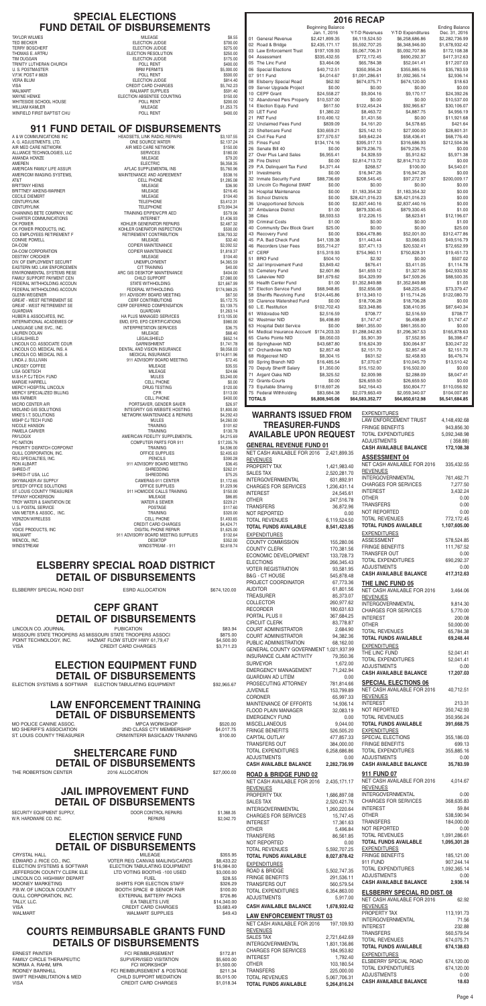MO POLICE CANINE ASSOC. MPCA WORKSHOP \$520.00 MO SHERIFF'S ASSOCIATION 2ND CLASS CTY MEMBERSHIP

### **ELECTION SERVICE FUND DETAIL OF DISBURSEMENTS**

CRYSTAL HALL **CRYSTAL HALL CRYSTAL** MILEAGE **1999** MILEAGE 3355.95 EDWARD J. RICE CO., INC. VOTER REG CANVAS MAILING/CARDS \$8,433.22 ELECTION TABULATING EQUIPMENT \$16,984.00 JEFFERSON COUNTY CLERK ELE LTD VOTING BOOTHS -100 USED \$3,000.00 LINCOLN CO. HIGHWAY DEPART FUEL FUEL \$28.55 MOONEY MARKETING SHIRTS FOR ELECTION STAFF \$326.29 P.B.W. OF LINCOLN COUNTY BOOTH SPACE @ SENIOR FAIR \$100.00 QUILL CORPORATION, INC. THE SEXTERNAL BATTERY PACKS \$726.86 TALLY, LLC. EA TABLETS LIVE \$14,340.00 VISA CREDIT CARD CHARGES \$3,683.49 WALMART SUPPLIES

#### **JAIL IMPROVEMENT FUND DETAIL OF DISBURSEMENTS**

SECURITY EQUIPMENT SUPPLY, **DOOR CONTROL REPAIRS** \$1,368.35 W.R. HARDWARE CO. INC. **REPAIRS** \$2,042.70

#### **COURTS REIMBURSABLE GRANTS FUND DETAILS OF DISBURSEMENTS**

ERNEST PAINTER **FCI REIMBURSEMENT** \$172.81 FAMILY CIRCLE THERAPEUTIC SUPVERVISED VISITATION \$5,600.00 NORMA A. RAHM, MPA **Example 20 FCI WORKSHOP** \$1,500.00 RODNEY BARNHILL FCI REIMBURSEMENT & POSTAGE \$211.34 SWIFT REHABILITATION & MED CHILD SUPPORT MEDIATION \$5,015.00 CREDIT CARD CHARGES

#### **SHELTERCARE FUND DETAIL OF DISBURSEMENTS**

THE ROBERTSON CENTER 2016 ALLOCATION 627,000.00

INTEREST 24,545.61 OTHER 247,516.78 TRANSFERS 36,872.96 NOT REPORTED 0.00<br>TOTAL REVENUES 6.119.524.50 TOTAL REVENUES **TOTAL FUNDS AVAILABLE 8,541,423.85 EXPENDITURES** COUNTY COMMISSION 155,280.06 COUNTY CLERK 170,381.56 ECONOMIC DEVELOPMENT 133,728.73 ELECTIONS 266,345.43 VOTER REGISTRATION 93,581.95 B&G - CT HOUSE 545,878.48 PROJECT COORDINATOR 67,773.36 AUDITOR 61,801.56 TREASURER 85,373.07

ELSBERRY SPECIAL ROAD DIST ESRD ALLOCATION \$674,120.00

ASSESSMENT 578,524.85 FRINGE BENEFITS 111,767.52 TRANSFER OUT 0.00 TOTAL EXPENDITURES 690,292.37 ADJUSTMENTS 0.00 **CASH AVAILABLE BALANCE 417,312.63**

**EXPENDITURES** 

LINCOLN CO. JOURNAL PUBICATION \$83.94 MISSOURI STATE TROOPERS AS MISSOURI STATE TROOPERS ASSOCI<br>POINT TECHNOLOGY, INC. HAZMAT FLOW STUDY HWY 61,79,47 VISA CREDIT CARD CHARGES

PORT TELOW STUDY HWY 61,79,47<br>CREDIT CARD CHARGES \$4,500.00

**TOTAL FUNDS AVAILABLE 5,264,816.24**

| PROJECT COORDINATOR                    | 67,773.36    | THE LINC FUND 05                    |              |
|----------------------------------------|--------------|-------------------------------------|--------------|
| <b>AUDITOR</b>                         | 61,801.56    | NET CASH AVAILABLE FOR 2016         | 3,464.06     |
| <b>TREASURER</b>                       | 85,373.07    | <b>REVENUES</b>                     |              |
| <b>COLLECTOR</b>                       | 260,977.62   | INTERGOVERNMENTAL                   | 9,814.30     |
| <b>RECORDER</b>                        | 180,631.63   | <b>CHARGES FOR SERVICES</b>         | 5,770.00     |
| PORTAL PLUS II                         | 367,684.25   | <b>INTEREST</b>                     | 200.08       |
| <b>CIRCUIT CLERK</b>                   | 83,778.87    | <b>OTHER</b>                        | 50,000.00    |
| COURT ADMINISTRATOR                    | 2,684.90     | <b>TOTAL REVENUES</b>               | 65,784.38    |
| COURT ADMINISTRATOR                    | 94,382.36    | <b>TOTAL FUNDS AVAILABLE</b>        | 69,248.44    |
| PUBLIC ADMINISTRATION                  | 68,162.00    | <b>EXPENDITURES</b>                 |              |
| GENERAL COUNTY GOVERNMENT 1,021,937.99 |              | THE LINC FUND                       | 52,041.41    |
| <b>INSURANCE CLAIM ACTIVITY</b>        | 79,350.36    | <b>TOTAL EXPENDITURES</b>           | 52,041.41    |
| <b>SURVEYOR</b>                        | 1,672.00     | <b>ADJUSTMENTS</b>                  | 0.00         |
| <b>EMERGENCY MANAGEMENT</b>            | 71,242.94    | <b>CASH AVAILABLE BALANCE</b>       | 17,207.03    |
| <b>GUARDIAN AD LITEM</b>               | 0.00         |                                     |              |
| PROSECUTING ATTORNEY                   | 781,814.66   | <b>SPECIAL ELECTIONS 06</b>         |              |
| <b>JUVENILE</b>                        | 153,799.89   | NET CASH AVAILABLE FOR 2016         | 40,712.51    |
| <b>CORONER</b>                         | 65,997.33    | <b>REVENUES</b>                     |              |
| MAINTENANCE OF EFFORTS                 | 14,936.14    | <b>INTEREST</b>                     | 213.31       |
| FLOOD PLAIN MANAGER                    | 32,083.19    | NOT REPORTED                        | 350,742.93   |
| <b>EMERGENCY FUND</b>                  | 0.00         | <b>TOTAL REVENUES</b>               | 350,956.24   |
| <b>MISCELLANEOUS</b>                   | 9,044.00     | <b>TOTAL FUNDS AVAILABLE</b>        | 391,668.75   |
| <b>FRINGE BENEFITS</b>                 | 526,505.20   | <b>EXPENDITURES</b>                 |              |
| CAPITAL OUTLAY                         | 477,857.33   | SPECIAL ELECTIONS                   | 355,186.03   |
| <b>TRANSFERS OUT</b>                   | 384,000.00   | <b>FRINGE BENEFITS</b>              | 699.13       |
| <b>TOTAL EXPENDITURES</b>              | 6,258,686.86 | <b>TOTAL EXPENDITURES</b>           | 355,885.16   |
| <b>ADJUSTMENTS</b>                     | 0.00         | <b>ADJUSTMENTS</b>                  | 0.00         |
| <b>CASH AVAILABLE BALANCE</b>          | 2,282,736.99 | <b>CASH AVAILABLE BALANCE</b>       | 35,783.59    |
| <b>ROAD &amp; BRIDGE FUND 02</b>       |              | 911 FUND 07                         |              |
| NET CASH AVAILABLE FOR 2016            | 2,435,171.17 | NET CASH AVAILABLE FOR 2016         | 4,014.67     |
| <b>REVENUES</b>                        |              | <b>REVENUES</b>                     |              |
| PROPERTY TAX                           | 1,686,897.08 | <b>INTERGOVERNMENTAL</b>            | 0.00         |
| <b>SALES TAX</b>                       | 2,520,421.76 | <b>CHARGES FOR SERVICES</b>         | 368,635.83   |
| INTERGOVERNMENTAL                      | 1,260,220.64 | <b>INTEREST</b>                     | 59.84        |
| <b>CHARGES FOR SERVICES</b>            | 15,747.45    | <b>OTHER</b>                        | 538,590.94   |
| <b>INTEREST</b>                        | 17,361.63    | <b>TRANSFERS</b>                    | 184,000.00   |
| <b>OTHER</b>                           | 5,496.84     | NOT REPORTED                        | 0.00         |
| <b>TRANSFERS</b>                       | 86,561.85    | <b>TOTAL REVENUES</b>               | 1,091,286.61 |
| NOT REPORTED                           | 0.00         | <b>TOTAL FUNDS AVAILABLE</b>        | 1,095,301.28 |
| <b>TOTAL REVENUES</b>                  | 5,592,707.25 | <b>EXPENDITURES</b>                 |              |
| <b>TOTAL FUNDS AVAILABLE</b>           | 8,027,878.42 | <b>FRINGE BENEFITS</b>              | 185,121.00   |
| <b>EXPENDITURES</b>                    |              | 911 FUND                            | 907,244.14   |
| ROAD & BRIDGE                          | 5,502,747.35 | TOTAL EXPENDITURES                  | 1,092,365.14 |
| <b>FRINGE BENEFITS</b>                 | 291,536.11   | <b>ADJUSTMENTS</b>                  | 0.00         |
| TRANSFERS OUT                          | 560,579.54   | <b>CASH AVAILABLE BALANCE</b>       | 2.936.14     |
| TOTAL EXPENDITURES                     | 6,354,863.00 |                                     |              |
| <b>ADJUSTMENTS</b>                     | 5,917.00     | <b>ELSBERRY SPECIAL RD DIST. 08</b> |              |
|                                        |              | NET CASH AVAILABLE FOR 2016         | 62.92        |
| <b>CASH AVAILABLE BALANCE</b>          | 1,678,932.42 | <b>REVENUES</b>                     |              |
| <b>LAW ENFORCEMENT TRUST 03</b>        |              | PROPERTY TAX                        | 113,191.73   |
| NET CASH AVAILABLE FOR 2016            | 197,109.93   | <b>INTERGOVERNMENTAL</b>            | 71.56        |
| <b>REVENUES</b>                        |              | <b>INTEREST</b>                     | 232.88       |
| SALES TAX                              | 2,721,642.69 | <b>TRANSFERS</b>                    | 560,579.54   |
| <b>INTERGOVERNMENTAL</b>               | 1,831,136.86 | <b>TOTAL REVENUES</b>               | 674,075.71   |
| <b>CHARGES FOR SERVICES</b>            | 184,953.82   | <b>TOTAL FUNDS AVAILABLE</b>        | 674,138.63   |
| <b>INTEREST</b>                        | 1,792.40     | <b>EXPENDITURES</b>                 |              |
| <b>OTHER</b>                           | 103,180.54   | ELSBERRY SPECIAL ROAD               | 674,120.00   |
| <b>TRANSFERS</b>                       | 225,000.00   | <b>TOTAL EXPENDITURES</b>           | 674,120.00   |
| <b>TOTAL REVENUES</b>                  | 5,067,706.31 | <b>ADJUSTMENTS</b>                  | 0.00         |
|                                        |              |                                     |              |

TRANSFERS 0.00 NOT REPORTED 0.00 TOTAL REVENUES 772,172.45 **TOTAL FUNDS AVAILABLE 1,107,605.00**

**CASH AVAILABLE BALANCE 18.63**

## **ELSBERRY SPECIAL ROAD DISTRICT DETAIL OF DISBURSEMENTS**

## **CEPF GRANT DETAIL OF DISBURSEMENTS**

#### **911 FUND DETAIL OF DISBURSEMENTS**

| <b>Beginning Balance</b><br><b>Ending Balance</b><br>Jan. 1, 2016<br>Y-T-D Revenues<br>Y-T-D Expenditures<br>Dec. 31, 2016<br>01<br><b>General Revenue</b><br>\$2,421,899.35<br>\$6,258,686.86<br>\$2,282,736.99<br>\$6,119,524.50<br>02 Road & Bridge<br>\$1,678,932.42<br>\$2,435,171.17<br>\$5,592,707.25<br>\$6,348,946.00<br>03 Law Enforcement Trust<br>\$197,109.93<br>\$5,067,706.31<br>\$5,092,707.86<br>\$172,108.38<br>04 Assessment<br>\$335,432.55<br>\$772,172.45<br>\$417,312.63<br>\$690,292.37<br>05 The Linc Fund<br>\$3,464.06<br>\$65,784.38<br>\$17,207.03<br>\$52,041.41<br>06 Special Elections<br>\$40,712.51<br>\$350,956.24<br>\$355,885.16<br>\$35,783.59<br>07 911 Fund<br>\$4,014.67<br>\$2,936.14<br>\$1,091,286.61<br>\$1,092,365.14<br>08 Elsberry Special Road<br>\$62.92<br>\$674,075.71<br>\$18.63<br>\$674,120.00<br>09 Server Upgrade Project<br>\$0.00<br>\$0.00<br>\$0.00<br>\$0.00<br>10 CEPF Grant<br>\$24,558.27<br>\$9,004.16<br>\$9,170.17<br>\$24,392.26<br>12 Abandoned Pers Property<br>\$10,537.00<br>\$0.00<br>\$0.00<br>\$10,537.00<br>14<br>Election Equip. Fund<br>\$122,454.24<br>\$92,965.67<br>\$617.50<br>\$30,106.07<br>20 LET Fund<br>\$1,380.22<br>\$8,463.72<br>\$4,887.75<br>\$4,956.19<br>21 PAT Fund<br>\$1,431.56<br>\$0.00<br>\$10,490.12<br>\$11,921.68<br>22 Unclaimed Fees Fund<br>\$839.09<br>\$4,578.65<br>\$4,161.20<br>\$421.64<br>23 Sheltercare Fund<br>\$30,659.21<br>\$25,142.10<br>\$27,000.00<br>\$28,801.31<br>24 Civil Fee Fund<br>\$77,570.57<br>\$49,642.24<br>\$58,436.41<br>\$68,776.40<br>25 Fines Fund<br>\$134,174.16<br>\$395,017.13<br>\$316,686.93<br>\$212,504.36<br>26 Senate Bill 40<br>\$0.00<br>\$679,236.75<br>\$679,236.75<br>\$0.00<br>27 Over Plus Land Sales<br>\$6,955.41<br>\$4,928.59<br>\$5,912.62<br>\$5,971.38<br>28 Fire District<br>\$0.00<br>\$2,814,713.72<br>\$2,814,713.72<br>\$0.00<br>\$4,371.44<br>29 P.A. Delinguent Tax Fund<br>\$268.57<br>\$100.00<br>\$4,540.01<br>31 Investments<br>\$0.00<br>\$16,947.26<br>\$0.00<br>\$16,947.26<br>32 Inmate Security Fund<br>\$88,736.69<br>\$200,009.17<br>\$208,545.45<br>\$97,272.97<br>33 Lincoln Co Regional SWAT<br>\$0.00<br>\$0.00<br>\$0.00<br>\$0.00<br>34 Hospital Maintenance<br>\$0.00<br>\$0.00<br>\$1,183,354.32<br>\$1,183,354.32<br>35<br><b>School Districts</b><br>\$0.00<br>\$28,421,016.23<br>\$28,421,016.23<br>\$0.00<br>36 Unapportioned Schools<br>\$0.00<br>\$2,837,440.16<br>\$2,837,440.16<br>\$0.00<br>37 Ambulance District<br>\$1.00<br>\$879,330.45<br>\$879,330.45<br>\$1.00<br>38 Cities<br>\$8,593.53<br>\$12,226.15<br>\$8,623.61<br>\$12,196.07<br>39 Criminal Costs<br>\$1.00<br>\$0.00<br>\$0.00<br>\$1.00<br>40 Community Dev Block Grant<br>\$25.00<br>\$0.00<br>\$0.00<br>\$25.00<br>43 Recovery Fund<br>\$0.00<br>\$52,001.00<br>\$364,478.86<br>\$312,477.86<br>45 P.A. Bad Check Fund<br>\$41,139.38<br>\$11,443.44<br>\$3,066.03<br>\$49,516.79<br>46 Recorders User Fees<br>\$55,714.27<br>\$37,471.13<br>\$20,532.41<br>\$72,652.99<br>47 CERF<br>\$750,828.31<br>\$15,319.93<br>\$754,960.11<br>\$19,451.73<br><b>BRO</b> Fund<br>\$504.10<br>\$2.92<br>\$507.02<br>\$0.00<br>52 Jail Improvement Fund<br>\$3,849.42<br>\$676.41<br>\$3,411.05<br>\$1,114.78<br>53<br><b>Cemetery Fund</b><br>\$2,601.86<br>\$41,659.12<br>\$1,327.06<br>\$42,933.92<br>55 Lakeview NID<br>\$81,679.62<br>\$47,509.26<br>\$88,500.35<br>\$54,329.99<br>56 Health Center Fund<br>\$1.00<br>\$1.00<br>\$1,352,849.88<br>\$1,352,849.88<br>57 Election Service Fund<br>\$73,379.47<br>\$68,948.85<br>\$52,656.08<br>\$48,225.46<br>58 Sheriffs Revolving Fund<br>\$124,445.86<br>\$113,349.10<br>\$115,714.26<br>\$122,080.70<br>59 Clarence Watershed Fund<br>\$0.00<br>\$18,706.28<br>\$0.00<br>\$18,706.28<br>60 L.E. Restitution<br>\$102,702.43<br>\$23,348.86<br>\$38,410.95<br>\$87,640.34<br>61 Wildoradoe NID<br>\$2,516.59<br>\$708.77<br>\$2,516.59<br>\$708.77<br>62 Westmier NID<br>\$6,498.89<br>\$1,747.47<br>\$6,498.89<br>\$1,747.47<br>63 Hospital Debt Service<br>\$0.00<br>\$861,355.00<br>\$861,355.00<br>\$0.00<br>64 Medical Insurance Account \$174,203.33<br>\$1,288,042.83<br>\$1,296,367.53<br>\$165,878.63<br>65 Clarks Pointe NID<br>\$8,050.03<br>\$5,901.39<br>\$7,552.95<br>\$6,398.47<br>66 Springhaven NID<br>\$43,687.80<br>\$16,624.39<br>\$30,064.97<br>\$30,247.22<br>67 Orchardview NID<br>\$2,857.48<br>\$2,151.70<br>\$2,151.70<br>\$2,857.48<br>68 Ridgecrest NID<br>\$8,304.15<br>\$631.52<br>\$2,458.93<br>\$6,476.74<br>69 Spring Branch NID<br>\$7,070.67<br>\$16,485.54<br>\$10,045.79<br>\$13,510.42<br>70 Deputy Sheriff Salary<br>\$1,350.00<br>\$16,502.00<br>\$0.00<br>\$15,152.00<br>71 Argent Oaks NID<br>\$8,325.52<br>\$2,009.98<br>\$2,288.09<br>\$8,047.41<br>72 Grants-Courts<br>\$0.00<br>\$26,659.50<br>\$26,659.50<br>\$0.00<br>73 Equitable Sharing<br>\$118,697.26<br>\$42,164.43<br>\$110,056.92<br>\$50,804.77<br>75 Federal Withholding<br>\$83,684.38<br>\$2,079,663.49<br>\$2,059,340.07<br>\$104,007.80<br><b>TOTALS</b><br>\$6,808,945.06<br>\$6,541,684.85<br>\$64,583,352.77<br>\$64,850,612.98<br><b>EXPENDITURES</b><br><b>WARRANTS ISSUED FROM</b><br>LAW ENFORCEMENT TRUST<br>4,148,492.68<br><b>TREASURER-FUNDS</b><br><b>FRINGE BENEFITS</b><br>943,856.30<br><b>AVAILABLE UPON REQUEST</b><br><b>TOTAL EXPENDITURES</b><br>5,092,348.98<br>ADJUSTMENTS<br>(358.88)<br><b>GENERAL REVENUE FUND 01</b><br><b>CASH AVAILABLE BALANCE</b><br>172,108.38<br>NET CASH AVAILABLE FOR 2016<br>2,421,899.35<br><b>ASSESSMENT 04</b><br><b>REVENUES</b><br>NET CASH AVAILABLE FOR 2016<br>335,432.55<br>PROPERTY TAX<br>1,421,983.40<br><b>REVENUES</b><br><b>SALES TAX</b><br>2,520,281.70<br>INTERGOVERNMENTAL<br>761,462.71<br><b>INTERGOVERNMENTAL</b><br>631,892.91<br><b>CHARGES FOR SERVICES</b><br>7,277.50<br><b>CHARGES FOR SERVICES</b><br>1,236,431.14<br><b>INTEREST</b><br>3,432.24<br><b>INTEREST</b><br>24,545.61 |    |  | <b>2016 RECAP</b> |      |
|----------------------------------------------------------------------------------------------------------------------------------------------------------------------------------------------------------------------------------------------------------------------------------------------------------------------------------------------------------------------------------------------------------------------------------------------------------------------------------------------------------------------------------------------------------------------------------------------------------------------------------------------------------------------------------------------------------------------------------------------------------------------------------------------------------------------------------------------------------------------------------------------------------------------------------------------------------------------------------------------------------------------------------------------------------------------------------------------------------------------------------------------------------------------------------------------------------------------------------------------------------------------------------------------------------------------------------------------------------------------------------------------------------------------------------------------------------------------------------------------------------------------------------------------------------------------------------------------------------------------------------------------------------------------------------------------------------------------------------------------------------------------------------------------------------------------------------------------------------------------------------------------------------------------------------------------------------------------------------------------------------------------------------------------------------------------------------------------------------------------------------------------------------------------------------------------------------------------------------------------------------------------------------------------------------------------------------------------------------------------------------------------------------------------------------------------------------------------------------------------------------------------------------------------------------------------------------------------------------------------------------------------------------------------------------------------------------------------------------------------------------------------------------------------------------------------------------------------------------------------------------------------------------------------------------------------------------------------------------------------------------------------------------------------------------------------------------------------------------------------------------------------------------------------------------------------------------------------------------------------------------------------------------------------------------------------------------------------------------------------------------------------------------------------------------------------------------------------------------------------------------------------------------------------------------------------------------------------------------------------------------------------------------------------------------------------------------------------------------------------------------------------------------------------------------------------------------------------------------------------------------------------------------------------------------------------------------------------------------------------------------------------------------------------------------------------------------------------------------------------------------------------------------------------------------------------------------------------------------------------------------------------------------------------------------------------------------------------------------------------------------------------------------------------------------------------------------------------------------------------------------------------------------------------------------------------------------------------------------------------------------------------------------------------------------------------------------------------------------------------------------------------------------------------------------------------------------------------------------------------------------------------------------------------------------------------------------------------------------------------------------------------------------------------------------------------------------------------------------------------------------------------------------------------------------------------------------------------------------------------------------------------------------------------------------------------------------------------------------------------------------------------------------------------------------------------------------------------------------------------------------------------------------------------------------------------------------------------------------------------------------------------------------------------------------------------------------------------------------------------------------------------------------------------------------------------------------------------------------------------------------------------------------------------------------------------------------------------------------------------------|----|--|-------------------|------|
|                                                                                                                                                                                                                                                                                                                                                                                                                                                                                                                                                                                                                                                                                                                                                                                                                                                                                                                                                                                                                                                                                                                                                                                                                                                                                                                                                                                                                                                                                                                                                                                                                                                                                                                                                                                                                                                                                                                                                                                                                                                                                                                                                                                                                                                                                                                                                                                                                                                                                                                                                                                                                                                                                                                                                                                                                                                                                                                                                                                                                                                                                                                                                                                                                                                                                                                                                                                                                                                                                                                                                                                                                                                                                                                                                                                                                                                                                                                                                                                                                                                                                                                                                                                                                                                                                                                                                                                                                                                                                                                                                                                                                                                                                                                                                                                                                                                                                                                                                                                                                                                                                                                                                                                                                                                                                                                                                                                                                                                                                                                                                                                                                                                                                                                                                                                                                                                                                                                                                                                                    |    |  |                   |      |
|                                                                                                                                                                                                                                                                                                                                                                                                                                                                                                                                                                                                                                                                                                                                                                                                                                                                                                                                                                                                                                                                                                                                                                                                                                                                                                                                                                                                                                                                                                                                                                                                                                                                                                                                                                                                                                                                                                                                                                                                                                                                                                                                                                                                                                                                                                                                                                                                                                                                                                                                                                                                                                                                                                                                                                                                                                                                                                                                                                                                                                                                                                                                                                                                                                                                                                                                                                                                                                                                                                                                                                                                                                                                                                                                                                                                                                                                                                                                                                                                                                                                                                                                                                                                                                                                                                                                                                                                                                                                                                                                                                                                                                                                                                                                                                                                                                                                                                                                                                                                                                                                                                                                                                                                                                                                                                                                                                                                                                                                                                                                                                                                                                                                                                                                                                                                                                                                                                                                                                                                    |    |  |                   |      |
|                                                                                                                                                                                                                                                                                                                                                                                                                                                                                                                                                                                                                                                                                                                                                                                                                                                                                                                                                                                                                                                                                                                                                                                                                                                                                                                                                                                                                                                                                                                                                                                                                                                                                                                                                                                                                                                                                                                                                                                                                                                                                                                                                                                                                                                                                                                                                                                                                                                                                                                                                                                                                                                                                                                                                                                                                                                                                                                                                                                                                                                                                                                                                                                                                                                                                                                                                                                                                                                                                                                                                                                                                                                                                                                                                                                                                                                                                                                                                                                                                                                                                                                                                                                                                                                                                                                                                                                                                                                                                                                                                                                                                                                                                                                                                                                                                                                                                                                                                                                                                                                                                                                                                                                                                                                                                                                                                                                                                                                                                                                                                                                                                                                                                                                                                                                                                                                                                                                                                                                                    |    |  |                   |      |
|                                                                                                                                                                                                                                                                                                                                                                                                                                                                                                                                                                                                                                                                                                                                                                                                                                                                                                                                                                                                                                                                                                                                                                                                                                                                                                                                                                                                                                                                                                                                                                                                                                                                                                                                                                                                                                                                                                                                                                                                                                                                                                                                                                                                                                                                                                                                                                                                                                                                                                                                                                                                                                                                                                                                                                                                                                                                                                                                                                                                                                                                                                                                                                                                                                                                                                                                                                                                                                                                                                                                                                                                                                                                                                                                                                                                                                                                                                                                                                                                                                                                                                                                                                                                                                                                                                                                                                                                                                                                                                                                                                                                                                                                                                                                                                                                                                                                                                                                                                                                                                                                                                                                                                                                                                                                                                                                                                                                                                                                                                                                                                                                                                                                                                                                                                                                                                                                                                                                                                                                    |    |  |                   |      |
|                                                                                                                                                                                                                                                                                                                                                                                                                                                                                                                                                                                                                                                                                                                                                                                                                                                                                                                                                                                                                                                                                                                                                                                                                                                                                                                                                                                                                                                                                                                                                                                                                                                                                                                                                                                                                                                                                                                                                                                                                                                                                                                                                                                                                                                                                                                                                                                                                                                                                                                                                                                                                                                                                                                                                                                                                                                                                                                                                                                                                                                                                                                                                                                                                                                                                                                                                                                                                                                                                                                                                                                                                                                                                                                                                                                                                                                                                                                                                                                                                                                                                                                                                                                                                                                                                                                                                                                                                                                                                                                                                                                                                                                                                                                                                                                                                                                                                                                                                                                                                                                                                                                                                                                                                                                                                                                                                                                                                                                                                                                                                                                                                                                                                                                                                                                                                                                                                                                                                                                                    |    |  |                   |      |
|                                                                                                                                                                                                                                                                                                                                                                                                                                                                                                                                                                                                                                                                                                                                                                                                                                                                                                                                                                                                                                                                                                                                                                                                                                                                                                                                                                                                                                                                                                                                                                                                                                                                                                                                                                                                                                                                                                                                                                                                                                                                                                                                                                                                                                                                                                                                                                                                                                                                                                                                                                                                                                                                                                                                                                                                                                                                                                                                                                                                                                                                                                                                                                                                                                                                                                                                                                                                                                                                                                                                                                                                                                                                                                                                                                                                                                                                                                                                                                                                                                                                                                                                                                                                                                                                                                                                                                                                                                                                                                                                                                                                                                                                                                                                                                                                                                                                                                                                                                                                                                                                                                                                                                                                                                                                                                                                                                                                                                                                                                                                                                                                                                                                                                                                                                                                                                                                                                                                                                                                    |    |  |                   |      |
|                                                                                                                                                                                                                                                                                                                                                                                                                                                                                                                                                                                                                                                                                                                                                                                                                                                                                                                                                                                                                                                                                                                                                                                                                                                                                                                                                                                                                                                                                                                                                                                                                                                                                                                                                                                                                                                                                                                                                                                                                                                                                                                                                                                                                                                                                                                                                                                                                                                                                                                                                                                                                                                                                                                                                                                                                                                                                                                                                                                                                                                                                                                                                                                                                                                                                                                                                                                                                                                                                                                                                                                                                                                                                                                                                                                                                                                                                                                                                                                                                                                                                                                                                                                                                                                                                                                                                                                                                                                                                                                                                                                                                                                                                                                                                                                                                                                                                                                                                                                                                                                                                                                                                                                                                                                                                                                                                                                                                                                                                                                                                                                                                                                                                                                                                                                                                                                                                                                                                                                                    |    |  |                   |      |
|                                                                                                                                                                                                                                                                                                                                                                                                                                                                                                                                                                                                                                                                                                                                                                                                                                                                                                                                                                                                                                                                                                                                                                                                                                                                                                                                                                                                                                                                                                                                                                                                                                                                                                                                                                                                                                                                                                                                                                                                                                                                                                                                                                                                                                                                                                                                                                                                                                                                                                                                                                                                                                                                                                                                                                                                                                                                                                                                                                                                                                                                                                                                                                                                                                                                                                                                                                                                                                                                                                                                                                                                                                                                                                                                                                                                                                                                                                                                                                                                                                                                                                                                                                                                                                                                                                                                                                                                                                                                                                                                                                                                                                                                                                                                                                                                                                                                                                                                                                                                                                                                                                                                                                                                                                                                                                                                                                                                                                                                                                                                                                                                                                                                                                                                                                                                                                                                                                                                                                                                    |    |  |                   |      |
|                                                                                                                                                                                                                                                                                                                                                                                                                                                                                                                                                                                                                                                                                                                                                                                                                                                                                                                                                                                                                                                                                                                                                                                                                                                                                                                                                                                                                                                                                                                                                                                                                                                                                                                                                                                                                                                                                                                                                                                                                                                                                                                                                                                                                                                                                                                                                                                                                                                                                                                                                                                                                                                                                                                                                                                                                                                                                                                                                                                                                                                                                                                                                                                                                                                                                                                                                                                                                                                                                                                                                                                                                                                                                                                                                                                                                                                                                                                                                                                                                                                                                                                                                                                                                                                                                                                                                                                                                                                                                                                                                                                                                                                                                                                                                                                                                                                                                                                                                                                                                                                                                                                                                                                                                                                                                                                                                                                                                                                                                                                                                                                                                                                                                                                                                                                                                                                                                                                                                                                                    |    |  |                   |      |
|                                                                                                                                                                                                                                                                                                                                                                                                                                                                                                                                                                                                                                                                                                                                                                                                                                                                                                                                                                                                                                                                                                                                                                                                                                                                                                                                                                                                                                                                                                                                                                                                                                                                                                                                                                                                                                                                                                                                                                                                                                                                                                                                                                                                                                                                                                                                                                                                                                                                                                                                                                                                                                                                                                                                                                                                                                                                                                                                                                                                                                                                                                                                                                                                                                                                                                                                                                                                                                                                                                                                                                                                                                                                                                                                                                                                                                                                                                                                                                                                                                                                                                                                                                                                                                                                                                                                                                                                                                                                                                                                                                                                                                                                                                                                                                                                                                                                                                                                                                                                                                                                                                                                                                                                                                                                                                                                                                                                                                                                                                                                                                                                                                                                                                                                                                                                                                                                                                                                                                                                    |    |  |                   |      |
|                                                                                                                                                                                                                                                                                                                                                                                                                                                                                                                                                                                                                                                                                                                                                                                                                                                                                                                                                                                                                                                                                                                                                                                                                                                                                                                                                                                                                                                                                                                                                                                                                                                                                                                                                                                                                                                                                                                                                                                                                                                                                                                                                                                                                                                                                                                                                                                                                                                                                                                                                                                                                                                                                                                                                                                                                                                                                                                                                                                                                                                                                                                                                                                                                                                                                                                                                                                                                                                                                                                                                                                                                                                                                                                                                                                                                                                                                                                                                                                                                                                                                                                                                                                                                                                                                                                                                                                                                                                                                                                                                                                                                                                                                                                                                                                                                                                                                                                                                                                                                                                                                                                                                                                                                                                                                                                                                                                                                                                                                                                                                                                                                                                                                                                                                                                                                                                                                                                                                                                                    |    |  |                   |      |
|                                                                                                                                                                                                                                                                                                                                                                                                                                                                                                                                                                                                                                                                                                                                                                                                                                                                                                                                                                                                                                                                                                                                                                                                                                                                                                                                                                                                                                                                                                                                                                                                                                                                                                                                                                                                                                                                                                                                                                                                                                                                                                                                                                                                                                                                                                                                                                                                                                                                                                                                                                                                                                                                                                                                                                                                                                                                                                                                                                                                                                                                                                                                                                                                                                                                                                                                                                                                                                                                                                                                                                                                                                                                                                                                                                                                                                                                                                                                                                                                                                                                                                                                                                                                                                                                                                                                                                                                                                                                                                                                                                                                                                                                                                                                                                                                                                                                                                                                                                                                                                                                                                                                                                                                                                                                                                                                                                                                                                                                                                                                                                                                                                                                                                                                                                                                                                                                                                                                                                                                    |    |  |                   |      |
|                                                                                                                                                                                                                                                                                                                                                                                                                                                                                                                                                                                                                                                                                                                                                                                                                                                                                                                                                                                                                                                                                                                                                                                                                                                                                                                                                                                                                                                                                                                                                                                                                                                                                                                                                                                                                                                                                                                                                                                                                                                                                                                                                                                                                                                                                                                                                                                                                                                                                                                                                                                                                                                                                                                                                                                                                                                                                                                                                                                                                                                                                                                                                                                                                                                                                                                                                                                                                                                                                                                                                                                                                                                                                                                                                                                                                                                                                                                                                                                                                                                                                                                                                                                                                                                                                                                                                                                                                                                                                                                                                                                                                                                                                                                                                                                                                                                                                                                                                                                                                                                                                                                                                                                                                                                                                                                                                                                                                                                                                                                                                                                                                                                                                                                                                                                                                                                                                                                                                                                                    |    |  |                   |      |
|                                                                                                                                                                                                                                                                                                                                                                                                                                                                                                                                                                                                                                                                                                                                                                                                                                                                                                                                                                                                                                                                                                                                                                                                                                                                                                                                                                                                                                                                                                                                                                                                                                                                                                                                                                                                                                                                                                                                                                                                                                                                                                                                                                                                                                                                                                                                                                                                                                                                                                                                                                                                                                                                                                                                                                                                                                                                                                                                                                                                                                                                                                                                                                                                                                                                                                                                                                                                                                                                                                                                                                                                                                                                                                                                                                                                                                                                                                                                                                                                                                                                                                                                                                                                                                                                                                                                                                                                                                                                                                                                                                                                                                                                                                                                                                                                                                                                                                                                                                                                                                                                                                                                                                                                                                                                                                                                                                                                                                                                                                                                                                                                                                                                                                                                                                                                                                                                                                                                                                                                    |    |  |                   |      |
|                                                                                                                                                                                                                                                                                                                                                                                                                                                                                                                                                                                                                                                                                                                                                                                                                                                                                                                                                                                                                                                                                                                                                                                                                                                                                                                                                                                                                                                                                                                                                                                                                                                                                                                                                                                                                                                                                                                                                                                                                                                                                                                                                                                                                                                                                                                                                                                                                                                                                                                                                                                                                                                                                                                                                                                                                                                                                                                                                                                                                                                                                                                                                                                                                                                                                                                                                                                                                                                                                                                                                                                                                                                                                                                                                                                                                                                                                                                                                                                                                                                                                                                                                                                                                                                                                                                                                                                                                                                                                                                                                                                                                                                                                                                                                                                                                                                                                                                                                                                                                                                                                                                                                                                                                                                                                                                                                                                                                                                                                                                                                                                                                                                                                                                                                                                                                                                                                                                                                                                                    |    |  |                   |      |
|                                                                                                                                                                                                                                                                                                                                                                                                                                                                                                                                                                                                                                                                                                                                                                                                                                                                                                                                                                                                                                                                                                                                                                                                                                                                                                                                                                                                                                                                                                                                                                                                                                                                                                                                                                                                                                                                                                                                                                                                                                                                                                                                                                                                                                                                                                                                                                                                                                                                                                                                                                                                                                                                                                                                                                                                                                                                                                                                                                                                                                                                                                                                                                                                                                                                                                                                                                                                                                                                                                                                                                                                                                                                                                                                                                                                                                                                                                                                                                                                                                                                                                                                                                                                                                                                                                                                                                                                                                                                                                                                                                                                                                                                                                                                                                                                                                                                                                                                                                                                                                                                                                                                                                                                                                                                                                                                                                                                                                                                                                                                                                                                                                                                                                                                                                                                                                                                                                                                                                                                    |    |  |                   |      |
|                                                                                                                                                                                                                                                                                                                                                                                                                                                                                                                                                                                                                                                                                                                                                                                                                                                                                                                                                                                                                                                                                                                                                                                                                                                                                                                                                                                                                                                                                                                                                                                                                                                                                                                                                                                                                                                                                                                                                                                                                                                                                                                                                                                                                                                                                                                                                                                                                                                                                                                                                                                                                                                                                                                                                                                                                                                                                                                                                                                                                                                                                                                                                                                                                                                                                                                                                                                                                                                                                                                                                                                                                                                                                                                                                                                                                                                                                                                                                                                                                                                                                                                                                                                                                                                                                                                                                                                                                                                                                                                                                                                                                                                                                                                                                                                                                                                                                                                                                                                                                                                                                                                                                                                                                                                                                                                                                                                                                                                                                                                                                                                                                                                                                                                                                                                                                                                                                                                                                                                                    |    |  |                   |      |
|                                                                                                                                                                                                                                                                                                                                                                                                                                                                                                                                                                                                                                                                                                                                                                                                                                                                                                                                                                                                                                                                                                                                                                                                                                                                                                                                                                                                                                                                                                                                                                                                                                                                                                                                                                                                                                                                                                                                                                                                                                                                                                                                                                                                                                                                                                                                                                                                                                                                                                                                                                                                                                                                                                                                                                                                                                                                                                                                                                                                                                                                                                                                                                                                                                                                                                                                                                                                                                                                                                                                                                                                                                                                                                                                                                                                                                                                                                                                                                                                                                                                                                                                                                                                                                                                                                                                                                                                                                                                                                                                                                                                                                                                                                                                                                                                                                                                                                                                                                                                                                                                                                                                                                                                                                                                                                                                                                                                                                                                                                                                                                                                                                                                                                                                                                                                                                                                                                                                                                                                    |    |  |                   |      |
|                                                                                                                                                                                                                                                                                                                                                                                                                                                                                                                                                                                                                                                                                                                                                                                                                                                                                                                                                                                                                                                                                                                                                                                                                                                                                                                                                                                                                                                                                                                                                                                                                                                                                                                                                                                                                                                                                                                                                                                                                                                                                                                                                                                                                                                                                                                                                                                                                                                                                                                                                                                                                                                                                                                                                                                                                                                                                                                                                                                                                                                                                                                                                                                                                                                                                                                                                                                                                                                                                                                                                                                                                                                                                                                                                                                                                                                                                                                                                                                                                                                                                                                                                                                                                                                                                                                                                                                                                                                                                                                                                                                                                                                                                                                                                                                                                                                                                                                                                                                                                                                                                                                                                                                                                                                                                                                                                                                                                                                                                                                                                                                                                                                                                                                                                                                                                                                                                                                                                                                                    |    |  |                   |      |
|                                                                                                                                                                                                                                                                                                                                                                                                                                                                                                                                                                                                                                                                                                                                                                                                                                                                                                                                                                                                                                                                                                                                                                                                                                                                                                                                                                                                                                                                                                                                                                                                                                                                                                                                                                                                                                                                                                                                                                                                                                                                                                                                                                                                                                                                                                                                                                                                                                                                                                                                                                                                                                                                                                                                                                                                                                                                                                                                                                                                                                                                                                                                                                                                                                                                                                                                                                                                                                                                                                                                                                                                                                                                                                                                                                                                                                                                                                                                                                                                                                                                                                                                                                                                                                                                                                                                                                                                                                                                                                                                                                                                                                                                                                                                                                                                                                                                                                                                                                                                                                                                                                                                                                                                                                                                                                                                                                                                                                                                                                                                                                                                                                                                                                                                                                                                                                                                                                                                                                                                    |    |  |                   |      |
|                                                                                                                                                                                                                                                                                                                                                                                                                                                                                                                                                                                                                                                                                                                                                                                                                                                                                                                                                                                                                                                                                                                                                                                                                                                                                                                                                                                                                                                                                                                                                                                                                                                                                                                                                                                                                                                                                                                                                                                                                                                                                                                                                                                                                                                                                                                                                                                                                                                                                                                                                                                                                                                                                                                                                                                                                                                                                                                                                                                                                                                                                                                                                                                                                                                                                                                                                                                                                                                                                                                                                                                                                                                                                                                                                                                                                                                                                                                                                                                                                                                                                                                                                                                                                                                                                                                                                                                                                                                                                                                                                                                                                                                                                                                                                                                                                                                                                                                                                                                                                                                                                                                                                                                                                                                                                                                                                                                                                                                                                                                                                                                                                                                                                                                                                                                                                                                                                                                                                                                                    |    |  |                   |      |
|                                                                                                                                                                                                                                                                                                                                                                                                                                                                                                                                                                                                                                                                                                                                                                                                                                                                                                                                                                                                                                                                                                                                                                                                                                                                                                                                                                                                                                                                                                                                                                                                                                                                                                                                                                                                                                                                                                                                                                                                                                                                                                                                                                                                                                                                                                                                                                                                                                                                                                                                                                                                                                                                                                                                                                                                                                                                                                                                                                                                                                                                                                                                                                                                                                                                                                                                                                                                                                                                                                                                                                                                                                                                                                                                                                                                                                                                                                                                                                                                                                                                                                                                                                                                                                                                                                                                                                                                                                                                                                                                                                                                                                                                                                                                                                                                                                                                                                                                                                                                                                                                                                                                                                                                                                                                                                                                                                                                                                                                                                                                                                                                                                                                                                                                                                                                                                                                                                                                                                                                    |    |  |                   |      |
|                                                                                                                                                                                                                                                                                                                                                                                                                                                                                                                                                                                                                                                                                                                                                                                                                                                                                                                                                                                                                                                                                                                                                                                                                                                                                                                                                                                                                                                                                                                                                                                                                                                                                                                                                                                                                                                                                                                                                                                                                                                                                                                                                                                                                                                                                                                                                                                                                                                                                                                                                                                                                                                                                                                                                                                                                                                                                                                                                                                                                                                                                                                                                                                                                                                                                                                                                                                                                                                                                                                                                                                                                                                                                                                                                                                                                                                                                                                                                                                                                                                                                                                                                                                                                                                                                                                                                                                                                                                                                                                                                                                                                                                                                                                                                                                                                                                                                                                                                                                                                                                                                                                                                                                                                                                                                                                                                                                                                                                                                                                                                                                                                                                                                                                                                                                                                                                                                                                                                                                                    |    |  |                   |      |
|                                                                                                                                                                                                                                                                                                                                                                                                                                                                                                                                                                                                                                                                                                                                                                                                                                                                                                                                                                                                                                                                                                                                                                                                                                                                                                                                                                                                                                                                                                                                                                                                                                                                                                                                                                                                                                                                                                                                                                                                                                                                                                                                                                                                                                                                                                                                                                                                                                                                                                                                                                                                                                                                                                                                                                                                                                                                                                                                                                                                                                                                                                                                                                                                                                                                                                                                                                                                                                                                                                                                                                                                                                                                                                                                                                                                                                                                                                                                                                                                                                                                                                                                                                                                                                                                                                                                                                                                                                                                                                                                                                                                                                                                                                                                                                                                                                                                                                                                                                                                                                                                                                                                                                                                                                                                                                                                                                                                                                                                                                                                                                                                                                                                                                                                                                                                                                                                                                                                                                                                    |    |  |                   |      |
|                                                                                                                                                                                                                                                                                                                                                                                                                                                                                                                                                                                                                                                                                                                                                                                                                                                                                                                                                                                                                                                                                                                                                                                                                                                                                                                                                                                                                                                                                                                                                                                                                                                                                                                                                                                                                                                                                                                                                                                                                                                                                                                                                                                                                                                                                                                                                                                                                                                                                                                                                                                                                                                                                                                                                                                                                                                                                                                                                                                                                                                                                                                                                                                                                                                                                                                                                                                                                                                                                                                                                                                                                                                                                                                                                                                                                                                                                                                                                                                                                                                                                                                                                                                                                                                                                                                                                                                                                                                                                                                                                                                                                                                                                                                                                                                                                                                                                                                                                                                                                                                                                                                                                                                                                                                                                                                                                                                                                                                                                                                                                                                                                                                                                                                                                                                                                                                                                                                                                                                                    |    |  |                   |      |
|                                                                                                                                                                                                                                                                                                                                                                                                                                                                                                                                                                                                                                                                                                                                                                                                                                                                                                                                                                                                                                                                                                                                                                                                                                                                                                                                                                                                                                                                                                                                                                                                                                                                                                                                                                                                                                                                                                                                                                                                                                                                                                                                                                                                                                                                                                                                                                                                                                                                                                                                                                                                                                                                                                                                                                                                                                                                                                                                                                                                                                                                                                                                                                                                                                                                                                                                                                                                                                                                                                                                                                                                                                                                                                                                                                                                                                                                                                                                                                                                                                                                                                                                                                                                                                                                                                                                                                                                                                                                                                                                                                                                                                                                                                                                                                                                                                                                                                                                                                                                                                                                                                                                                                                                                                                                                                                                                                                                                                                                                                                                                                                                                                                                                                                                                                                                                                                                                                                                                                                                    |    |  |                   |      |
|                                                                                                                                                                                                                                                                                                                                                                                                                                                                                                                                                                                                                                                                                                                                                                                                                                                                                                                                                                                                                                                                                                                                                                                                                                                                                                                                                                                                                                                                                                                                                                                                                                                                                                                                                                                                                                                                                                                                                                                                                                                                                                                                                                                                                                                                                                                                                                                                                                                                                                                                                                                                                                                                                                                                                                                                                                                                                                                                                                                                                                                                                                                                                                                                                                                                                                                                                                                                                                                                                                                                                                                                                                                                                                                                                                                                                                                                                                                                                                                                                                                                                                                                                                                                                                                                                                                                                                                                                                                                                                                                                                                                                                                                                                                                                                                                                                                                                                                                                                                                                                                                                                                                                                                                                                                                                                                                                                                                                                                                                                                                                                                                                                                                                                                                                                                                                                                                                                                                                                                                    |    |  |                   |      |
|                                                                                                                                                                                                                                                                                                                                                                                                                                                                                                                                                                                                                                                                                                                                                                                                                                                                                                                                                                                                                                                                                                                                                                                                                                                                                                                                                                                                                                                                                                                                                                                                                                                                                                                                                                                                                                                                                                                                                                                                                                                                                                                                                                                                                                                                                                                                                                                                                                                                                                                                                                                                                                                                                                                                                                                                                                                                                                                                                                                                                                                                                                                                                                                                                                                                                                                                                                                                                                                                                                                                                                                                                                                                                                                                                                                                                                                                                                                                                                                                                                                                                                                                                                                                                                                                                                                                                                                                                                                                                                                                                                                                                                                                                                                                                                                                                                                                                                                                                                                                                                                                                                                                                                                                                                                                                                                                                                                                                                                                                                                                                                                                                                                                                                                                                                                                                                                                                                                                                                                                    |    |  |                   |      |
|                                                                                                                                                                                                                                                                                                                                                                                                                                                                                                                                                                                                                                                                                                                                                                                                                                                                                                                                                                                                                                                                                                                                                                                                                                                                                                                                                                                                                                                                                                                                                                                                                                                                                                                                                                                                                                                                                                                                                                                                                                                                                                                                                                                                                                                                                                                                                                                                                                                                                                                                                                                                                                                                                                                                                                                                                                                                                                                                                                                                                                                                                                                                                                                                                                                                                                                                                                                                                                                                                                                                                                                                                                                                                                                                                                                                                                                                                                                                                                                                                                                                                                                                                                                                                                                                                                                                                                                                                                                                                                                                                                                                                                                                                                                                                                                                                                                                                                                                                                                                                                                                                                                                                                                                                                                                                                                                                                                                                                                                                                                                                                                                                                                                                                                                                                                                                                                                                                                                                                                                    |    |  |                   |      |
|                                                                                                                                                                                                                                                                                                                                                                                                                                                                                                                                                                                                                                                                                                                                                                                                                                                                                                                                                                                                                                                                                                                                                                                                                                                                                                                                                                                                                                                                                                                                                                                                                                                                                                                                                                                                                                                                                                                                                                                                                                                                                                                                                                                                                                                                                                                                                                                                                                                                                                                                                                                                                                                                                                                                                                                                                                                                                                                                                                                                                                                                                                                                                                                                                                                                                                                                                                                                                                                                                                                                                                                                                                                                                                                                                                                                                                                                                                                                                                                                                                                                                                                                                                                                                                                                                                                                                                                                                                                                                                                                                                                                                                                                                                                                                                                                                                                                                                                                                                                                                                                                                                                                                                                                                                                                                                                                                                                                                                                                                                                                                                                                                                                                                                                                                                                                                                                                                                                                                                                                    |    |  |                   |      |
|                                                                                                                                                                                                                                                                                                                                                                                                                                                                                                                                                                                                                                                                                                                                                                                                                                                                                                                                                                                                                                                                                                                                                                                                                                                                                                                                                                                                                                                                                                                                                                                                                                                                                                                                                                                                                                                                                                                                                                                                                                                                                                                                                                                                                                                                                                                                                                                                                                                                                                                                                                                                                                                                                                                                                                                                                                                                                                                                                                                                                                                                                                                                                                                                                                                                                                                                                                                                                                                                                                                                                                                                                                                                                                                                                                                                                                                                                                                                                                                                                                                                                                                                                                                                                                                                                                                                                                                                                                                                                                                                                                                                                                                                                                                                                                                                                                                                                                                                                                                                                                                                                                                                                                                                                                                                                                                                                                                                                                                                                                                                                                                                                                                                                                                                                                                                                                                                                                                                                                                                    |    |  |                   |      |
|                                                                                                                                                                                                                                                                                                                                                                                                                                                                                                                                                                                                                                                                                                                                                                                                                                                                                                                                                                                                                                                                                                                                                                                                                                                                                                                                                                                                                                                                                                                                                                                                                                                                                                                                                                                                                                                                                                                                                                                                                                                                                                                                                                                                                                                                                                                                                                                                                                                                                                                                                                                                                                                                                                                                                                                                                                                                                                                                                                                                                                                                                                                                                                                                                                                                                                                                                                                                                                                                                                                                                                                                                                                                                                                                                                                                                                                                                                                                                                                                                                                                                                                                                                                                                                                                                                                                                                                                                                                                                                                                                                                                                                                                                                                                                                                                                                                                                                                                                                                                                                                                                                                                                                                                                                                                                                                                                                                                                                                                                                                                                                                                                                                                                                                                                                                                                                                                                                                                                                                                    | 51 |  |                   |      |
|                                                                                                                                                                                                                                                                                                                                                                                                                                                                                                                                                                                                                                                                                                                                                                                                                                                                                                                                                                                                                                                                                                                                                                                                                                                                                                                                                                                                                                                                                                                                                                                                                                                                                                                                                                                                                                                                                                                                                                                                                                                                                                                                                                                                                                                                                                                                                                                                                                                                                                                                                                                                                                                                                                                                                                                                                                                                                                                                                                                                                                                                                                                                                                                                                                                                                                                                                                                                                                                                                                                                                                                                                                                                                                                                                                                                                                                                                                                                                                                                                                                                                                                                                                                                                                                                                                                                                                                                                                                                                                                                                                                                                                                                                                                                                                                                                                                                                                                                                                                                                                                                                                                                                                                                                                                                                                                                                                                                                                                                                                                                                                                                                                                                                                                                                                                                                                                                                                                                                                                                    |    |  |                   |      |
|                                                                                                                                                                                                                                                                                                                                                                                                                                                                                                                                                                                                                                                                                                                                                                                                                                                                                                                                                                                                                                                                                                                                                                                                                                                                                                                                                                                                                                                                                                                                                                                                                                                                                                                                                                                                                                                                                                                                                                                                                                                                                                                                                                                                                                                                                                                                                                                                                                                                                                                                                                                                                                                                                                                                                                                                                                                                                                                                                                                                                                                                                                                                                                                                                                                                                                                                                                                                                                                                                                                                                                                                                                                                                                                                                                                                                                                                                                                                                                                                                                                                                                                                                                                                                                                                                                                                                                                                                                                                                                                                                                                                                                                                                                                                                                                                                                                                                                                                                                                                                                                                                                                                                                                                                                                                                                                                                                                                                                                                                                                                                                                                                                                                                                                                                                                                                                                                                                                                                                                                    |    |  |                   |      |
|                                                                                                                                                                                                                                                                                                                                                                                                                                                                                                                                                                                                                                                                                                                                                                                                                                                                                                                                                                                                                                                                                                                                                                                                                                                                                                                                                                                                                                                                                                                                                                                                                                                                                                                                                                                                                                                                                                                                                                                                                                                                                                                                                                                                                                                                                                                                                                                                                                                                                                                                                                                                                                                                                                                                                                                                                                                                                                                                                                                                                                                                                                                                                                                                                                                                                                                                                                                                                                                                                                                                                                                                                                                                                                                                                                                                                                                                                                                                                                                                                                                                                                                                                                                                                                                                                                                                                                                                                                                                                                                                                                                                                                                                                                                                                                                                                                                                                                                                                                                                                                                                                                                                                                                                                                                                                                                                                                                                                                                                                                                                                                                                                                                                                                                                                                                                                                                                                                                                                                                                    |    |  |                   |      |
|                                                                                                                                                                                                                                                                                                                                                                                                                                                                                                                                                                                                                                                                                                                                                                                                                                                                                                                                                                                                                                                                                                                                                                                                                                                                                                                                                                                                                                                                                                                                                                                                                                                                                                                                                                                                                                                                                                                                                                                                                                                                                                                                                                                                                                                                                                                                                                                                                                                                                                                                                                                                                                                                                                                                                                                                                                                                                                                                                                                                                                                                                                                                                                                                                                                                                                                                                                                                                                                                                                                                                                                                                                                                                                                                                                                                                                                                                                                                                                                                                                                                                                                                                                                                                                                                                                                                                                                                                                                                                                                                                                                                                                                                                                                                                                                                                                                                                                                                                                                                                                                                                                                                                                                                                                                                                                                                                                                                                                                                                                                                                                                                                                                                                                                                                                                                                                                                                                                                                                                                    |    |  |                   |      |
|                                                                                                                                                                                                                                                                                                                                                                                                                                                                                                                                                                                                                                                                                                                                                                                                                                                                                                                                                                                                                                                                                                                                                                                                                                                                                                                                                                                                                                                                                                                                                                                                                                                                                                                                                                                                                                                                                                                                                                                                                                                                                                                                                                                                                                                                                                                                                                                                                                                                                                                                                                                                                                                                                                                                                                                                                                                                                                                                                                                                                                                                                                                                                                                                                                                                                                                                                                                                                                                                                                                                                                                                                                                                                                                                                                                                                                                                                                                                                                                                                                                                                                                                                                                                                                                                                                                                                                                                                                                                                                                                                                                                                                                                                                                                                                                                                                                                                                                                                                                                                                                                                                                                                                                                                                                                                                                                                                                                                                                                                                                                                                                                                                                                                                                                                                                                                                                                                                                                                                                                    |    |  |                   |      |
|                                                                                                                                                                                                                                                                                                                                                                                                                                                                                                                                                                                                                                                                                                                                                                                                                                                                                                                                                                                                                                                                                                                                                                                                                                                                                                                                                                                                                                                                                                                                                                                                                                                                                                                                                                                                                                                                                                                                                                                                                                                                                                                                                                                                                                                                                                                                                                                                                                                                                                                                                                                                                                                                                                                                                                                                                                                                                                                                                                                                                                                                                                                                                                                                                                                                                                                                                                                                                                                                                                                                                                                                                                                                                                                                                                                                                                                                                                                                                                                                                                                                                                                                                                                                                                                                                                                                                                                                                                                                                                                                                                                                                                                                                                                                                                                                                                                                                                                                                                                                                                                                                                                                                                                                                                                                                                                                                                                                                                                                                                                                                                                                                                                                                                                                                                                                                                                                                                                                                                                                    |    |  |                   |      |
|                                                                                                                                                                                                                                                                                                                                                                                                                                                                                                                                                                                                                                                                                                                                                                                                                                                                                                                                                                                                                                                                                                                                                                                                                                                                                                                                                                                                                                                                                                                                                                                                                                                                                                                                                                                                                                                                                                                                                                                                                                                                                                                                                                                                                                                                                                                                                                                                                                                                                                                                                                                                                                                                                                                                                                                                                                                                                                                                                                                                                                                                                                                                                                                                                                                                                                                                                                                                                                                                                                                                                                                                                                                                                                                                                                                                                                                                                                                                                                                                                                                                                                                                                                                                                                                                                                                                                                                                                                                                                                                                                                                                                                                                                                                                                                                                                                                                                                                                                                                                                                                                                                                                                                                                                                                                                                                                                                                                                                                                                                                                                                                                                                                                                                                                                                                                                                                                                                                                                                                                    |    |  |                   |      |
|                                                                                                                                                                                                                                                                                                                                                                                                                                                                                                                                                                                                                                                                                                                                                                                                                                                                                                                                                                                                                                                                                                                                                                                                                                                                                                                                                                                                                                                                                                                                                                                                                                                                                                                                                                                                                                                                                                                                                                                                                                                                                                                                                                                                                                                                                                                                                                                                                                                                                                                                                                                                                                                                                                                                                                                                                                                                                                                                                                                                                                                                                                                                                                                                                                                                                                                                                                                                                                                                                                                                                                                                                                                                                                                                                                                                                                                                                                                                                                                                                                                                                                                                                                                                                                                                                                                                                                                                                                                                                                                                                                                                                                                                                                                                                                                                                                                                                                                                                                                                                                                                                                                                                                                                                                                                                                                                                                                                                                                                                                                                                                                                                                                                                                                                                                                                                                                                                                                                                                                                    |    |  |                   |      |
|                                                                                                                                                                                                                                                                                                                                                                                                                                                                                                                                                                                                                                                                                                                                                                                                                                                                                                                                                                                                                                                                                                                                                                                                                                                                                                                                                                                                                                                                                                                                                                                                                                                                                                                                                                                                                                                                                                                                                                                                                                                                                                                                                                                                                                                                                                                                                                                                                                                                                                                                                                                                                                                                                                                                                                                                                                                                                                                                                                                                                                                                                                                                                                                                                                                                                                                                                                                                                                                                                                                                                                                                                                                                                                                                                                                                                                                                                                                                                                                                                                                                                                                                                                                                                                                                                                                                                                                                                                                                                                                                                                                                                                                                                                                                                                                                                                                                                                                                                                                                                                                                                                                                                                                                                                                                                                                                                                                                                                                                                                                                                                                                                                                                                                                                                                                                                                                                                                                                                                                                    |    |  |                   |      |
|                                                                                                                                                                                                                                                                                                                                                                                                                                                                                                                                                                                                                                                                                                                                                                                                                                                                                                                                                                                                                                                                                                                                                                                                                                                                                                                                                                                                                                                                                                                                                                                                                                                                                                                                                                                                                                                                                                                                                                                                                                                                                                                                                                                                                                                                                                                                                                                                                                                                                                                                                                                                                                                                                                                                                                                                                                                                                                                                                                                                                                                                                                                                                                                                                                                                                                                                                                                                                                                                                                                                                                                                                                                                                                                                                                                                                                                                                                                                                                                                                                                                                                                                                                                                                                                                                                                                                                                                                                                                                                                                                                                                                                                                                                                                                                                                                                                                                                                                                                                                                                                                                                                                                                                                                                                                                                                                                                                                                                                                                                                                                                                                                                                                                                                                                                                                                                                                                                                                                                                                    |    |  |                   |      |
|                                                                                                                                                                                                                                                                                                                                                                                                                                                                                                                                                                                                                                                                                                                                                                                                                                                                                                                                                                                                                                                                                                                                                                                                                                                                                                                                                                                                                                                                                                                                                                                                                                                                                                                                                                                                                                                                                                                                                                                                                                                                                                                                                                                                                                                                                                                                                                                                                                                                                                                                                                                                                                                                                                                                                                                                                                                                                                                                                                                                                                                                                                                                                                                                                                                                                                                                                                                                                                                                                                                                                                                                                                                                                                                                                                                                                                                                                                                                                                                                                                                                                                                                                                                                                                                                                                                                                                                                                                                                                                                                                                                                                                                                                                                                                                                                                                                                                                                                                                                                                                                                                                                                                                                                                                                                                                                                                                                                                                                                                                                                                                                                                                                                                                                                                                                                                                                                                                                                                                                                    |    |  |                   |      |
|                                                                                                                                                                                                                                                                                                                                                                                                                                                                                                                                                                                                                                                                                                                                                                                                                                                                                                                                                                                                                                                                                                                                                                                                                                                                                                                                                                                                                                                                                                                                                                                                                                                                                                                                                                                                                                                                                                                                                                                                                                                                                                                                                                                                                                                                                                                                                                                                                                                                                                                                                                                                                                                                                                                                                                                                                                                                                                                                                                                                                                                                                                                                                                                                                                                                                                                                                                                                                                                                                                                                                                                                                                                                                                                                                                                                                                                                                                                                                                                                                                                                                                                                                                                                                                                                                                                                                                                                                                                                                                                                                                                                                                                                                                                                                                                                                                                                                                                                                                                                                                                                                                                                                                                                                                                                                                                                                                                                                                                                                                                                                                                                                                                                                                                                                                                                                                                                                                                                                                                                    |    |  |                   |      |
|                                                                                                                                                                                                                                                                                                                                                                                                                                                                                                                                                                                                                                                                                                                                                                                                                                                                                                                                                                                                                                                                                                                                                                                                                                                                                                                                                                                                                                                                                                                                                                                                                                                                                                                                                                                                                                                                                                                                                                                                                                                                                                                                                                                                                                                                                                                                                                                                                                                                                                                                                                                                                                                                                                                                                                                                                                                                                                                                                                                                                                                                                                                                                                                                                                                                                                                                                                                                                                                                                                                                                                                                                                                                                                                                                                                                                                                                                                                                                                                                                                                                                                                                                                                                                                                                                                                                                                                                                                                                                                                                                                                                                                                                                                                                                                                                                                                                                                                                                                                                                                                                                                                                                                                                                                                                                                                                                                                                                                                                                                                                                                                                                                                                                                                                                                                                                                                                                                                                                                                                    |    |  |                   |      |
|                                                                                                                                                                                                                                                                                                                                                                                                                                                                                                                                                                                                                                                                                                                                                                                                                                                                                                                                                                                                                                                                                                                                                                                                                                                                                                                                                                                                                                                                                                                                                                                                                                                                                                                                                                                                                                                                                                                                                                                                                                                                                                                                                                                                                                                                                                                                                                                                                                                                                                                                                                                                                                                                                                                                                                                                                                                                                                                                                                                                                                                                                                                                                                                                                                                                                                                                                                                                                                                                                                                                                                                                                                                                                                                                                                                                                                                                                                                                                                                                                                                                                                                                                                                                                                                                                                                                                                                                                                                                                                                                                                                                                                                                                                                                                                                                                                                                                                                                                                                                                                                                                                                                                                                                                                                                                                                                                                                                                                                                                                                                                                                                                                                                                                                                                                                                                                                                                                                                                                                                    |    |  |                   |      |
|                                                                                                                                                                                                                                                                                                                                                                                                                                                                                                                                                                                                                                                                                                                                                                                                                                                                                                                                                                                                                                                                                                                                                                                                                                                                                                                                                                                                                                                                                                                                                                                                                                                                                                                                                                                                                                                                                                                                                                                                                                                                                                                                                                                                                                                                                                                                                                                                                                                                                                                                                                                                                                                                                                                                                                                                                                                                                                                                                                                                                                                                                                                                                                                                                                                                                                                                                                                                                                                                                                                                                                                                                                                                                                                                                                                                                                                                                                                                                                                                                                                                                                                                                                                                                                                                                                                                                                                                                                                                                                                                                                                                                                                                                                                                                                                                                                                                                                                                                                                                                                                                                                                                                                                                                                                                                                                                                                                                                                                                                                                                                                                                                                                                                                                                                                                                                                                                                                                                                                                                    |    |  |                   |      |
|                                                                                                                                                                                                                                                                                                                                                                                                                                                                                                                                                                                                                                                                                                                                                                                                                                                                                                                                                                                                                                                                                                                                                                                                                                                                                                                                                                                                                                                                                                                                                                                                                                                                                                                                                                                                                                                                                                                                                                                                                                                                                                                                                                                                                                                                                                                                                                                                                                                                                                                                                                                                                                                                                                                                                                                                                                                                                                                                                                                                                                                                                                                                                                                                                                                                                                                                                                                                                                                                                                                                                                                                                                                                                                                                                                                                                                                                                                                                                                                                                                                                                                                                                                                                                                                                                                                                                                                                                                                                                                                                                                                                                                                                                                                                                                                                                                                                                                                                                                                                                                                                                                                                                                                                                                                                                                                                                                                                                                                                                                                                                                                                                                                                                                                                                                                                                                                                                                                                                                                                    |    |  |                   |      |
|                                                                                                                                                                                                                                                                                                                                                                                                                                                                                                                                                                                                                                                                                                                                                                                                                                                                                                                                                                                                                                                                                                                                                                                                                                                                                                                                                                                                                                                                                                                                                                                                                                                                                                                                                                                                                                                                                                                                                                                                                                                                                                                                                                                                                                                                                                                                                                                                                                                                                                                                                                                                                                                                                                                                                                                                                                                                                                                                                                                                                                                                                                                                                                                                                                                                                                                                                                                                                                                                                                                                                                                                                                                                                                                                                                                                                                                                                                                                                                                                                                                                                                                                                                                                                                                                                                                                                                                                                                                                                                                                                                                                                                                                                                                                                                                                                                                                                                                                                                                                                                                                                                                                                                                                                                                                                                                                                                                                                                                                                                                                                                                                                                                                                                                                                                                                                                                                                                                                                                                                    |    |  |                   |      |
|                                                                                                                                                                                                                                                                                                                                                                                                                                                                                                                                                                                                                                                                                                                                                                                                                                                                                                                                                                                                                                                                                                                                                                                                                                                                                                                                                                                                                                                                                                                                                                                                                                                                                                                                                                                                                                                                                                                                                                                                                                                                                                                                                                                                                                                                                                                                                                                                                                                                                                                                                                                                                                                                                                                                                                                                                                                                                                                                                                                                                                                                                                                                                                                                                                                                                                                                                                                                                                                                                                                                                                                                                                                                                                                                                                                                                                                                                                                                                                                                                                                                                                                                                                                                                                                                                                                                                                                                                                                                                                                                                                                                                                                                                                                                                                                                                                                                                                                                                                                                                                                                                                                                                                                                                                                                                                                                                                                                                                                                                                                                                                                                                                                                                                                                                                                                                                                                                                                                                                                                    |    |  |                   |      |
|                                                                                                                                                                                                                                                                                                                                                                                                                                                                                                                                                                                                                                                                                                                                                                                                                                                                                                                                                                                                                                                                                                                                                                                                                                                                                                                                                                                                                                                                                                                                                                                                                                                                                                                                                                                                                                                                                                                                                                                                                                                                                                                                                                                                                                                                                                                                                                                                                                                                                                                                                                                                                                                                                                                                                                                                                                                                                                                                                                                                                                                                                                                                                                                                                                                                                                                                                                                                                                                                                                                                                                                                                                                                                                                                                                                                                                                                                                                                                                                                                                                                                                                                                                                                                                                                                                                                                                                                                                                                                                                                                                                                                                                                                                                                                                                                                                                                                                                                                                                                                                                                                                                                                                                                                                                                                                                                                                                                                                                                                                                                                                                                                                                                                                                                                                                                                                                                                                                                                                                                    |    |  |                   |      |
|                                                                                                                                                                                                                                                                                                                                                                                                                                                                                                                                                                                                                                                                                                                                                                                                                                                                                                                                                                                                                                                                                                                                                                                                                                                                                                                                                                                                                                                                                                                                                                                                                                                                                                                                                                                                                                                                                                                                                                                                                                                                                                                                                                                                                                                                                                                                                                                                                                                                                                                                                                                                                                                                                                                                                                                                                                                                                                                                                                                                                                                                                                                                                                                                                                                                                                                                                                                                                                                                                                                                                                                                                                                                                                                                                                                                                                                                                                                                                                                                                                                                                                                                                                                                                                                                                                                                                                                                                                                                                                                                                                                                                                                                                                                                                                                                                                                                                                                                                                                                                                                                                                                                                                                                                                                                                                                                                                                                                                                                                                                                                                                                                                                                                                                                                                                                                                                                                                                                                                                                    |    |  |                   |      |
|                                                                                                                                                                                                                                                                                                                                                                                                                                                                                                                                                                                                                                                                                                                                                                                                                                                                                                                                                                                                                                                                                                                                                                                                                                                                                                                                                                                                                                                                                                                                                                                                                                                                                                                                                                                                                                                                                                                                                                                                                                                                                                                                                                                                                                                                                                                                                                                                                                                                                                                                                                                                                                                                                                                                                                                                                                                                                                                                                                                                                                                                                                                                                                                                                                                                                                                                                                                                                                                                                                                                                                                                                                                                                                                                                                                                                                                                                                                                                                                                                                                                                                                                                                                                                                                                                                                                                                                                                                                                                                                                                                                                                                                                                                                                                                                                                                                                                                                                                                                                                                                                                                                                                                                                                                                                                                                                                                                                                                                                                                                                                                                                                                                                                                                                                                                                                                                                                                                                                                                                    |    |  |                   |      |
|                                                                                                                                                                                                                                                                                                                                                                                                                                                                                                                                                                                                                                                                                                                                                                                                                                                                                                                                                                                                                                                                                                                                                                                                                                                                                                                                                                                                                                                                                                                                                                                                                                                                                                                                                                                                                                                                                                                                                                                                                                                                                                                                                                                                                                                                                                                                                                                                                                                                                                                                                                                                                                                                                                                                                                                                                                                                                                                                                                                                                                                                                                                                                                                                                                                                                                                                                                                                                                                                                                                                                                                                                                                                                                                                                                                                                                                                                                                                                                                                                                                                                                                                                                                                                                                                                                                                                                                                                                                                                                                                                                                                                                                                                                                                                                                                                                                                                                                                                                                                                                                                                                                                                                                                                                                                                                                                                                                                                                                                                                                                                                                                                                                                                                                                                                                                                                                                                                                                                                                                    |    |  |                   |      |
|                                                                                                                                                                                                                                                                                                                                                                                                                                                                                                                                                                                                                                                                                                                                                                                                                                                                                                                                                                                                                                                                                                                                                                                                                                                                                                                                                                                                                                                                                                                                                                                                                                                                                                                                                                                                                                                                                                                                                                                                                                                                                                                                                                                                                                                                                                                                                                                                                                                                                                                                                                                                                                                                                                                                                                                                                                                                                                                                                                                                                                                                                                                                                                                                                                                                                                                                                                                                                                                                                                                                                                                                                                                                                                                                                                                                                                                                                                                                                                                                                                                                                                                                                                                                                                                                                                                                                                                                                                                                                                                                                                                                                                                                                                                                                                                                                                                                                                                                                                                                                                                                                                                                                                                                                                                                                                                                                                                                                                                                                                                                                                                                                                                                                                                                                                                                                                                                                                                                                                                                    |    |  |                   |      |
|                                                                                                                                                                                                                                                                                                                                                                                                                                                                                                                                                                                                                                                                                                                                                                                                                                                                                                                                                                                                                                                                                                                                                                                                                                                                                                                                                                                                                                                                                                                                                                                                                                                                                                                                                                                                                                                                                                                                                                                                                                                                                                                                                                                                                                                                                                                                                                                                                                                                                                                                                                                                                                                                                                                                                                                                                                                                                                                                                                                                                                                                                                                                                                                                                                                                                                                                                                                                                                                                                                                                                                                                                                                                                                                                                                                                                                                                                                                                                                                                                                                                                                                                                                                                                                                                                                                                                                                                                                                                                                                                                                                                                                                                                                                                                                                                                                                                                                                                                                                                                                                                                                                                                                                                                                                                                                                                                                                                                                                                                                                                                                                                                                                                                                                                                                                                                                                                                                                                                                                                    |    |  |                   |      |
|                                                                                                                                                                                                                                                                                                                                                                                                                                                                                                                                                                                                                                                                                                                                                                                                                                                                                                                                                                                                                                                                                                                                                                                                                                                                                                                                                                                                                                                                                                                                                                                                                                                                                                                                                                                                                                                                                                                                                                                                                                                                                                                                                                                                                                                                                                                                                                                                                                                                                                                                                                                                                                                                                                                                                                                                                                                                                                                                                                                                                                                                                                                                                                                                                                                                                                                                                                                                                                                                                                                                                                                                                                                                                                                                                                                                                                                                                                                                                                                                                                                                                                                                                                                                                                                                                                                                                                                                                                                                                                                                                                                                                                                                                                                                                                                                                                                                                                                                                                                                                                                                                                                                                                                                                                                                                                                                                                                                                                                                                                                                                                                                                                                                                                                                                                                                                                                                                                                                                                                                    |    |  |                   |      |
|                                                                                                                                                                                                                                                                                                                                                                                                                                                                                                                                                                                                                                                                                                                                                                                                                                                                                                                                                                                                                                                                                                                                                                                                                                                                                                                                                                                                                                                                                                                                                                                                                                                                                                                                                                                                                                                                                                                                                                                                                                                                                                                                                                                                                                                                                                                                                                                                                                                                                                                                                                                                                                                                                                                                                                                                                                                                                                                                                                                                                                                                                                                                                                                                                                                                                                                                                                                                                                                                                                                                                                                                                                                                                                                                                                                                                                                                                                                                                                                                                                                                                                                                                                                                                                                                                                                                                                                                                                                                                                                                                                                                                                                                                                                                                                                                                                                                                                                                                                                                                                                                                                                                                                                                                                                                                                                                                                                                                                                                                                                                                                                                                                                                                                                                                                                                                                                                                                                                                                                                    |    |  |                   |      |
|                                                                                                                                                                                                                                                                                                                                                                                                                                                                                                                                                                                                                                                                                                                                                                                                                                                                                                                                                                                                                                                                                                                                                                                                                                                                                                                                                                                                                                                                                                                                                                                                                                                                                                                                                                                                                                                                                                                                                                                                                                                                                                                                                                                                                                                                                                                                                                                                                                                                                                                                                                                                                                                                                                                                                                                                                                                                                                                                                                                                                                                                                                                                                                                                                                                                                                                                                                                                                                                                                                                                                                                                                                                                                                                                                                                                                                                                                                                                                                                                                                                                                                                                                                                                                                                                                                                                                                                                                                                                                                                                                                                                                                                                                                                                                                                                                                                                                                                                                                                                                                                                                                                                                                                                                                                                                                                                                                                                                                                                                                                                                                                                                                                                                                                                                                                                                                                                                                                                                                                                    |    |  |                   |      |
|                                                                                                                                                                                                                                                                                                                                                                                                                                                                                                                                                                                                                                                                                                                                                                                                                                                                                                                                                                                                                                                                                                                                                                                                                                                                                                                                                                                                                                                                                                                                                                                                                                                                                                                                                                                                                                                                                                                                                                                                                                                                                                                                                                                                                                                                                                                                                                                                                                                                                                                                                                                                                                                                                                                                                                                                                                                                                                                                                                                                                                                                                                                                                                                                                                                                                                                                                                                                                                                                                                                                                                                                                                                                                                                                                                                                                                                                                                                                                                                                                                                                                                                                                                                                                                                                                                                                                                                                                                                                                                                                                                                                                                                                                                                                                                                                                                                                                                                                                                                                                                                                                                                                                                                                                                                                                                                                                                                                                                                                                                                                                                                                                                                                                                                                                                                                                                                                                                                                                                                                    |    |  |                   |      |
|                                                                                                                                                                                                                                                                                                                                                                                                                                                                                                                                                                                                                                                                                                                                                                                                                                                                                                                                                                                                                                                                                                                                                                                                                                                                                                                                                                                                                                                                                                                                                                                                                                                                                                                                                                                                                                                                                                                                                                                                                                                                                                                                                                                                                                                                                                                                                                                                                                                                                                                                                                                                                                                                                                                                                                                                                                                                                                                                                                                                                                                                                                                                                                                                                                                                                                                                                                                                                                                                                                                                                                                                                                                                                                                                                                                                                                                                                                                                                                                                                                                                                                                                                                                                                                                                                                                                                                                                                                                                                                                                                                                                                                                                                                                                                                                                                                                                                                                                                                                                                                                                                                                                                                                                                                                                                                                                                                                                                                                                                                                                                                                                                                                                                                                                                                                                                                                                                                                                                                                                    |    |  |                   |      |
|                                                                                                                                                                                                                                                                                                                                                                                                                                                                                                                                                                                                                                                                                                                                                                                                                                                                                                                                                                                                                                                                                                                                                                                                                                                                                                                                                                                                                                                                                                                                                                                                                                                                                                                                                                                                                                                                                                                                                                                                                                                                                                                                                                                                                                                                                                                                                                                                                                                                                                                                                                                                                                                                                                                                                                                                                                                                                                                                                                                                                                                                                                                                                                                                                                                                                                                                                                                                                                                                                                                                                                                                                                                                                                                                                                                                                                                                                                                                                                                                                                                                                                                                                                                                                                                                                                                                                                                                                                                                                                                                                                                                                                                                                                                                                                                                                                                                                                                                                                                                                                                                                                                                                                                                                                                                                                                                                                                                                                                                                                                                                                                                                                                                                                                                                                                                                                                                                                                                                                                                    |    |  |                   |      |
|                                                                                                                                                                                                                                                                                                                                                                                                                                                                                                                                                                                                                                                                                                                                                                                                                                                                                                                                                                                                                                                                                                                                                                                                                                                                                                                                                                                                                                                                                                                                                                                                                                                                                                                                                                                                                                                                                                                                                                                                                                                                                                                                                                                                                                                                                                                                                                                                                                                                                                                                                                                                                                                                                                                                                                                                                                                                                                                                                                                                                                                                                                                                                                                                                                                                                                                                                                                                                                                                                                                                                                                                                                                                                                                                                                                                                                                                                                                                                                                                                                                                                                                                                                                                                                                                                                                                                                                                                                                                                                                                                                                                                                                                                                                                                                                                                                                                                                                                                                                                                                                                                                                                                                                                                                                                                                                                                                                                                                                                                                                                                                                                                                                                                                                                                                                                                                                                                                                                                                                                    |    |  |                   |      |
| 0.47F1070                                                                                                                                                                                                                                                                                                                                                                                                                                                                                                                                                                                                                                                                                                                                                                                                                                                                                                                                                                                                                                                                                                                                                                                                                                                                                                                                                                                                                                                                                                                                                                                                                                                                                                                                                                                                                                                                                                                                                                                                                                                                                                                                                                                                                                                                                                                                                                                                                                                                                                                                                                                                                                                                                                                                                                                                                                                                                                                                                                                                                                                                                                                                                                                                                                                                                                                                                                                                                                                                                                                                                                                                                                                                                                                                                                                                                                                                                                                                                                                                                                                                                                                                                                                                                                                                                                                                                                                                                                                                                                                                                                                                                                                                                                                                                                                                                                                                                                                                                                                                                                                                                                                                                                                                                                                                                                                                                                                                                                                                                                                                                                                                                                                                                                                                                                                                                                                                                                                                                                                          |    |  | OTHER             | 0.00 |

| A & W COMMUNICATIONS INC                           | HEADSETS, LINK RADIO, REPAIRS                                  | \$3,107.55                |
|----------------------------------------------------|----------------------------------------------------------------|---------------------------|
| A. G. ADJUSTMENTS, LTD.                            | ONE SOURCE WATER                                               | \$2,137.24                |
| AIR MED CARE NETWORK                               | AIR MED CARE NETWORK                                           | \$150.00                  |
| ALLIANCE TECHNOLOGIES, LLC<br>AMANDA HOWZE         | <b>SERVICES</b><br>MILEAGE                                     | \$180.00<br>\$79.20       |
| AMEREN                                             | <b>ELECTRIC</b>                                                | \$6,358.35                |
| AMERICAN FAMILY LIFE ASSUR                         | AFLAC SUPPLEMENTAL INS                                         | \$5,760.96                |
| AMERICOM IMAGING SYSTEMS,                          | MAINTENANCE AND AGREEMENT                                      | \$538.16                  |
| AT&T                                               | <b>CELL PHONE</b>                                              | \$1,285.08                |
| BRITTANY HEINS                                     | MILEAGE                                                        | \$36.90                   |
| BRITTNEY AIKENS-WARNER                             | MILEAGE                                                        | \$216.45                  |
| CECILE DIEMERT                                     | MILEAGE                                                        | \$104.40                  |
| CENTURYLINK<br><b>CENTURYLINK</b>                  | <b>TELEPHONE</b><br><b>TELEPHONE</b>                           | \$3.412.31<br>\$70,994.34 |
| CHANNING BETE COMPANY, INC                         | TRAINING EPIPEN/CPR AED                                        | \$579.06                  |
| CHARTER COMMUNICATIONS                             | <b>INTERNET</b>                                                | \$1,436.93                |
| CK POWER                                           | KOHLER GENERATOR REPAIRS                                       | \$2,487.32                |
| CK POWER PRODUCTS, INC.                            | KOHLER GNERATOR INSPECTION                                     | \$500.00                  |
| CO. EMPLOYEES RETIREMENT F                         | RETIREMENT CONTRIBUTION                                        | \$38,793.32               |
| CONNIE POWELL                                      | MILEAGE                                                        | \$32.40                   |
| DA-COM                                             | <b>COPIER MAINTENANCE</b>                                      | \$2,092.52                |
| DA-COM CORPORATION                                 | <b>COPIER MAINTENANCE</b>                                      | \$1,818.37                |
| DESTINY CROCKER<br>DIV. OF EMPLOYMENT SECURIT      | MILEAGE<br>UNEMPLOYMENT                                        | \$104.40<br>\$4,365.59    |
| EASTERN MO. LAW ENFORCEMEN                         | <b>CIT TRAINING</b>                                            | \$40.00                   |
| ENVIRONMENTAL SYSTEMS RESE                         | ARC GIS DESKTOP MAINTENANCE                                    | \$404.00                  |
| FAMILY SUPPORT PAYMENT CEN                         | <b>CHILD SUPPORT</b>                                           | \$7,080.00                |
| FEDERAL WITHHOLDING ACCOUN                         | STATE WITHHOLDING                                              | \$21,667.99               |
| FEDERAL WITHHOLDING ACCOUN                         | FEDERAL WITHHOLDING                                            | \$174,989.25              |
| GLENN WEGENER                                      | 911 ADVISORY BOARD MEETING                                     | \$67.50                   |
| GREAT - WEST RETIREMENT SE                         | <b>CERF CONTRIBUTIONS</b>                                      | \$5,172.75                |
| GREAT - WEST RETIREMENT SE                         | CERF DEFERRED COMPENSATION                                     | \$3,139.75                |
| GUARDIAN                                           | <b>GUARDIAN</b>                                                | \$1,263.14                |
| HUBER & ASSOCIATES, INC.                           | HA PLUS MANAGED SERVICES                                       | \$13,105.00               |
| INTERNATIONAL ACADEMIES OF                         | EMD, EFD, EPD CERTIFICATIONS<br><b>INTERPRETATION SERVICES</b> | \$980.00                  |
| LANGUAGE LINE SVC., INC.<br>LAUREN DOLAN           | MILEAGE                                                        | \$36.75<br>\$68.40        |
| LEGALSHIELD                                        | LEGALSHIELD                                                    | \$652.14                  |
| LINCOLN CO. ASSOCIATE COUR                         | GARNISHMENT                                                    | \$1,741.78                |
| LINCOLN CO. MEDICAL INS. A                         | DENTAL AND VISION INSURANCE                                    | \$8,058.03                |
| LINCOLN CO. MEDICAL INS. A                         | MEDICAL INSURANCE                                              | \$114,811.96              |
| LINDA J. SULLIVAN                                  | 911 ADVISORY BOARD MEETING                                     | \$72.45                   |
| LINDSEY COFFEE                                     | MILEAGE                                                        | \$35.55                   |
| LISA GOETSCH                                       | MILEAGE                                                        | \$24.66                   |
| M.S.H.P. CJ TECH. FUND<br><b>MARGIE HARRELL</b>    | <b>MULES</b>                                                   | \$3,240.00                |
| MERCY HOSPITAL LINCOLN                             | <b>CELL PHONE</b><br>DRUG TESTING                              | \$0.00<br>\$120.00        |
| MERCY SPECIALIZED BILLING                          | <b>CPR</b>                                                     | \$113.00                  |
| MIA FARMER                                         | <b>CELL PHONE</b>                                              | \$400.00                  |
| MICRO CENTER A/R                                   | PORTSAVER, GENDER SAVER                                        | \$26.97                   |
| MIDLAND GIS SOLUTIONS                              | INTEGRITY GIS WEBSITE HOSTING                                  | \$1,800.00                |
| MIKE'S I.T. SOLUTIONS                              | NETWORK MAINTENANCE & REPAIRS                                  | \$4,292.43                |
| MSHP CJ TECH FUND                                  | <b>MULES</b>                                                   | \$4,260.00                |
| NICOLE HANSON                                      | <b>TRAINING</b>                                                | \$101.62                  |
| PAMELA CARVER                                      | <b>TRAINING</b>                                                | \$130.78                  |
| <b>PAYLOGIX</b><br>PC NATION                       | AMERICAN FIDELITY SUPPLEMENTAL                                 | \$4,215.69                |
| PRIORITY DISPATCH CORPORAT                         | COMPUTER PARTS FOR 911<br>TRAINING                             | \$17,205.76<br>\$4,596.00 |
| QUILL CORPORATION, INC.                            | OFFICE SUPPLIES                                                | \$2,405.63                |
| RDJ SPECIALTIES, INC.                              | <b>PENCILS</b>                                                 | \$390.28                  |
| RON ALBART                                         | 911 ADVISORY BOARD MEETING                                     | \$36.45                   |
| Shred-It                                           | <b>SHREDDING</b>                                               | \$262.01                  |
| SHRED-IT USA, LLC                                  | <b>SHREDDING</b>                                               | \$75.25                   |
| SKYWALKER AV SUPPLY                                | CAMERAS-911 CENTER                                             | \$1,172.65                |
| SPEEDY OFFICE SOLUTIONS                            | OFFICE SUPPLIES                                                | \$1,229.96                |
| ST. LOUIS COUNTY TREASURER                         | 911 HOMICIDE CALLS TRAINING                                    | \$150.00                  |
| TIFFANY HOCKERSON                                  | MILEAGE                                                        | \$86.85                   |
| TROY WATER & SANITATION DE<br>U. S. POSTAL SERVICE | WATER & SEWER<br><b>POSTAGE</b>                                | \$229.21<br>\$117.60      |
| VAN METER & ASSOC., INC.                           | <b>TRAINING</b>                                                | \$320.00                  |
| <b>VERIZON WIRELESS</b>                            | <b>CELL PHONE</b>                                              | \$1,493.65                |
| VISA                                               | CREDIT CARD CHARGES                                            | \$4,424.71                |
| VOICE PRODUCTS, INC                                | DIGITAL PHONE REPAIR                                           | \$1,625.00                |
| WALMART                                            | 911 ADVISORY BOARD MEETING SUPPLIES                            | \$132.64                  |
| WENCOL, INC.                                       | <b>DESKTOP</b>                                                 | \$352.00                  |
| WINDSTREAM                                         | WINDSTREAM - 911                                               | \$2,618.74                |

Page 4

#### **ELECTION EQUIPMENT FUND DETAIL OF DISBURSEMENTS**

ELECTION SYSTEMS & SOFTWAR ELECTION TABULATING EQUIPMENT \$92,965.67

## **LAW ENFORCEMENT TRAINING DETAIL OF DISBURSEMENTS**

ST. LOUIS COUNTY TREASURER CRIM/INTERR BASIC&ADV TRAINING \$100.00

#### **SPECIAL ELECTIONS FUND DETAIL OF DISBURSEMENTS**

| TAYLOR WILMES              | MILEAGE                    | \$8.55     |
|----------------------------|----------------------------|------------|
| TED BECKER                 | ELECTION JUDGE             | \$700.00   |
| TERRY BOSCHERT             | <b>ELECTION JUDGE</b>      | \$275.00   |
| THOMAS E. ARTRU            | ELECTION RESOLUTION        | \$250.00   |
| TIM DUGGAN                 | ELECTION JUDGE             | \$175.00   |
| TRINITY LUTHERAN CHURCH    | <b>POLL RENT</b>           | \$400.00   |
| U. S. POSTMASTER           | <b>BRM PERMITS</b>         | \$5,000.00 |
| V.F.W. POST # 8828         | POLL RENT                  | \$500.00   |
| VERA BLUM                  | ELECTION JUDGE             | \$814.40   |
| VISA                       | <b>CREDIT CARD CHARGES</b> | \$5.742.23 |
| WALMART                    | <b>WALMART SUPPLIES</b>    | \$591.40   |
| <b>WAYNE HENKE</b>         | ELECTION ABSENTEE COUNTING | \$150.00   |
| WHITESIDE SCHOOL HOUSE     | <b>POLL RENT</b>           | \$200.00   |
| WILLIAM KAMLER             | MILEAGE                    | \$1,253.75 |
| WINFIELD FIRST BAPTIST CHU | <b>POLL RENT</b>           | \$400.00   |
|                            |                            |            |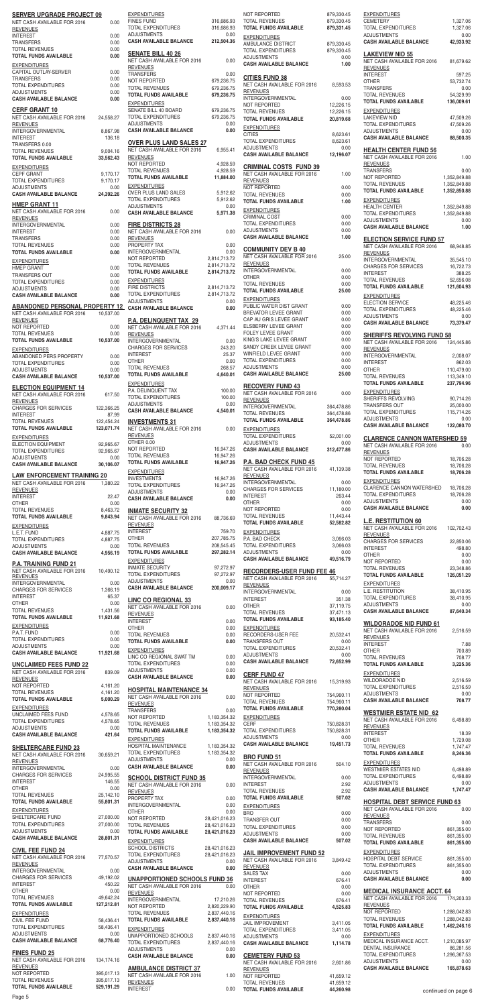| <b>SERVER UPGRADE PROJECT 09</b>                             |                          | <b>EXPENDITURES</b>                                                            |                              |
|--------------------------------------------------------------|--------------------------|--------------------------------------------------------------------------------|------------------------------|
| NET CASH AVAILABLE FOR 2016<br><b>REVENUES</b>               | 0.00                     | <b>FINES FUND</b><br>TOTAL EXPENDITURES                                        | 316,686.93<br>316,686.93     |
| <b>INTEREST</b>                                              | 0.00<br>0.00             | <b>ADJUSTMENTS</b><br><b>CASH AVAILABLE BALANCE</b>                            | 0.00<br>212,504.36           |
| <b>TRANSFERS</b><br><b>TOTAL REVENUES</b>                    | 0.00                     |                                                                                |                              |
| <b>TOTAL FUNDS AVAILABLE</b>                                 | 0.00                     | <b>SENATE BILL 40 26</b><br>NET CASH AVAILABLE FOR 2016                        | 0.00                         |
| <b>EXPENDITURES</b><br>CAPITAL OUTLAY-SERVER                 | 0.00                     | <b>REVENUES</b>                                                                |                              |
| <b>TRANSFERS</b>                                             | 0.00                     | <b>TRANSFERS</b><br>NOT REPORTED                                               | 0.00<br>679,236.75           |
| <b>TOTAL EXPENDITURES</b><br><b>ADJUSTMENTS</b>              | 0.00<br>0.00             | <b>TOTAL REVENUES</b><br><b>TOTAL FUNDS AVAILABLE</b>                          | 679,236.75<br>679,236.75     |
| <b>CASH AVAILABLE BALANCE</b>                                | 0.00                     | <b>EXPENDITURES</b>                                                            |                              |
| <b>CERF GRANT 10</b>                                         |                          | SENATE BILL 40 BOARD                                                           | 679,236.75                   |
| NET CASH AVAILABLE FOR 2016<br><b>REVENUES</b>               | 24,558.27                | TOTAL EXPENDITURES<br><b>ADJUSTMENTS</b>                                       | 679,236.75<br>0.00           |
| INTERGOVERNMENTAL                                            | 8,867.98                 | <b>CASH AVAILABLE BALANCE</b>                                                  | 0.00                         |
| <b>INTEREST</b><br>TRANSFERS 0.00                            | 136.18                   | <b>OVER PLUS LAND SALES 27</b>                                                 |                              |
| <b>TOTAL REVENUES</b>                                        | 9,004.16                 | NET CASH AVAILABLE FOR 2016<br><b>REVENUES</b>                                 | 6,955.41                     |
| <b>TOTAL FUNDS AVAILABLE</b>                                 | 33,562.43                | NOT REPORTED                                                                   | 4,928.59                     |
| <b>EXPENDITURES</b><br><b>CEPF GRANT</b>                     | 9,170.17                 | <b>TOTAL REVENUES</b><br><b>TOTAL FUNDS AVAILABLE</b>                          | 4,928.59<br>11,884.00        |
| <b>TOTAL EXPENDITURES</b><br><b>ADJUSTMENTS</b>              | 9,170.17<br>0.00         | <b>EXPENDITURES</b>                                                            |                              |
| <b>CASH AVAILABLE BALANCE</b>                                | 24,392.26                | <b>OVER PLUS LAND SALES</b>                                                    | 5,912.62                     |
| <b>HMEP GRANT 11</b>                                         |                          | <b>TOTAL EXPENDITURES</b><br><b>ADJUSTMENTS</b>                                | 5,912.62<br>0.00             |
| NET CASH AVAILABLE FOR 2016<br><b>REVENUES</b>               | 0.00                     | <b>CASH AVAILABLE BALANCE</b>                                                  | 5,971.38                     |
| INTERGOVERNMENTAL                                            | 0.00                     | <b>FIRE DISTRICTS 28</b>                                                       |                              |
| <b>INTEREST</b><br><b>TRANSFERS</b>                          | 0.00<br>0.00             | NET CASH AVAILABLE FOR 2016<br><b>REVENUES</b>                                 | 0.00                         |
| <b>TOTAL REVENUES</b>                                        | 0.00                     | PROPERTY TAX                                                                   | 0.00                         |
| <b>TOTAL FUNDS AVAILABLE</b>                                 | 0.00                     | <b>INTERGOVERNMENTAL</b><br>NOT REPORTED                                       | 0.00<br>2,814,713.72         |
| <b>EXPENDITURES</b><br><b>HMEP GRANT</b>                     | 0.00                     | <b>TOTAL REVENUES</b>                                                          | 2,814,713.72                 |
| <b>TRANSFERS OUT</b>                                         | 0.00                     | <b>TOTAL FUNDS AVAILABLE</b><br><b>EXPENDITURES</b>                            | 2,814,713.72                 |
| <b>TOTAL EXPENDITURES</b><br><b>ADJUSTMENTS</b>              | 0.00<br>0.00             | <b>FIRE DISTRICTS</b>                                                          | 2,814,713.72                 |
| <b>CASH AVAILABLE BALANCE</b>                                | 0.00                     | <b>TOTAL EXPENDITURES</b><br><b>ADJUSTMENTS</b>                                | 2,814,713.72<br>0.00         |
| ABANDONED PERSONAL PROPERTY 12                               |                          | <b>CASH AVAILABLE BALANCE</b>                                                  | 0.00                         |
| NET CASH AVAILABLE FOR 2016<br><b>REVENUES</b>               | 10,537.00                | <b>P.A. DELINQUENT TAX 29</b>                                                  |                              |
| NOT REPORTED                                                 | 0.00                     | NET CASH AVAILABLE FOR 2016                                                    | 4,371.44                     |
| <b>TOTAL REVENUES</b><br><b>TOTAL FUNDS AVAILABLE</b>        | 0.00<br>10,537.00        | <b>REVENUES</b><br><b>INTERGOVERNMENTAL</b>                                    | 0.00                         |
| <b>EXPENDITURES</b>                                          |                          | <b>CHARGES FOR SERVICES</b>                                                    | 243.20                       |
| ABANDONED PERS PROPERTY<br><b>TOTAL EXPENDITURES</b>         | 0.00<br>0.00             | <b>INTEREST</b><br><b>OTHER</b>                                                | 25.37<br>0.00                |
| <b>ADJUSTMENTS</b>                                           | 0.00                     | <b>TOTAL REVENUES</b>                                                          | 268.57                       |
| <b>CASH AVAILABLE BALANCE</b>                                | 10,537.00                | <b>TOTAL FUNDS AVAILABLE</b><br><b>EXPENDITURES</b>                            | 4,640.01                     |
| <b>ELECTION EQUIPMENT 14</b><br>NET CASH AVAILABLE FOR 2016  | 617.50                   | P.A. DELINQUENT TAX                                                            | 100.00                       |
| <b>REVENUES</b>                                              |                          | <b>TOTAL EXPENDITURES</b><br><b>ADJUSTMENTS</b>                                | 100.00<br>0.00               |
| <b>CHARGES FOR SERVICES</b><br><b>INTEREST</b>               | 122,366.25<br>87.99      | <b>CASH AVAILABLE BALANCE</b>                                                  | 4,540.01                     |
| <b>TOTAL REVENUES</b>                                        | 122,454.24               | <b>INVESTMENTS 31</b>                                                          |                              |
| <b>TOTAL FUNDS AVAILABLE</b>                                 | 123,071.74               | NET CASH AVAILABLE FOR 2016<br><b>REVENUES</b>                                 | 0.00                         |
| <b>EXPENDITURES</b><br><b>ELECTION EQUIPMENT</b>             | 92,965.67                | OTHER 0.00                                                                     |                              |
| <b>TOTAL EXPENDITURES</b>                                    | 92,965.67                | NOT REPORTED<br><b>TOTAL REVENUES</b>                                          | 16,947.26<br>16,947.26       |
| <b>ADJUSTMENTS</b><br><b>CASH AVAILABLE BALANCE</b>          | 0.00<br>30,106.07        | <b>TOTAL FUNDS AVAILABLE</b>                                                   | 16,947.26                    |
| <b>LAW ENFORCEMENT TRAINING 20</b>                           |                          | <b>EXPENDITURES</b><br><b>INVESTMENTS</b>                                      | 16,947.26                    |
| NET CASH AVAILABLE FOR 2016                                  | 1,380.22                 | TOTAL EXPENDITURES                                                             | 16,947.26                    |
| <b>REVENUES</b><br><b>INTEREST</b>                           | 22.47                    | <b>ADJUSTMENTS</b><br><b>CASH AVAILABLE BALANCE</b>                            | 0.00<br>0.00                 |
| <b>OTHER</b><br><b>TOTAL REVENUES</b>                        | 0.00                     |                                                                                |                              |
| <b>TOTAL FUNDS AVAILABLE</b>                                 | 8,463.72<br>9,843.94     | <b>INMATE SECURITY 32</b><br>NET CASH AVAILABLE FOR 2016                       | 88,736.69                    |
| <b>EXPENDITURES</b>                                          |                          | <b>REVENUES</b>                                                                |                              |
| L.E.T. FUND<br><b>TOTAL EXPENDITURES</b>                     | 4,887.75                 | <b>INTEREST</b><br><b>OTHER</b>                                                | 759.70                       |
|                                                              |                          |                                                                                | 207,785.75                   |
| <b>ADJUSTMENTS</b>                                           | 4,887.75<br>0.00         | <b>TOTAL REVENUES</b>                                                          | 208,545.45                   |
| <b>CASH AVAILABLE BALANCE</b>                                | 4,956.19                 | <b>TOTAL FUNDS AVAILABLE</b>                                                   | 297,282.14                   |
| <b>P.A. TRAINING FUND 21</b>                                 |                          | <b>EXPENDITURES</b><br><b>INMATE SECURITY</b>                                  | 97,272.97                    |
| NET CASH AVAILABLE FOR 2016<br><b>REVENUES</b>               | 10,490.12                | TOTAL EXPENDITURES                                                             | 97,272.97                    |
| INTERGOVERNMENTAL<br><b>CHARGES FOR SERVICES</b>             | 0.00<br>1,366.19         | <b>ADJUSTMENTS</b><br><b>CASH AVAILABLE BALANCE</b>                            | 0.00<br>200,009.17           |
| <b>INTEREST</b>                                              | 65.37                    | <b>LINC CO REGIONAL 33</b>                                                     |                              |
| <b>OTHER</b><br><b>TOTAL REVENUES</b>                        | 0.00<br>1,431.56         | NET CASH AVAILABLE FOR 2016                                                    | 0.00                         |
| <b>TOTAL FUNDS AVAILABLE</b>                                 | 11,921.68                | <b>REVENUES</b><br><b>INTEREST</b>                                             | 0.00                         |
| <b>EXPENDITURES</b><br>P.A.T. FUND                           | 0.00                     | <b>OTHER</b>                                                                   | 0.00                         |
| <b>TOTAL EXPENDITURES</b>                                    | 0.00                     | <b>TOTAL REVENUES</b><br><b>TOTAL FUNDS AVAILABLE</b>                          | 0.00<br>0.00                 |
| <b>ADJUSTMENTS</b><br><b>CASH AVAILABLE BALANCE</b>          | 0.00<br>11,921.68        | <b>EXPENDITURES</b>                                                            |                              |
|                                                              |                          | LINC CO REGIONAL SWAT TM<br><b>TOTAL EXPENDITURES</b>                          | 0.00<br>0.00                 |
| <b>UNCLAIMED FEES FUND 22</b><br>NET CASH AVAILABLE FOR 2016 | 839.09                   | <b>ADJUSTMENTS</b>                                                             | 0.00                         |
| <b>REVENUES</b><br>NOT REPORTED                              | 4,161.20                 | <b>CASH AVAILABLE BALANCE</b>                                                  | 0.00                         |
| <b>TOTAL REVENUES</b>                                        | 4,161.20                 | <b>HOSPITAL MAINTENANCE 34</b>                                                 |                              |
| <b>TOTAL FUNDS AVAILABLE</b>                                 | 5,000.29                 | NET CASH AVAILABLE FOR 2016<br><b>REVENUES</b>                                 | 0.00                         |
| <b>EXPENDITURES</b><br>UNCLAIMED FEES FUND                   | 4,578.65                 | <b>TRANSFERS</b><br>NOT REPORTED                                               | 0.00<br>1,183,354.32         |
| <b>TOTAL EXPENDITURES</b>                                    | 4,578.65                 | <b>TOTAL REVENUES</b>                                                          | 1,183,354.32                 |
| <b>ADJUSTMENTS</b><br><b>CASH AVAILABLE BALANCE</b>          | 0.00<br>421.64           | <b>TOTAL FUNDS AVAILABLE</b>                                                   | 1,183,354.32                 |
|                                                              |                          | <b>EXPENDITURES</b><br>HOSPITAL MAINTENANCE                                    | 1,183,354.32                 |
| <b>SHELTERCARE FUND 23</b><br>NET CASH AVAILABLE FOR 2016    | 30,659.21                | <b>TOTAL EXPENDITURES</b>                                                      | 1,183,354.32                 |
| <b>REVENUES</b><br>INTERGOVERNMENTAL                         | 0.00                     | <b>ADJUSTMENTS</b><br><b>CASH AVAILABLE BALANCE</b>                            | 0.00<br>0.00                 |
| <b>CHARGES FOR SERVICES</b>                                  | 24,995.55                | <b>SCHOOL DISTRICT FUND 35</b>                                                 |                              |
| <b>INTEREST</b><br><b>OTHER</b>                              | 146.55<br>0.00           | NET CASH AVAILABLE FOR 2016                                                    | 0.00                         |
| <b>TOTAL REVENUES</b>                                        | 25,142.10                | <b>REVENUES</b><br>PROPERTY TAX                                                | 0.00                         |
| <b>TOTAL FUNDS AVAILABLE</b>                                 | 55,801.31                | INTERGOVERNMENTAL                                                              | 0.00                         |
| <b>EXPENDITURES</b><br>SHELTERCARE FUND                      | 27,000.00                | <b>OTHER</b><br>NOT REPORTED                                                   | 0.00<br>28,421,016.23        |
| TOTAL EXPENDITURES<br><b>ADJUSTMENTS</b>                     | 27,000.00<br>0.00        | <b>TOTAL REVENUES</b><br><b>TOTAL FUNDS AVAILABLE</b>                          | 28,421,016.23                |
| <b>CASH AVAILABLE BALANCE</b>                                | 28,801.31                | <b>EXPENDITURES</b>                                                            | 28,421,016.23                |
| <b>CIVIL FEE FUND 24</b>                                     |                          | <b>SCHOOL DISTRICTS</b>                                                        | 28,421,016.23                |
| NET CASH AVAILABLE FOR 2016<br><b>REVENUES</b>               | 77,570.57                | TOTAL EXPENDITURES<br><b>ADJUSTMENTS</b>                                       | 28,421,016.23<br>0.00        |
| <b>INTERGOVERNMENTAL</b>                                     | 0.00                     | <b>CASH AVAILABLE BALANCE</b>                                                  | 0.00                         |
| <b>CHARGES FOR SERVICES</b><br><b>INTEREST</b>               | 49,192.02<br>450.22      | <b>UNAPPORTIONED SCHOOLS FUND 36</b>                                           |                              |
| <b>OTHER</b>                                                 | 0.00                     | NET CASH AVAILABLE FOR 2016<br><b>REVENUES</b>                                 | 0.00                         |
| <b>TOTAL REVENUES</b><br><b>TOTAL FUNDS AVAILABLE</b>        | 49,642.24<br>127,212.81  | INTERGOVERNMENTAL                                                              | 17,210.26                    |
| <b>EXPENDITURES</b>                                          |                          | NOT REPORTED<br><b>TOTAL REVENUES</b>                                          | 2,820,229.90<br>2,837,440.16 |
| CIVIL FEE FUND                                               | 58,436.41                | <b>TOTAL FUNDS AVAILABLE</b>                                                   | 2,837,440.16                 |
| TOTAL EXPENDITURES<br><b>ADJUSTMENTS</b>                     | 58,436.41<br>0.00        | <b>EXPENDITURES</b><br>UNAPPORTIONED SCHOOLS                                   | 2,837,440.16                 |
| <b>CASH AVAILABLE BALANCE</b>                                | 68,776.40                | TOTAL EXPENDITURES                                                             | 2,837,440.16                 |
| <b>FINES FUND 25</b>                                         |                          | <b>ADJUSTMENTS</b><br><b>CASH AVAILABLE BALANCE</b>                            | 0.00<br>0.00                 |
| NET CASH AVAILABLE FOR 2016<br><b>REVENUES</b>               | 134,174.16               |                                                                                |                              |
| NOT REPORTED<br><b>TOTAL REVENUES</b>                        | 395,017.13<br>395,017.13 | <b>AMBULANCE DISTRICT 37</b><br>NET CASH AVAILABLE FOR 2016<br><b>REVENUES</b> | 1.00                         |

| TOTAL EXPENDITURES                   | 97,272.97     | <b>KECORDE</b>     |
|--------------------------------------|---------------|--------------------|
| <b>ADJUSTMENTS</b>                   | 0.00          | <b>NET CASH A</b>  |
| <b>CASH AVAILABLE BALANCE</b>        | 200,009.17    | <b>REVENUES</b>    |
|                                      |               | <b>INTERGOVE</b>   |
| <b>LINC CO REGIONAL 33</b>           |               | <b>INTEREST</b>    |
| NET CASH AVAILABLE FOR 2016          | 0.00          | <b>OTHER</b>       |
| <b>REVENUES</b>                      |               | <b>TOTAL REVE</b>  |
| <b>INTEREST</b>                      | 0.00          | <b>TOTAL FUND</b>  |
| OTHER                                | 0.00          | <b>EXPENDITUR</b>  |
| <b>TOTAL REVENUES</b>                | 0.00          | <b>RECORDERS</b>   |
| <b>TOTAL FUNDS AVAILABLE</b>         | 0.00          | <b>TRANSFERS</b>   |
|                                      |               | <b>TOTAL EXPE</b>  |
| <b>EXPENDITURES</b>                  |               | <b>ADJUSTMEN</b>   |
| LINC CO REGIONAL SWAT TM             | 0.00          | <b>CASH AVAIL</b>  |
| TOTAL EXPENDITURES                   | 0.00          |                    |
| <b>ADJUSTMENTS</b>                   | 0.00          | <b>CERF FUN</b>    |
| <b>CASH AVAILABLE BALANCE</b>        | 0.00          | <b>NET CASH A</b>  |
|                                      |               | REVENUES           |
| <b>HOSPITAL MAINTENANCE 34</b>       |               | <b>NOT REPOR</b>   |
| NET CASH AVAILABLE FOR 2016          | 0.00          |                    |
| <b>REVENUES</b>                      |               | <b>TOTAL REVE</b>  |
| TRANSFERS                            | 0.00          | <b>TOTAL FUND</b>  |
| NOT REPORTED                         | 1,183,354.32  | <b>EXPENDITUR</b>  |
| <b>TOTAL REVENUES</b>                | 1,183,354.32  | <b>CERF</b>        |
| TOTAL FUNDS AVAILABLE                | 1,183,354.32  | <b>TOTAL EXPE</b>  |
| <b>EXPENDITURES</b>                  |               | <b>ADJUSTMEN</b>   |
| HOSPITAL MAINTENANCE                 | 1,183,354.32  | <b>CASH AVAIL</b>  |
| <b>TOTAL EXPENDITURES</b>            | 1,183,354.32  |                    |
| <b>ADJUSTMENTS</b>                   | 0.00          | <b>BRO FUND</b>    |
| <b>CASH AVAILABLE BALANCE</b>        |               | <b>NET CASH A</b>  |
|                                      | 0.00          | <b>REVENUES</b>    |
| <b>SCHOOL DISTRICT FUND 35</b>       |               | <b>INTERGOVE</b>   |
| NET CASH AVAILABLE FOR 2016          | 0.00          | <b>INTEREST</b>    |
| <b>REVENUES</b>                      |               | <b>TOTAL REVE</b>  |
| PROPERTY TAX                         | 0.00          | <b>TOTAL FUND</b>  |
| <b>INTERGOVERNMENTAL</b>             | 0.00          |                    |
| OTHER                                | 0.00          | <b>EXPENDITUR</b>  |
| NOT REPORTED                         | 28,421,016.23 | <b>BRO</b>         |
| <b>TOTAL REVENUES</b>                | 28,421,016.23 | <b>TRANSFER 0</b>  |
| <b>TOTAL FUNDS AVAILABLE</b>         | 28,421,016.23 | <b>TOTAL EXPE</b>  |
|                                      |               | <b>ADJUSTMEN</b>   |
| <b>EXPENDITURES</b>                  |               | <b>CASH AVAIL</b>  |
| <b>SCHOOL DISTRICTS</b>              | 28,421,016.23 |                    |
| TOTAL EXPENDITURES                   | 28,421,016.23 | <b>JAIL IMPR</b>   |
| <b>ADJUSTMENTS</b>                   | 0.00          | NET CASH A         |
| <b>CASH AVAILABLE BALANCE</b>        | 0.00          | <b>REVENUES</b>    |
|                                      |               | SALES TAX          |
| <u>UNAPPORTIONED SCHOOLS FUND 36</u> |               | <b>INTEREST</b>    |
| NET CASH AVAILABLE FOR 2016          | 0.00          | <b>OTHER</b>       |
| <b>REVENUES</b>                      |               | <b>NOT REPOR</b>   |
| <b>INTERGOVERNMENTAL</b>             | 17,210.26     | <b>TOTAL REVE</b>  |
| NOT REPORTED                         | 2,820,229.90  | <b>TOTAL FUND</b>  |
| <b>TOTAL REVENUES</b>                | 2,837,440.16  | <b>EXPENDITUR</b>  |
| TOTAL FUNDS AVAILABLE                | 2,837,440.16  | <b>JAIL IMPROV</b> |
| <b>EXPENDITURES</b>                  |               | <b>TOTAL EXPE</b>  |
| UNAPPORTIONED SCHOOLS                | 2,837,440.16  | <b>ADJUSTMEN</b>   |
| TOTAL EXPENDITURES                   | 2,837,440.16  |                    |
| ADJUSTMENTS                          |               | <b>CASH AVAIL</b>  |
| <b>CASH AVAILABLE BALANCE</b>        | 0.00          | <b>CEMETER</b>     |
|                                      | 0.00          | <b>NET CASH A</b>  |
| <b>AMBULANCE DISTRICT 37</b>         |               |                    |
| NET CASH AVAILABLE FOR 2016          | 1.00          | <b>REVENUES</b>    |
|                                      |               | <b>NOT REPOR</b>   |
| <b>REVENUES</b>                      |               | <b>TOTAL REVE</b>  |

| <b>EXPENDITURES</b><br><b>FINES FUND</b><br>TOTAL EXPENDITURES                   | 316,686.93<br>316,686.93       | NOT REPORTED<br><b>TOTAL REVENUES</b><br><b>TOTAL FUNDS AVAILABLE</b>   | 879,330.45<br>879,330.45<br>879,331.45 | <b>EXPENDITURES</b><br><b>CEMETERY</b><br>TOTAL EXPENDITURES             | 1,<br>1,           |
|----------------------------------------------------------------------------------|--------------------------------|-------------------------------------------------------------------------|----------------------------------------|--------------------------------------------------------------------------|--------------------|
| <b>ADJUSTMENTS</b><br><b>CASH AVAILABLE BALANCE</b>                              | 0.00<br>212,504.36             | <b>EXPENDITURES</b><br>AMBULANCE DISTRICT<br><b>TOTAL EXPENDITURES</b>  | 879,330.45<br>879,330.45               | <b>ADJUSTMENTS</b><br><b>CASH AVAILABLE BALANCE</b>                      | 42,                |
| <b>SENATE BILL 40 26</b><br>NET CASH AVAILABLE FOR 2016<br><b>REVENUES</b>       | 0.00                           | <b>ADJUSTMENTS</b><br><b>CASH AVAILABLE BALANCE</b>                     | 0.00<br>1.00                           | <b>LAKEVIEW NID 55</b><br>NET CASH AVAILABLE FOR 2016<br><b>REVENUES</b> | 81,                |
| TRANSFERS<br>NOT REPORTED                                                        | 0.00<br>679,236.75             | <b>CITIES FUND 38</b><br>NET CASH AVAILABLE FOR 2016                    | 8,593.53                               | <b>INTEREST</b><br><b>OTHER</b>                                          | 53,                |
| <b>TOTAL REVENUES</b><br>TOTAL FUNDS AVAILABLE                                   | 679,236.75<br>679,236.75       | <b>REVENUES</b><br><b>INTERGOVERNMENTAL</b>                             | 0.00                                   | <b>TRANSFERS</b><br><b>TOTAL REVENUES</b>                                | 54,                |
| <b>EXPENDITURES</b><br>SENATE BILL 40 BOARD                                      | 679,236.75                     | NOT REPORTED<br><b>TOTAL REVENUES</b>                                   | 12,226.15<br>12,226.15                 | <b>TOTAL FUNDS AVAILABLE</b><br><b>EXPENDITURES</b>                      | 136,               |
| TOTAL EXPENDITURES<br><b>ADJUSTMENTS</b>                                         | 679,236.75<br>0.00             | <b>TOTAL FUNDS AVAILABLE</b><br><b>EXPENDITURES</b>                     | 20,819.68                              | <b>LAKEVIEW NID</b><br><b>TOTAL EXPENDITURES</b>                         | 47,<br>47,         |
| <b>CASH AVAILABLE BALANCE</b>                                                    | 0.00                           | <b>CITIES</b><br><b>TOTAL EXPENDITURES</b>                              | 8,623.61<br>8.623.61                   | <b>ADJUSTMENTS</b><br><b>CASH AVAILABLE BALANCE</b>                      | 88,                |
| <b>OVER PLUS LAND SALES 27</b><br>NET CASH AVAILABLE FOR 2016<br><b>REVENUES</b> | 6,955.41                       | <b>ADJUSTMENTS</b><br><b>CASH AVAILABLE BALANCE</b>                     | 0.00<br>12,196.07                      | <b>HEALTH CENTER FUND 56</b><br>NET CASH AVAILABLE FOR 2016              |                    |
| NOT REPORTED<br><b>TOTAL REVENUES</b>                                            | 4,928.59<br>4,928.59           | <b>CRIMINAL COSTS FUND 39</b>                                           |                                        | <b>REVENUES</b><br><b>TRANSFERS</b>                                      |                    |
| <b>TOTAL FUNDS AVAILABLE</b><br><b>EXPENDITURES</b>                              | 11,884.00                      | NET CASH AVAILABLE FOR 2016<br><b>REVENUES</b>                          | 1.00                                   | NOT REPORTED<br><b>TOTAL REVENUES</b>                                    | 1,352,8<br>1,352,8 |
| OVER PLUS LAND SALES<br>TOTAL EXPENDITURES                                       | 5,912.62<br>5,912.62           | NOT REPORTED<br><b>TOTAL REVENUES</b><br><b>TOTAL FUNDS AVAILABLE</b>   | 0.00<br>0.00<br>1.00                   | <b>TOTAL FUNDS AVAILABLE</b><br><b>EXPENDITURES</b>                      | 1,352,8            |
| <b>ADJUSTMENTS</b><br><b>CASH AVAILABLE BALANCE</b>                              | 0.00<br>5,971.38               | <b>EXPENDITURES</b>                                                     |                                        | <b>HEALTH CENTER</b><br>TOTAL EXPENDITURES                               | 1,352,8<br>1,352,8 |
| <b>FIRE DISTRICTS 28</b><br>NET CASH AVAILABLE FOR 2016                          | 0.00                           | <b>CRIMINAL COST</b><br><b>TOTAL EXPENDITURES</b><br><b>ADJUSTMENTS</b> | 0.00<br>0.00<br>0.00                   | <b>ADJUSTMENTS</b><br><b>CASH AVAILABLE BALANCE</b>                      |                    |
| <b>REVENUES</b><br>PROPERTY TAX                                                  | 0.00                           | <b>CASH AVAILABLE BALANCE</b>                                           | 1.00                                   | <b>ELECTION SERVICE FUND 57</b><br>NET CASH AVAILABLE FOR 2016           | 68,                |
| <b>INTERGOVERNMENTAL</b><br>NOT REPORTED                                         | 0.00<br>2,814,713.72           | <b>COMMUNITY DEV B 40</b><br>NET CASH AVAILABLE FOR 2016                | 25.00                                  | <b>REVENUES</b><br>INTERGOVERNMENTAL                                     | 35,                |
| <b>TOTAL REVENUES</b><br><b>TOTAL FUNDS AVAILABLE</b>                            | 2,814,713.72<br>2,814,713.72   | <b>REVENUES</b><br>INTERGOVERNMENTAL                                    | 0.00                                   | <b>CHARGES FOR SERVICES</b><br><b>INTEREST</b>                           | 16,                |
| <b>EXPENDITURES</b><br><b>FIRE DISTRICTS</b>                                     | 2,814,713.72                   | <b>OTHER</b><br><b>TOTAL REVENUES</b>                                   | 0.00<br>0.00                           | <b>TOTAL REVENUES</b><br><b>TOTAL FUNDS AVAILABLE</b>                    | 52,<br>121,        |
| TOTAL EXPENDITURES<br><b>ADJUSTMENTS</b>                                         | 2,814,713.72<br>0.00           | <b>TOTAL FUNDS AVAILABLE</b><br><b>EXPENDITURES</b>                     | 25.00                                  | <b>EXPENDITURES</b><br><b>ELECTION SERVICE</b>                           | 48,                |
| <b>CASH AVAILABLE BALANCE</b>                                                    | 0.00                           | PUBLIC WATER DIST GRANT<br>BREVATOR LEVEE GRANT                         | 0.00<br>0.00                           | <b>TOTAL EXPENDITURES</b><br><b>ADJUSTMENTS</b>                          | 48,7               |
| P.A. DELINQUENT TAX 29<br>NET CASH AVAILABLE FOR 2016                            | 4,371.44                       | CAP AU GRIS LEVEE GRANT<br>ELSBERRY LEVEE GRANT                         | 0.00<br>0.00                           | <b>CASH AVAILABLE BALANCE</b>                                            | 73,                |
| <b>REVENUES</b><br><b>INTERGOVERNMENTAL</b>                                      | 0.00                           | FOLEY LEVEE GRANT<br>KING'S LAKE LEVEE GRANT                            | 0.00<br>0.00                           | <b>SHERIFFS REVOLVING FUND 58</b><br>NET CASH AVAILABLE FOR 2016         | 124,4              |
| <b>CHARGES FOR SERVICES</b><br><b>INTEREST</b>                                   | 243.20<br>25.37                | SANDY CREEK LEVEE GRANT<br>WINFIELD LEVEE GRANT                         | 0.00<br>0.00                           | <b>REVENUES</b><br><b>INTERGOVERNMENTAL</b>                              | 2,0                |
| OTHER<br><b>TOTAL REVENUES</b>                                                   | 0.00<br>268.57                 | <b>TOTAL EXPENDITURES</b><br><b>ADJUSTMENTS</b>                         | 0.00<br>0.00                           | <b>INTEREST</b><br><b>OTHER</b>                                          | 110,4              |
| TOTAL FUNDS AVAILABLE<br><b>EXPENDITURES</b>                                     | 4,640.01                       | <b>CASH AVAILABLE BALANCE</b>                                           | 25.00                                  | <b>TOTAL REVENUES</b><br><b>TOTAL FUNDS AVAILABLE</b>                    | 113,3<br>237,      |
| P.A. DELINQUENT TAX<br>TOTAL EXPENDITURES                                        | 100.00<br>100.00               | <b>RECOVERY FUND 43</b><br>NET CASH AVAILABLE FOR 2016                  | 0.00                                   | <b>EXPENDITURES</b><br>SHERIFFS REVOLVING                                | 90,                |
| <b>ADJUSTMENTS</b><br><b>CASH AVAILABLE BALANCE</b>                              | 0.00<br>4,540.01               | <b>REVENUES</b><br>INTERGOVERNMENTAL                                    | 364,478.86                             | TRANSFERS OUT<br>TOTAL EXPENDITURES                                      | 25,<br>115,        |
| <b>INVESTMENTS 31</b>                                                            |                                | <b>TOTAL REVENUES</b><br><b>TOTAL FUNDS AVAILABLE</b>                   | 364,478.86<br>364,478.86               | <b>ADJUSTMENTS</b><br><b>CASH AVAILABLE BALANCE</b>                      | 122,               |
| NET CASH AVAILABLE FOR 2016<br><b>REVENUES</b>                                   | 0.00                           | <b>EXPENDITURES</b><br><b>TOTAL EXPENDITURES</b>                        | 52,001.00                              | <b>CLARENCE CANNON WATERSHED</b>                                         |                    |
| OTHER 0.00<br>NOT REPORTED<br><b>TOTAL REVENUES</b>                              | 16,947.26<br>16,947.26         | <b>ADJUSTMENTS</b><br><b>CASH AVAILABLE BALANCE</b>                     | 0.00<br>312,477.86                     | NET CASH AVAILABLE FOR 2016<br><b>REVENUES</b>                           |                    |
| TOTAL FUNDS AVAILABLE                                                            | 16,947.26                      | <b>P.A. BAD CHECK FUND 45</b><br>NET CASH AVAILABLE FOR 2016            | 41,139.38                              | NOT REPORTED<br><b>TOTAL REVENUES</b>                                    | 18,<br>18,         |
| <b>EXPENDITURES</b><br><b>INVESTMENTS</b>                                        | 16,947.26                      | <b>REVENUES</b><br><b>INTERGOVERNMENTAL</b>                             | 0.00                                   | <b>TOTAL FUNDS AVAILABLE</b><br><b>EXPENDITURES</b>                      | 18,                |
| TOTAL EXPENDITURES<br><b>ADJUSTMENTS</b><br><b>CASH AVAILABLE BALANCE</b>        | 16,947.26<br>0.00<br>0.00      | <b>CHARGES FOR SERVICES</b><br><b>INTEREST</b>                          | 11,180.00<br>263.44                    | <b>CLARENCE CANNON WATERSHED</b><br><b>TOTAL EXPENDITURES</b>            | 18,<br>18,         |
| <b>INMATE SECURITY 32</b>                                                        |                                | <b>OTHER</b><br>NOT REPORTED                                            | 0.00<br>0.00                           | <b>ADJUSTMENTS</b><br><b>CASH AVAILABLE BALANCE</b>                      |                    |
| NET CASH AVAILABLE FOR 2016<br><b>REVENUES</b>                                   | 88,736.69                      | <b>TOTAL REVENUES</b><br><b>TOTAL FUNDS AVAILABLE</b>                   | 11,443.44<br>52,582.82                 | <b>L.E. RESTITUTION 60</b>                                               |                    |
| <b>INTEREST</b><br>OTHER                                                         | 759.70<br>207,785.75           | <b>EXPENDITURES</b><br>P.A. BAD CHECK                                   | 3,066.03                               | NET CASH AVAILABLE FOR 2016<br><b>REVENUES</b>                           | 102.               |
| <b>TOTAL REVENUES</b><br>TOTAL FUNDS AVAILABLE                                   | 208,545.45<br>297,282.14       | <b>TOTAL EXPENDITURES</b><br><b>ADJUSTMENTS</b>                         | 3,066.03<br>0.00                       | <b>CHARGES FOR SERVICES</b><br><b>INTEREST</b><br><b>OTHER</b>           | 22,                |
| <b>EXPENDITURES</b><br><b>INMATE SECURITY</b>                                    | 97,272.97                      | <b>CASH AVAILABLE BALANCE</b>                                           | 49,516.79                              | NOT REPORTED<br><b>TOTAL REVENUES</b>                                    | 23,                |
| TOTAL EXPENDITURES<br><b>ADJUSTMENTS</b>                                         | 97,272.97<br>0.00              | <b>RECORDERS-USER FUND FEE 46</b><br>NET CASH AVAILABLE FOR 2016        | 55,714.27                              | <b>TOTAL FUNDS AVAILABLE</b>                                             | 126,               |
| <b>CASH AVAILABLE BALANCE</b>                                                    | 200,009.17                     | <b>REVENUES</b><br><b>INTERGOVERNMENTAL</b>                             | 0.00                                   | <b>EXPENDITURES</b><br>L.E. RESTITUTION<br>TOTAL EXPENDITURES            | 38,4<br>38,4       |
| <b>LINC CO REGIONAL 33</b><br>NET CASH AVAILABLE FOR 2016                        | 0.00                           | <b>INTEREST</b><br><b>OTHER</b>                                         | 351.38<br>37,119.75                    | <b>ADJUSTMENTS</b><br><b>CASH AVAILABLE BALANCE</b>                      | 87,                |
| <b>REVENUES</b><br><b>INTEREST</b>                                               | 0.00                           | <b>TOTAL REVENUES</b><br><b>TOTAL FUNDS AVAILABLE</b>                   | 37,471.13<br>93,185.40                 | <b>WILDORADOE NID FUND 61</b>                                            |                    |
| OTHER<br>TOTAL REVENUES                                                          | 0.00<br>0.00                   | <b>EXPENDITURES</b><br>RECORDERS-USER FEE                               | 20,532.41                              | NET CASH AVAILABLE FOR 2016<br><b>REVENUES</b>                           | 2,                 |
| <b>TOTAL FUNDS AVAILABLE</b><br><b>EXPENDITURES</b>                              | 0.00                           | TRANSFERS OUT<br><b>TOTAL EXPENDITURES</b>                              | 0.00<br>20,532.41                      | <b>INTEREST</b><br><b>OTHER</b>                                          |                    |
| LINC CO REGIONAL SWAT TM<br>TOTAL EXPENDITURES                                   | 0.00<br>0.00                   | <b>ADJUSTMENTS</b><br><b>CASH AVAILABLE BALANCE</b>                     | 0.00<br>72,652.99                      | <b>TOTAL REVENUES</b><br><b>TOTAL FUNDS AVAILABLE</b>                    | 3,7                |
| <b>ADJUSTMENTS</b><br><b>CASH AVAILABLE BALANCE</b>                              | 0.00<br>0.00                   | <b>CERF FUND 47</b><br>NET CASH AVAILABLE FOR 2016                      | 15,319.93                              | <b>EXPENDITURES</b><br><b>WILDORADOE NID</b>                             | 2,                 |
| <b>HOSPITAL MAINTENANCE 34</b><br>NET CASH AVAILABLE FOR 2016                    | 0.00                           | <b>REVENUES</b><br>NOT REPORTED                                         | 754,960.11                             | TOTAL EXPENDITURES<br><b>ADJUSTMENTS</b>                                 | 2,5                |
| <b>REVENUES</b><br>TRANSFERS                                                     | 0.00                           | <b>TOTAL REVENUES</b><br><b>TOTAL FUNDS AVAILABLE</b>                   | 754,960.11<br>770.280.04               | <b>CASH AVAILABLE BALANCE</b>                                            |                    |
| NOT REPORTED<br>TOTAL REVENUES                                                   | 1,183,354.32<br>1,183,354.32   | <b>EXPENDITURES</b><br><b>CERF</b>                                      | 750,828.31                             | <b>WESTMIER ESTATE NID 62</b><br>NET CASH AVAILABLE FOR 2016             | 6,4                |
| TOTAL FUNDS AVAILABLE                                                            | 1,183,354.32                   | <b>TOTAL EXPENDITURES</b><br><b>ADJUSTMENTS</b>                         | 750,828.31<br>0.00                     | <b>REVENUES</b><br><b>INTEREST</b>                                       |                    |
| <b>EXPENDITURES</b><br><b>HOSPITAL MAINTENANCE</b><br>TOTAL EXPENDITURES         | 1,183,354.32<br>1,183,354.32   | <b>CASH AVAILABLE BALANCE</b>                                           | 19,451.73                              | <b>OTHER</b><br><b>TOTAL REVENUES</b>                                    | 1,<br>1,           |
| <b>ADJUSTMENTS</b><br><b>CASH AVAILABLE BALANCE</b>                              | 0.00<br>0.00                   | <b>BRO FUND 51</b><br>NET CASH AVAILABLE FOR 2016                       | 504.10                                 | <b>TOTAL FUNDS AVAILABLE</b><br><b>EXPENDITURES</b>                      | 8,2                |
| <b>SCHOOL DISTRICT FUND 35</b>                                                   |                                | <b>REVENUES</b><br><b>INTERGOVERNMENTAL</b>                             | 0.00                                   | <b>WESTMIER ESTATES NID</b><br><b>TOTAL EXPENDITURES</b>                 | 6,4<br>6,4         |
| NET CASH AVAILABLE FOR 2016<br><b>REVENUES</b>                                   | 0.00                           | <b>INTEREST</b><br><b>TOTAL REVENUES</b>                                | 2.92<br>2.92                           | <b>ADJUSTMENTS</b><br><b>CASH AVAILABLE BALANCE</b>                      | 1,                 |
| PROPERTY TAX<br><b>INTERGOVERNMENTAL</b>                                         | 0.00<br>0.00                   | <b>TOTAL FUNDS AVAILABLE</b><br><b>EXPENDITURES</b>                     | 507.02                                 | <b>HOSPITAL DEBT SERVICE FUND 6</b><br>NET CASH AVAILABLE FOR 2016       |                    |
| OTHER<br>NOT REPORTED                                                            | 0.00<br>28,421,016.23          | <b>BRO</b><br>TRANSFER OUT                                              | 0.00<br>0.00                           | <b>REVENUES</b><br><b>TRANSFERS</b>                                      |                    |
| <b>TOTAL REVENUES</b><br>TOTAL FUNDS AVAILABLE                                   | 28,421,016.23<br>28,421,016.23 | <b>TOTAL EXPENDITURES</b><br><b>ADJUSTMENTS</b>                         | 0.00<br>0.00                           | NOT REPORTED<br><b>TOTAL REVENUES</b>                                    | 861,<br>861,       |
| <b>EXPENDITURES</b><br>SCHOOL DISTRICTS                                          | 28,421,016.23                  | <b>CASH AVAILABLE BALANCE</b><br><b>JAIL IMPROVEMENT FUND 52</b>        | 507.02                                 | <b>TOTAL FUNDS AVAILABLE</b><br><b>EXPENDITURES</b>                      | 861,               |
| TOTAL EXPENDITURES<br>ADJUSTMENTS                                                | 28,421,016.23<br>0.00          | NET CASH AVAILABLE FOR 2016<br><b>REVENUES</b>                          | 3,849.42                               | HOSPITAL DEBT SERVICE<br><b>TOTAL EXPENDITURES</b>                       | 861,<br>861,       |
| <b>CASH AVAILABLE BALANCE</b><br><b>UNAPPORTIONED SCHOOLS FUND 36</b>            | 0.00                           | <b>SALES TAX</b><br><b>INTEREST</b>                                     | 0.00<br>676.41                         | <b>ADJUSTMENTS</b><br><b>CASH AVAILABLE BALANCE</b>                      |                    |
| NET CASH AVAILABLE FOR 2016<br><b>REVENUES</b>                                   | 0.00                           | <b>OTHER</b><br>NOT REPORTED                                            | 0.00<br>0.00                           | <b>MEDICAL INSURANCE ACCT. 64</b>                                        |                    |
| INTERGOVERNMENTAL<br>NOT REPORTED                                                | 17,210.26<br>2,820,229.90      | <b>TOTAL REVENUES</b><br>TOTAL FUNDS AVAILABLE                          | 676.41<br>4,525.83                     | NET CASH AVAILABLE FOR 2016<br><b>REVENUES</b>                           | 174,7              |
| TOTAL REVENUES<br>TOTAL FUNDS AVAILABLE                                          | 2,837,440.16<br>2,837,440.16   | <b>EXPENDITURES</b><br><b>JAIL IMPROVEMENT</b>                          | 3,411.05                               | NOT REPORTED<br><b>TOTAL REVENUES</b>                                    | 1,288,<br>1,288,   |
| <b>EXPENDITURES</b><br>UNAPPORTIONED SCHOOLS                                     | 2,837,440.16                   | TOTAL EXPENDITURES<br><b>ADJUSTMENTS</b>                                | 3,411.05<br>0.00                       | <b>TOTAL FUNDS AVAILABLE</b><br><b>EXPENDITURES</b>                      | 1,462,             |
| TOTAL EXPENDITURES<br>ADJUSTMENTS                                                | 2,837,440.16<br>0.00           | <b>CASH AVAILABLE BALANCE</b>                                           | 1,114.78                               | MEDICAL INSURANCE ACCT.<br>DENTAL INSURANCE                              | 1,210,0<br>86,     |
| <b>CASH AVAILABLE BALANCE</b>                                                    | 0.00                           | <b>CEMETERY FUND 53</b><br>NET CASH AVAILABLE FOR 2016                  | 2,601.86                               | TOTAL EXPENDITURES<br><b>ADJUSTMENTS</b>                                 | 1,296,3            |
| <b>AMBULANCE DISTRICT 37</b><br>NET CASH AVAILABLE FOR 2016                      | 1.00                           | <b>REVENUES</b><br>NOT REPORTED                                         | 41,659.12                              | <b>CASH AVAILABLE BALANCE</b>                                            | 165,               |
| <b>REVENUES</b><br><b>INTEREST</b>                                               | 0.00                           | <b>TOTAL REVENUES</b><br><b>TOTAL FUNDS AVAILABLE</b>                   | 41,659.12<br>44,260.98                 | continued on p                                                           |                    |

| EPORTED                                                                  | 879,330.45                          | <b>EXPENDITURES</b>                                                             | 1,327.06                                     |
|--------------------------------------------------------------------------|-------------------------------------|---------------------------------------------------------------------------------|----------------------------------------------|
| <b>REVENUES</b>                                                          | 879,330.45                          | <b>CEMETERY</b>                                                                 |                                              |
| <b>FUNDS AVAILABLE</b>                                                   | 879,331.45                          | TOTAL EXPENDITURES                                                              | 1,327.06                                     |
| <b>NDITURES</b>                                                          |                                     | <b>ADJUSTMENTS</b>                                                              | 0.00                                         |
| LANCE DISTRICT                                                           | 879,330.45                          | <b>CASH AVAILABLE BALANCE</b>                                                   | 42,933.92                                    |
| <b>EXPENDITURES</b>                                                      | 879,330.45                          | <b>LAKEVIEW NID 55</b>                                                          |                                              |
| STMENTS                                                                  | 0.00                                | NET CASH AVAILABLE FOR 2016                                                     | 81,679.62                                    |
| <b>AVAILABLE BALANCE</b>                                                 | 1.00                                | <b>REVENUES</b>                                                                 |                                              |
| S FUND 38                                                                | 8,593.53                            | <b>INTEREST</b>                                                                 | 597.25                                       |
| ASH AVAILABLE FOR 2016                                                   |                                     | <b>OTHER</b>                                                                    | 53,732.74                                    |
| <b>NUES</b>                                                              | 0.00                                | <b>TRANSFERS</b>                                                                | 0.00                                         |
| <b>GOVERNMENTAL</b>                                                      |                                     | <b>TOTAL REVENUES</b>                                                           | 54,329.99                                    |
| <b>EPORTED</b>                                                           | 12,226.15                           | <b>TOTAL FUNDS AVAILABLE</b>                                                    | 136,009.61                                   |
| <b>REVENUES</b>                                                          | 12,226.15                           | <b>EXPENDITURES</b>                                                             |                                              |
| <b>FUNDS AVAILABLE</b><br><b>NDITURES</b>                                | 20,819.68                           | <b>LAKEVIEW NID</b><br>TOTAL EXPENDITURES<br><b>ADJUSTMENTS</b>                 | 47,509.26<br>47,509.26<br>0.00               |
| <b>EXPENDITURES</b>                                                      | 8,623.61<br>8,623.61                | <b>CASH AVAILABLE BALANCE</b>                                                   | 88,500.35                                    |
| STMENTS                                                                  | 0.00                                | <b>HEALTH CENTER FUND 56</b>                                                    | 1.00                                         |
| <b>AVAILABLE BALANCE</b>                                                 | 12,196.07                           | NET CASH AVAILABLE FOR 2016                                                     |                                              |
| <b>INAL COSTS FUND 39</b><br>ASH AVAILABLE FOR 2016                      | 1.00                                | <b>REVENUES</b><br><b>TRANSFERS</b><br>NOT REPORTED                             | 0.00                                         |
| <b>IUES</b><br><b>EPORTED</b>                                            | 0.00                                | <b>TOTAL REVENUES</b><br><b>TOTAL FUNDS AVAILABLE</b>                           | 1,352,849.88<br>1,352,849.88<br>1,352,850.88 |
| <b>REVENUES</b>                                                          | 0.00                                | <b>EXPENDITURES</b>                                                             | 1,352,849.88                                 |
| <b>FUNDS AVAILABLE</b>                                                   | 1.00                                | <b>HEALTH CENTER</b>                                                            |                                              |
| <b>NDITURES</b>                                                          | 0.00                                | TOTAL EXPENDITURES                                                              | 1,352,849.88                                 |
| <b>NAL COST</b>                                                          |                                     | <b>ADJUSTMENTS</b>                                                              | 0.00                                         |
| <b>EXPENDITURES</b><br><b>STMENTS</b><br><b>AVAILABLE BALANCE</b>        | 0.00<br>0.00<br>1.00                | <b>CASH AVAILABLE BALANCE</b>                                                   | 1.00                                         |
| <b>MUNITY DEV B 40</b>                                                   |                                     | <b>ELECTION SERVICE FUND 57</b><br>NET CASH AVAILABLE FOR 2016                  | 68,948.85                                    |
| ASH AVAILABLE FOR 2016<br><b>NUES</b>                                    | 25.00                               | <b>REVENUES</b><br><b>INTERGOVERNMENTAL</b><br><b>CHARGES FOR SERVICES</b>      | 35,545.10<br>16,722.73                       |
| <b>GOVERNMENTAL</b>                                                      | 0.00                                | <b>INTEREST</b>                                                                 | 388.25                                       |
| R                                                                        | 0.00                                | <b>TOTAL REVENUES</b>                                                           | 52,656.08                                    |
| <b>REVENUES</b>                                                          | 0.00                                | <b>TOTAL FUNDS AVAILABLE</b>                                                    | 121,604.93                                   |
| <b>FUNDS AVAILABLE</b>                                                   | 25.00                               | <b>EXPENDITURES</b>                                                             |                                              |
| <b>NDITURES</b>                                                          | 0.00                                | <b>ELECTION SERVICE</b>                                                         | 48,225.46                                    |
| C WATER DIST GRANT                                                       |                                     | TOTAL EXPENDITURES                                                              | 48,225.46                                    |
| <b>ITOR LEVEE GRANT</b><br>U GRIS LEVEE GRANT<br><b>FRAY LEVEE GRANT</b> | 0.00<br>0.00<br>0.00                | <b>ADJUSTMENTS</b><br><b>CASH AVAILABLE BALANCE</b>                             | 0.00<br>73,379.47                            |
| LEVEE GRANT                                                              | 0.00                                | <b>SHERIFFS REVOLVING FUND 58</b>                                               | 124,445.86                                   |
| <b>LAKE LEVEE GRANT</b>                                                  | 0.00                                | NET CASH AVAILABLE FOR 2016                                                     |                                              |
| <b>CREEK LEVEE GRANT</b>                                                 | 0.00                                | <b>REVENUES</b>                                                                 | 2,008.07                                     |
| ELD LEVEE GRANT                                                          | 0.00                                | <b>INTERGOVERNMENTAL</b>                                                        |                                              |
| <b>EXPENDITURES</b>                                                      | 0.00                                | <b>INTEREST</b>                                                                 | 862.03                                       |
| <b>STMENTS</b>                                                           | 0.00                                | <b>OTHER</b>                                                                    | 110,479.00                                   |
| <b>AVAILABLE BALANCE</b>                                                 | 25.00                               | <b>TOTAL REVENUES</b>                                                           | 113,349.10                                   |
| <b>OVERY FUND 43</b>                                                     |                                     | <b>TOTAL FUNDS AVAILABLE</b>                                                    | 237,794.96                                   |
| ASH AVAILABLE FOR 2016<br><b>NUES</b>                                    | 0.00                                | <b>EXPENDITURES</b><br>SHERIFFS REVOLVING                                       | 90,714.26                                    |
| <b>GOVERNMENTAL</b>                                                      | 364,478.86                          | TRANSFERS OUT                                                                   | 25,000.00                                    |
| <b>REVENUES</b>                                                          | 364,478.86                          | TOTAL EXPENDITURES                                                              | 115,714.26                                   |
| . FUNDS AVAILABLE                                                        | 364,478.86                          | <b>ADJUSTMENTS</b>                                                              | 0.00                                         |
| <b>NDITURES</b>                                                          |                                     | <b>CASH AVAILABLE BALANCE</b>                                                   | 122,080.70                                   |
| <b>EXPENDITURES</b>                                                      | 52,001.00                           | <b>CLARENCE CANNON WATERSHED 59</b>                                             | 0.00                                         |
| <b>STMENTS</b>                                                           | 0.00                                | NET CASH AVAILABLE FOR 2016                                                     |                                              |
| <b>AVAILABLE BALANCE</b><br><u>BAD CHECK FUND 45</u>                     | 312,477.86                          | <b>REVENUES</b><br>NOT REPORTED                                                 | 18,706.28                                    |
| ASH AVAILABLE FOR 2016<br><b>NUES</b><br><b>GOVERNMENTAL</b>             | 41,139.38<br>0.00                   | <b>TOTAL REVENUES</b><br><b>TOTAL FUNDS AVAILABLE</b><br><b>EXPENDITURES</b>    | 18,706.28<br>18,706.28                       |
| <b>GES FOR SERVICES</b>                                                  | 11,180.00                           | <b>CLARENCE CANNON WATERSHED</b>                                                | 18,706.28                                    |
| EST                                                                      | 263.44                              | <b>TOTAL EXPENDITURES</b>                                                       | 18,706.28                                    |
| ₹                                                                        | 0.00                                | <b>ADJUSTMENTS</b>                                                              | 0.00                                         |
| <b>EPORTED</b>                                                           | 0.00                                | <b>CASH AVAILABLE BALANCE</b>                                                   | 0.00                                         |
| <b>REVENUES</b>                                                          | 11,443.44                           | <b>L.E. RESTITUTION 60</b>                                                      | 102,702.43                                   |
| <b>FUNDS AVAILABLE</b>                                                   | 52,582.82                           | NET CASH AVAILABLE FOR 2016                                                     |                                              |
| <b>NDITURES</b><br><b>ID CHECK</b>                                       | 3,066.03                            | <b>REVENUES</b><br><b>CHARGES FOR SERVICES</b>                                  | 22,850.06                                    |
| <b>EXPENDITURES</b>                                                      | 3,066.03                            | <b>INTEREST</b>                                                                 | 498.80                                       |
| <b>STMENTS</b>                                                           | 0.00                                | OTHER                                                                           | 0.00                                         |
| <b>AVAILABLE BALANCE</b>                                                 | 49,516.79                           | NOT REPORTED                                                                    | 0.00                                         |
| <b>DRDERS-USER FUND FEE 46</b>                                           |                                     | <b>TOTAL REVENUES</b>                                                           | 23,348.86                                    |
| ASH AVAILABLE FOR 2016<br><b>NUES</b>                                    | 55,714.27                           | <b>TOTAL FUNDS AVAILABLE</b><br><b>EXPENDITURES</b>                             | 126,051.29                                   |
| <b>GOVERNMENTAL</b><br>EST<br>R                                          | 0.00<br>351.38                      | L.E. RESTITUTION<br>TOTAL EXPENDITURES<br><b>ADJUSTMENTS</b>                    | 38,410.95<br>38,410.95<br>0.00               |
| <b>REVENUES</b><br><b>FUNDS AVAILABLE</b>                                | 37,119.75<br>37,471.13<br>93,185.40 | <b>CASH AVAILABLE BALANCE</b>                                                   | 87,640.34                                    |
| <b>NDITURES</b><br>RDERS-USER FEE                                        | 20,532.41                           | <b>WILDORADOE NID FUND 61</b><br>NET CASH AVAILABLE FOR 2016                    | 2,516.59                                     |
| SFERS OUT<br><b>EXPENDITURES</b>                                         | 0.00<br>20,532.41                   | <b>REVENUES</b><br><b>INTEREST</b><br><b>OTHER</b>                              | 7.88<br>700.89                               |
| STMENTS                                                                  | 0.00                                | <b>TOTAL REVENUES</b>                                                           | 708.77                                       |
| <b>AVAILABLE BALANCE</b>                                                 | 72,652.99                           | <b>TOTAL FUNDS AVAILABLE</b>                                                    | 3,225.36                                     |
| <b>FUND 47</b><br>ASH AVAILABLE FOR 2016                                 |                                     | <b>EXPENDITURES</b><br>WILDORADOE NID                                           | 2,516.59                                     |
| <b>NUES</b>                                                              | 15,319.93                           | TOTAL EXPENDITURES                                                              | 2,516.59                                     |
| EPORTED                                                                  | 754,960.11                          | <b>ADJUSTMENTS</b>                                                              | 0.00                                         |
| <b>REVENUES</b><br>. FUNDS AVAILABLE                                     | 754,960.11<br>770,280.04            | <b>CASH AVAILABLE BALANCE</b>                                                   | 708.77                                       |
| <b>NDITURES</b>                                                          | 750,828.31                          | <b>WESTMIER ESTATE NID 62</b><br>NET CASH AVAILABLE FOR 2016<br><b>REVENUES</b> | 6,498.89                                     |
| <b>EXPENDITURES</b>                                                      | 750,828.31                          | <b>INTEREST</b>                                                                 | 18.39                                        |
| <b>STMENTS</b>                                                           | 0.00                                | OTHER                                                                           | 1,729.08                                     |
| <b>AVAILABLE BALANCE</b>                                                 | 19,451.73                           | <b>TOTAL REVENUES</b>                                                           | 1,747.47                                     |
| <u>FUND 51</u>                                                           |                                     | <b>TOTAL FUNDS AVAILABLE</b>                                                    | 8,246.36                                     |
| ASH AVAILABLE FOR 2016<br><b>NUES</b>                                    | 504.10                              | <b>EXPENDITURES</b><br><b>WESTMIER ESTATES NID</b>                              | 6,498.89                                     |
| <b>GOVERNMENTAL</b>                                                      | 0.00                                | TOTAL EXPENDITURES                                                              | 6,498.89                                     |
| EST                                                                      | 2.92                                | <b>ADJUSTMENTS</b>                                                              | 0.00                                         |
| <b>REVENUES</b>                                                          | 2.92                                | <b>CASH AVAILABLE BALANCE</b>                                                   | 1,747.47                                     |
| <b>FUNDS AVAILABLE</b>                                                   | 507.02                              | <b>HOSPITAL DEBT SERVICE FUND 63</b>                                            |                                              |
| <b>NDITURES</b>                                                          | 0.00                                | NET CASH AVAILABLE FOR 2016<br><b>REVENUES</b>                                  | 0.00                                         |
| SFER OUT<br><b>EXPENDITURES</b><br><b>STMENTS</b>                        | 0.00<br>0.00<br>0.00                | <b>TRANSFERS</b><br>NOT REPORTED                                                | 0.00<br>861,355.00                           |
| <b>AVAILABLE BALANCE</b>                                                 | 507.02                              | <b>TOTAL REVENUES</b><br><b>TOTAL FUNDS AVAILABLE</b>                           | 861,355.00<br>861,355.00                     |
| <b>IMPROVEMENT FUND 52</b><br>ASH AVAILABLE FOR 2016<br><b>NUES</b>      | 3,849.42                            | <b>EXPENDITURES</b><br>HOSPITAL DEBT SERVICE<br><b>TOTAL EXPENDITURES</b>       | 861,355.00<br>861,355.00                     |
| ነ TAX                                                                    | 0.00                                | <b>ADJUSTMENTS</b>                                                              | 0.00                                         |
| EST                                                                      | 676.41                              | <b>CASH AVAILABLE BALANCE</b>                                                   | 0.00                                         |
| R                                                                        | 0.00                                | <b>MEDICAL INSURANCE ACCT. 64</b>                                               | 174,203.33                                   |
| EPORTED                                                                  | 0.00                                | NET CASH AVAILABLE FOR 2016                                                     |                                              |
| REVENUES                                                                 | 676.41                              | <b>REVENUES</b>                                                                 | 1,288,042.83                                 |
| <b>FUNDS AVAILABLE</b>                                                   | 4,525.83                            | NOT REPORTED                                                                    |                                              |
| <b>NDITURES</b>                                                          | 3,411.05                            | <b>TOTAL REVENUES</b>                                                           | 1,288,042.83                                 |
| <i><b>IPROVEMENT</b></i>                                                 |                                     | <b>TOTAL FUNDS AVAILABLE</b>                                                    | 1,462,246.16                                 |
| <b>EXPENDITURES</b><br>STMENTS<br><b>AVAILABLE BALANCE</b>               | 3,411.05<br>0.00<br>1,114.78        | <b>EXPENDITURES</b><br>MEDICAL INSURANCE ACCT.                                  | 1,210,085.97                                 |
| <b>ETERY FUND 53</b>                                                     |                                     | <b>DENTAL INSURANCE</b><br>TOTAL EXPENDITURES                                   | 86,281.56<br>1,296,367.53                    |
| ASH AVAILABLE FOR 2016<br><b>NUES</b><br>EPORTED                         | 2,601.86<br>41,659.12               | <b>ADJUSTMENTS</b><br><b>CASH AVAILABLE BALANCE</b>                             | 0.00<br>165,878.63                           |
| REVENUES<br>. FUNDS AVAILABLE                                            | 41,659.12<br>44,260.98              |                                                                                 | continued on page 6                          |